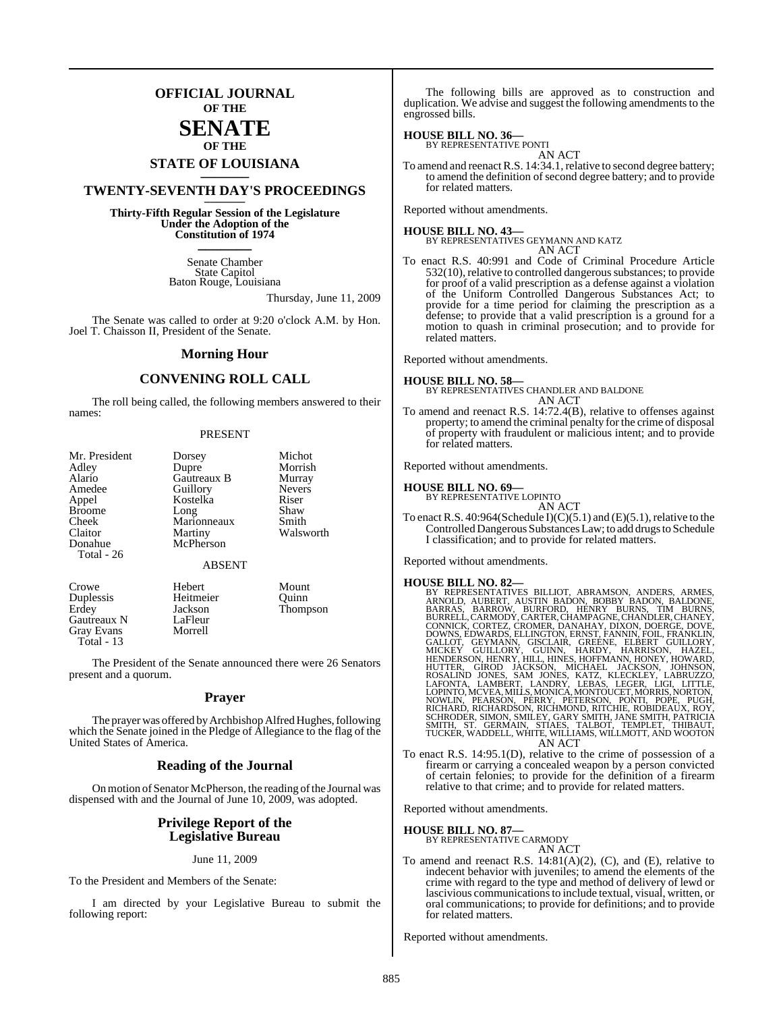## **OFFICIAL JOURNAL OF THE**

## **SENATE OF THE**

# **STATE OF LOUISIANA \_\_\_\_\_\_\_**

# **TWENTY-SEVENTH DAY'S PROCEEDINGS \_\_\_\_\_\_\_**

**Thirty-Fifth Regular Session of the Legislature Under the Adoption of the Constitution of 1974 \_\_\_\_\_\_\_**

> Senate Chamber State Capitol Baton Rouge, Louisiana

> > Thursday, June 11, 2009

The Senate was called to order at 9:20 o'clock A.M. by Hon. Joel T. Chaisson II, President of the Senate.

#### **Morning Hour**

### **CONVENING ROLL CALL**

The roll being called, the following members answered to their names:

#### PRESENT

| Mr. President | Dorsey        | Michot        |
|---------------|---------------|---------------|
| Adley         | Dupre         | Morrish       |
| Alario        | Gautreaux B   | Murray        |
| Amedee        | Guillory      | <b>Nevers</b> |
| Appel         | Kostelka      | Riser         |
| <b>Broome</b> | Long          | Shaw          |
| Cheek         | Marionneaux   | Smith         |
| Claitor       | Martiny       | Walsworth     |
| Donahue       | McPherson     |               |
| Total - 26    |               |               |
|               | <b>ABSENT</b> |               |
| Crowe         | Hebert        | Mount         |

Gautreaux N LaFleur<br>Grav Evans Morrell Gray Evans Total - 13

Duplessis Heitmeier Quinn Erdey Jackson Thompson<br>Gautreaux N LaFleur

The President of the Senate announced there were 26 Senators present and a quorum.

#### **Prayer**

The prayer was offered by Archbishop Alfred Hughes, following which the Senate joined in the Pledge of Allegiance to the flag of the United States of America.

#### **Reading of the Journal**

On motion of Senator McPherson, the reading of the Journal was dispensed with and the Journal of June 10, 2009, was adopted.

#### **Privilege Report of the Legislative Bureau**

#### June 11, 2009

To the President and Members of the Senate:

I am directed by your Legislative Bureau to submit the following report:

The following bills are approved as to construction and duplication. We advise and suggest the following amendments to the engrossed bills.

#### **HOUSE BILL NO. 36—**

BY REPRESENTATIVE PONTI AN ACT

To amend and reenact R.S. 14:34.1, relative to second degree battery; to amend the definition of second degree battery; and to provide for related matters.

Reported without amendments.

**HOUSE BILL NO. 43—** BY REPRESENTATIVES GEYMANN AND KATZ

AN ACT

To enact R.S. 40:991 and Code of Criminal Procedure Article  $532(10)$ , relative to controlled dangerous substances; to provide for proof of a valid prescription as a defense against a violation of the Uniform Controlled Dangerous Substances Act; to provide for a time period for claiming the prescription as a defense; to provide that a valid prescription is a ground for a motion to quash in criminal prosecution; and to provide for related matters.

Reported without amendments.

#### **HOUSE BILL NO. 58—**

BY REPRESENTATIVES CHANDLER AND BALDONE AN ACT

To amend and reenact R.S. 14:72.4(B), relative to offenses against property; to amend the criminal penalty for the crime of disposal of property with fraudulent or malicious intent; and to provide for related matters.

Reported without amendments.

# **HOUSE BILL NO. 69—** BY REPRESENTATIVE LOPINTO

 $AN$   $ACT$ 

To enact R.S. 40:964(Schedule I)(C)(5.1) and (E)(5.1), relative to the Controlled Dangerous Substances Law; to add drugs to Schedule I classification; and to provide for related matters.

Reported without amendments.

- HOUSE BILL NO. 82—<br>BY REPRESENTATIVES BILLIOT, ABRAMSON, ANDERS, ARMES, ARNOLD, AUBERT, AUSTIN BADON, BOBBY BADON, BALDONE, BARRAS, BARROW, BURFORD, HENRY BURNS, TIM BURNS, EUNRELL, CARMODY, CARTER, CHANAHAY, DIXON, DOERGE
- AN ACT<br>To enact R.S. 14:95.1(D), relative to the crime of possession of a firearm or carrying a concealed weapon by a person convicted of certain felonies; to provide for the definition of a firearm relative to that crime; and to provide for related matters.

Reported without amendments.

**HOUSE BILL NO. 87—** BY REPRESENTATIVE CARMODY AN ACT

To amend and reenact R.S. 14:81(A)(2), (C), and (E), relative to indecent behavior with juveniles; to amend the elements of the crime with regard to the type and method of delivery of lewd or lascivious communications to include textual, visual, written, or oral communications; to provide for definitions; and to provide for related matters.

Reported without amendments.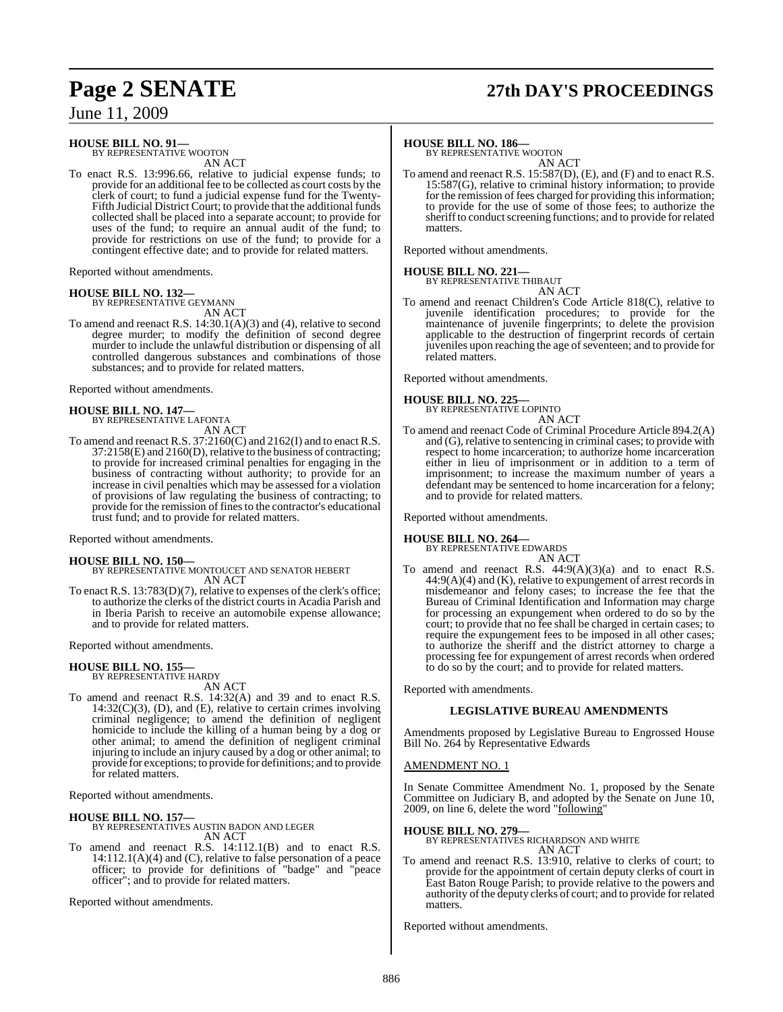# **Page 2 SENATE 27th DAY'S PROCEEDINGS**

June 11, 2009

**HOUSE BILL NO. 91—** BY REPRESENTATIVE WOOTON

AN ACT

To enact R.S. 13:996.66, relative to judicial expense funds; to provide for an additional fee to be collected as court costs by the clerk of court; to fund a judicial expense fund for the Twenty-Fifth Judicial District Court; to provide that the additional funds collected shall be placed into a separate account; to provide for uses of the fund; to require an annual audit of the fund; to provide for restrictions on use of the fund; to provide for a contingent effective date; and to provide for related matters.

Reported without amendments.

**HOUSE BILL NO. 132—** BY REPRESENTATIVE GEYMANN

AN ACT

To amend and reenact R.S. 14:30.1(A)(3) and (4), relative to second degree murder; to modify the definition of second degree murder to include the unlawful distribution or dispensing of all controlled dangerous substances and combinations of those substances; and to provide for related matters.

Reported without amendments.

**HOUSE BILL NO. 147—** BY REPRESENTATIVE LAFONTA AN ACT

To amend and reenact R.S. 37:2160(C) and 2162(I) and to enact R.S. 37:2158(E) and 2160(D), relative to the business of contracting; to provide for increased criminal penalties for engaging in the business of contracting without authority; to provide for an increase in civil penalties which may be assessed for a violation of provisions of law regulating the business of contracting; to provide for the remission of finesto the contractor's educational trust fund; and to provide for related matters.

Reported without amendments.

**HOUSE BILL NO. 150—** BY REPRESENTATIVE MONTOUCET AND SENATOR HEBERT AN ACT

To enact R.S. 13:783(D)(7), relative to expenses of the clerk's office; to authorize the clerks of the district courtsin Acadia Parish and in Iberia Parish to receive an automobile expense allowance; and to provide for related matters.

Reported without amendments.

#### **HOUSE BILL NO. 155—** BY REPRESENTATIVE HARDY

AN ACT

To amend and reenact R.S. 14:32(A) and 39 and to enact R.S.  $14:32(C)(3)$ , (D), and (E), relative to certain crimes involving criminal negligence; to amend the definition of negligent homicide to include the killing of a human being by a dog or other animal; to amend the definition of negligent criminal injuring to include an injury caused by a dog or other animal; to provide for exceptions; to provide for definitions; and to provide for related matters.

Reported without amendments.

## **HOUSE BILL NO. 157—** BY REPRESENTATIVES AUSTIN BADON AND LEGER AN ACT

To amend and reenact R.S. 14:112.1(B) and to enact R.S. 14:112.1(A)(4) and (C), relative to false personation of a peace officer; to provide for definitions of "badge" and "peace officer"; and to provide for related matters.

Reported without amendments.

**HOUSE BILL NO. 186—** BY REPRESENTATIVE WOOTON AN ACT

To amend and reenact R.S. 15:587(D), (E), and (F) and to enact R.S. 15:587(G), relative to criminal history information; to provide for the remission of fees charged for providing this information; to provide for the use of some of those fees; to authorize the sheriff to conduct screening functions; and to provide for related matters.

Reported without amendments.

**HOUSE BILL NO. 221—** BY REPRESENTATIVE THIBAUT

AN ACT

To amend and reenact Children's Code Article 818(C), relative to juvenile identification procedures; to provide for the maintenance of juvenile fingerprints; to delete the provision applicable to the destruction of fingerprint records of certain juveniles upon reaching the age of seventeen; and to provide for related matters.

Reported without amendments.

# **HOUSE BILL NO. 225—** BY REPRESENTATIVE LOPINTO

AN ACT

To amend and reenact Code of Criminal Procedure Article 894.2(A) and (G), relative to sentencing in criminal cases; to provide with respect to home incarceration; to authorize home incarceration either in lieu of imprisonment or in addition to a term of imprisonment; to increase the maximum number of years a defendant may be sentenced to home incarceration for a felony; and to provide for related matters.

Reported without amendments.

#### **HOUSE BILL NO. 264—**

BY REPRESENTATIVE EDWARDS AN ACT

To amend and reenact R.S.  $44:9(A)(3)(a)$  and to enact R.S.  $44:9(A)(4)$  and  $(K)$ , relative to expungement of arrest records in misdemeanor and felony cases; to increase the fee that the Bureau of Criminal Identification and Information may charge for processing an expungement when ordered to do so by the court; to provide that no fee shall be charged in certain cases; to require the expungement fees to be imposed in all other cases; to authorize the sheriff and the district attorney to charge a processing fee for expungement of arrest records when ordered to do so by the court; and to provide for related matters.

Reported with amendments.

#### **LEGISLATIVE BUREAU AMENDMENTS**

Amendments proposed by Legislative Bureau to Engrossed House Bill No. 264 by Representative Edwards

#### AMENDMENT NO. 1

In Senate Committee Amendment No. 1, proposed by the Senate Committee on Judiciary B, and adopted by the Senate on June 10, 2009, on line 6, delete the word "following"

**HOUSE BILL NO. 279—** BY REPRESENTATIVES RICHARDSON AND WHITE AN ACT

To amend and reenact R.S. 13:910, relative to clerks of court; to provide for the appointment of certain deputy clerks of court in East Baton Rouge Parish; to provide relative to the powers and authority of the deputy clerks of court; and to provide for related matters.

Reported without amendments.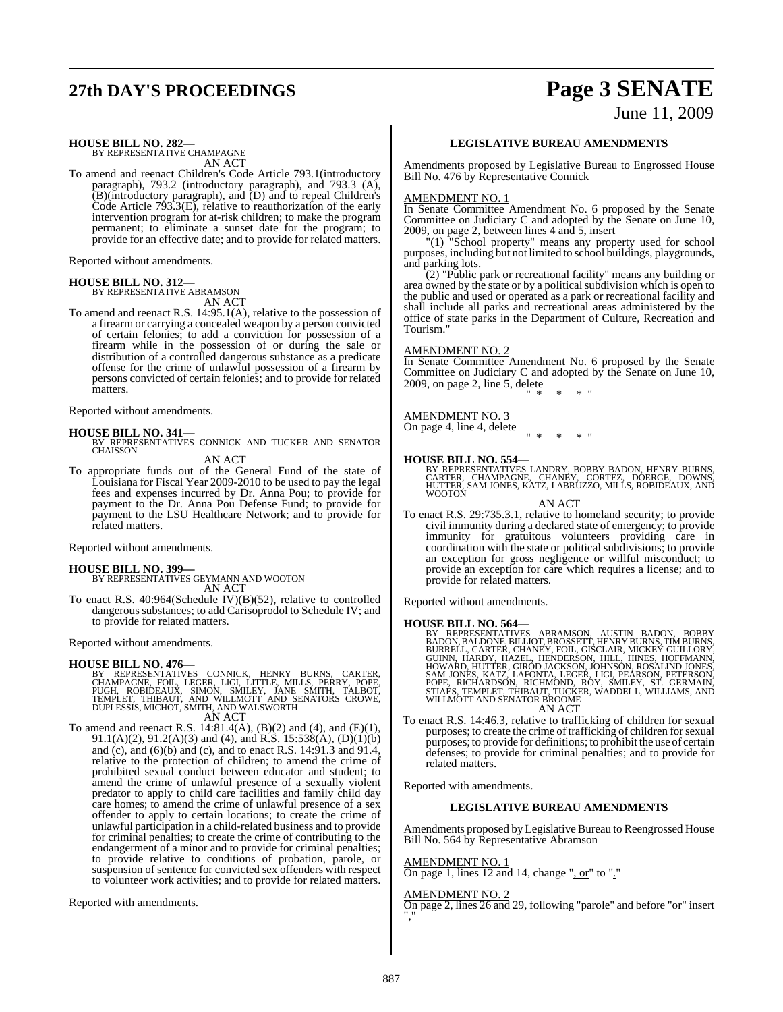# **27th DAY'S PROCEEDINGS Page 3 SENATE**

# June 11, 2009

**HOUSE BILL NO. 282—** BY REPRESENTATIVE CHAMPAGNE

AN ACT

To amend and reenact Children's Code Article 793.1(introductory paragraph), 793.2 (introductory paragraph), and 793.3 (A), (B)(introductory paragraph), and (D) and to repeal Children's Code Article 793.3(E), relative to reauthorization of the early intervention program for at-risk children; to make the program permanent; to eliminate a sunset date for the program; to provide for an effective date; and to provide for related matters.

Reported without amendments.

# **HOUSE BILL NO. 312—** BY REPRESENTATIVE ABRAMSON

AN ACT

To amend and reenact R.S. 14:95.1(A), relative to the possession of a firearm or carrying a concealed weapon by a person convicted of certain felonies; to add a conviction for possession of a firearm while in the possession of or during the sale or distribution of a controlled dangerous substance as a predicate offense for the crime of unlawful possession of a firearm by persons convicted of certain felonies; and to provide for related matters.

Reported without amendments.

#### **HOUSE BILL NO. 341—**

BY REPRESENTATIVES CONNICK AND TUCKER AND SENATOR **CHAISSON** 

AN ACT

To appropriate funds out of the General Fund of the state of Louisiana for Fiscal Year 2009-2010 to be used to pay the legal fees and expenses incurred by Dr. Anna Pou; to provide for payment to the Dr. Anna Pou Defense Fund; to provide for payment to the LSU Healthcare Network; and to provide for related matters.

Reported without amendments.

#### **HOUSE BILL NO. 399—**

BY REPRESENTATIVES GEYMANN AND WOOTON AN ACT

To enact R.S. 40:964(Schedule IV)(B)(52), relative to controlled dangerous substances; to add Carisoprodol to Schedule IV; and to provide for related matters.

Reported without amendments.

**HOUSE BILL NO. 476—**<br>BY REPRESENTATIVES CONNICK, HENRY BURNS, CARTER,<br>CHAMPAGNE, FOIL, LEGER, LIGI, LITTLE, MILLS, PERRY, POPE,<br>PUGH, ROBIDEAUX, SIMON, SMILEY, JANE SMITH, TALBOT,<br>TEMPLET, THIBAUT, AND WILLMOTT AND DUPLES

AN ACT

To amend and reenact R.S. 14:81.4(A),  $(B)(2)$  and  $(4)$ , and  $(E)(1)$ , 91.1(A)(2), 91.2(A)(3) and (4), and R.S. 15:538(A), (D)(1)(b) and (c), and (6)(b) and (c), and to enact R.S. 14:91.3 and 91.4, relative to the protection of children; to amend the crime of prohibited sexual conduct between educator and student; to amend the crime of unlawful presence of a sexually violent predator to apply to child care facilities and family child day care homes; to amend the crime of unlawful presence of a sex offender to apply to certain locations; to create the crime of unlawful participation in a child-related business and to provide for criminal penalties; to create the crime of contributing to the endangerment of a minor and to provide for criminal penalties; to provide relative to conditions of probation, parole, or suspension of sentence for convicted sex offenders with respect to volunteer work activities; and to provide for related matters.

Reported with amendments.

#### **LEGISLATIVE BUREAU AMENDMENTS**

Amendments proposed by Legislative Bureau to Engrossed House Bill No. 476 by Representative Connick

#### AMENDMENT NO. 1

In Senate Committee Amendment No. 6 proposed by the Senate Committee on Judiciary C and adopted by the Senate on June 10, 2009, on page 2, between lines 4 and 5, insert

"(1) "School property" means any property used for school purposes, including but not limited to school buildings, playgrounds, and parking lots.

(2) "Public park or recreational facility" means any building or area owned by the state or by a political subdivision which is open to the public and used or operated as a park or recreational facility and shall include all parks and recreational areas administered by the office of state parks in the Department of Culture, Recreation and Tourism."

#### AMENDMENT NO. 2

In Senate Committee Amendment No. 6 proposed by the Senate Committee on Judiciary C and adopted by the Senate on June 10, 2009, on page 2, line 5, delete  $*$  "

AMENDMENT NO. 3

On page 4, line 4, delete " \* \* \* "

#### **HOUSE BILL NO. 554—**

BY REPRESENTATIVES LANDRY, BOBBY BADON, HENRY BURNS, CARTER, CHAMPAGNE, CHANEY, CORTEZ, DOERGE, DOWNS, HUTTER, SAM JONES, KATZ, LABRUZZO, MILLS, ROBIDEAUX, AND WOOTON

AN ACT

To enact R.S. 29:735.3.1, relative to homeland security; to provide civil immunity during a declared state of emergency; to provide immunity for gratuitous volunteers providing care in coordination with the state or political subdivisions; to provide an exception for gross negligence or willful misconduct; to provide an exception for care which requires a license; and to provide for related matters.

Reported without amendments.

#### **HOUSE BILL NO. 564—**

BY REPRESENTATIVES ABRAMSON, AUSTIN BADON, BOBBY<br>BADON, BALDONE, BILLIOT, BROSSETT, HENRY BURNS, TIMBURNS,<br>BURRELL, CARTER, CHANEY, FOLL, GISCLAIR, MICKEY GUILLORY,<br>GUINN, HARDY, HAZEL, HENDERSON, HILL, HINES, HOFFMANN,<br>HO AN ACT

To enact R.S. 14:46.3, relative to trafficking of children for sexual purposes; to create the crime of trafficking of children for sexual purposes; to provide for definitions; to prohibit the use of certain defenses; to provide for criminal penalties; and to provide for related matters.

Reported with amendments.

#### **LEGISLATIVE BUREAU AMENDMENTS**

Amendments proposed by Legislative Bureau to Reengrossed House Bill No. 564 by Representative Abramson

#### AMENDMENT NO. 1

On page 1, lines 12 and 14, change ", or" to "."

#### AMENDMENT NO. 2

On page 2, lines 26 and 29, following "parole" and before "or" insert ","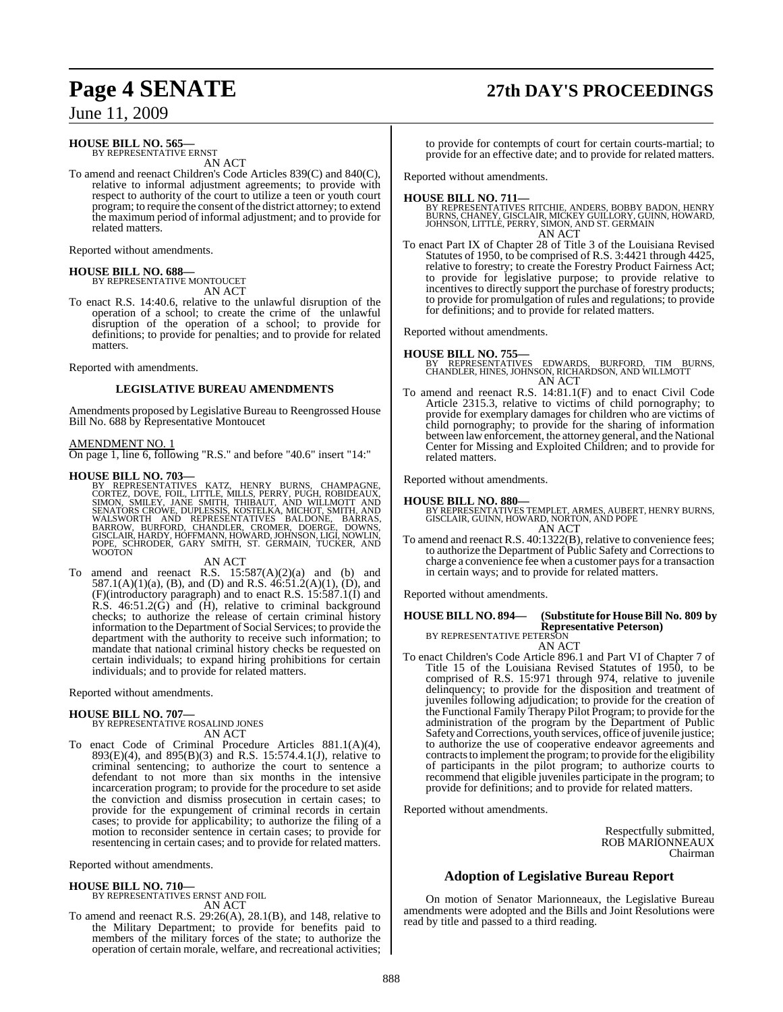# **Page 4 SENATE 27th DAY'S PROCEEDINGS**

June 11, 2009

#### **HOUSE BILL NO. 565—**

BY REPRESENTATIVE ERNST AN ACT

To amend and reenact Children's Code Articles 839(C) and 840(C), relative to informal adjustment agreements; to provide with respect to authority of the court to utilize a teen or youth court program; to require the consent ofthe district attorney; to extend the maximum period of informal adjustment; and to provide for related matters.

Reported without amendments.

#### **HOUSE BILL NO. 688—** BY REPRESENTATIVE MONTOUCET

AN ACT

To enact R.S. 14:40.6, relative to the unlawful disruption of the operation of a school; to create the crime of the unlawful disruption of the operation of a school; to provide for definitions; to provide for penalties; and to provide for related matters.

Reported with amendments.

#### **LEGISLATIVE BUREAU AMENDMENTS**

Amendments proposed by Legislative Bureau to Reengrossed House Bill No. 688 by Representative Montoucet

#### AMENDMENT NO. 1

On page 1, line 6, following "R.S." and before "40.6" insert "14:"

**HOUSE BILL NO. 703—**<br>
BY REPRESENTATIVES KATZ, HENRY BURNS, CHAMPAGNE,<br>
CORTEZ, DOVE, FOIL, LITTLE, MILLS, PERRY, PUGH, ROBIDEAUX,<br>
SIMON, SMILEY, JANE SMITH, THIBAUT, AND WILLMOTT AND<br>
SENATORS CROWE, DUPLESSIS, KOSTELKA **WOOTON** 

#### AN ACT

To amend and reenact R.S.  $15:587(A)(2)(a)$  and (b) and 587.1(A)(1)(a), (B), and (D) and R.S.  $46:51.2(A)(1)$ , (D), and (F)(introductory paragraph) and to enact R.S. 15:587.1(I) and R.S.  $46:51.2(\dot{G})$  and  $(\dot{H})$ , relative to criminal background checks; to authorize the release of certain criminal history information to the Department of Social Services; to provide the department with the authority to receive such information; to mandate that national criminal history checks be requested on certain individuals; to expand hiring prohibitions for certain individuals; and to provide for related matters.

Reported without amendments.

#### **HOUSE BILL NO. 707—** BY REPRESENTATIVE ROSALIND JONES

AN ACT To enact Code of Criminal Procedure Articles 881.1(A)(4), 893(E)(4), and 895(B)(3) and R.S. 15:574.4.1(J), relative to criminal sentencing; to authorize the court to sentence a defendant to not more than six months in the intensive incarceration program; to provide for the procedure to set aside the conviction and dismiss prosecution in certain cases; to provide for the expungement of criminal records in certain cases; to provide for applicability; to authorize the filing of a motion to reconsider sentence in certain cases; to provide for resentencing in certain cases; and to provide for related matters.

Reported without amendments.

## **HOUSE BILL NO. 710—**

BY REPRESENTATIVES ERNST AND FOIL AN ACT

To amend and reenact R.S. 29:26(A), 28.1(B), and 148, relative to the Military Department; to provide for benefits paid to members of the military forces of the state; to authorize the operation of certain morale, welfare, and recreational activities; to provide for contempts of court for certain courts-martial; to provide for an effective date; and to provide for related matters.

Reported without amendments.

#### **HOUSE BILL NO. 711—**

- BY REPRESENTATIVES RITCHIE, ANDERS, BOBBY BADON, HENRY<br>BURNS, CHANEY, GISCLAIR, MICKEY GUILLORY, GUINN, HOWARD,<br>JOHNSON, LITTLE, PERRY, SIMON, AND ST. GERMAIN AN ACT
- To enact Part IX of Chapter 28 of Title 3 of the Louisiana Revised Statutes of 1950, to be comprised of R.S. 3:4421 through 4425, relative to forestry; to create the Forestry Product Fairness Act; to provide for legislative purpose; to provide relative to incentives to directly support the purchase of forestry products; to provide for promulgation of rules and regulations; to provide for definitions; and to provide for related matters.

Reported without amendments.

**HOUSE BILL NO. 755—** BY REPRESENTATIVES EDWARDS, BURFORD, TIM BURNS, CHANDLER, HINES, JOHNSON, RICHARDSON, AND WILLMOTT AN ACT

To amend and reenact R.S. 14:81.1(F) and to enact Civil Code To amend and reenact R.S. 14:81.1(F) and to enact Civil Code<br>Article 2315.3, relative to victims of child pornography; to provide for exemplary damages for children who are victims of child pornography; to provide for the sharing of information between law enforcement, the attorney general, and the National Center for Missing and Exploited Children; and to provide for related matters.

Reported without amendments.

#### **HOUSE BILL NO. 880—**

BY REPRESENTATIVES TEMPLET, ARMES, AUBERT, HENRY BURNS, GISCLAIR, GUINN, HOWARD, NORTON, AND POPE AN ACT

To amend and reenact R.S. 40:1322(B), relative to convenience fees; to authorize the Department of Public Safety and Corrections to charge a convenience fee when a customer paysfor a transaction in certain ways; and to provide for related matters.

Reported without amendments.

#### **HOUSE BILL NO. 894— (Substitute for HouseBill No. 809 by Representative Peterson)** BY REPRESENTATIVE PETERSON AN ACT

To enact Children's Code Article 896.1 and Part VI of Chapter 7 of Title 15 of the Louisiana Revised Statutes of 1950, to be comprised of R.S. 15:971 through 974, relative to juvenile delinquency; to provide for the disposition and treatment of juveniles following adjudication; to provide for the creation of the Functional Family Therapy Pilot Program; to provide for the administration of the program by the Department of Public Safety and Corrections, youth services, office of juvenile justice; to authorize the use of cooperative endeavor agreements and contracts to implement the program; to provide for the eligibility of participants in the pilot program; to authorize courts to recommend that eligible juveniles participate in the program; to provide for definitions; and to provide for related matters.

Reported without amendments.

Respectfully submitted, ROB MARIONNEAUX Chairman

## **Adoption of Legislative Bureau Report**

On motion of Senator Marionneaux, the Legislative Bureau amendments were adopted and the Bills and Joint Resolutions were read by title and passed to a third reading.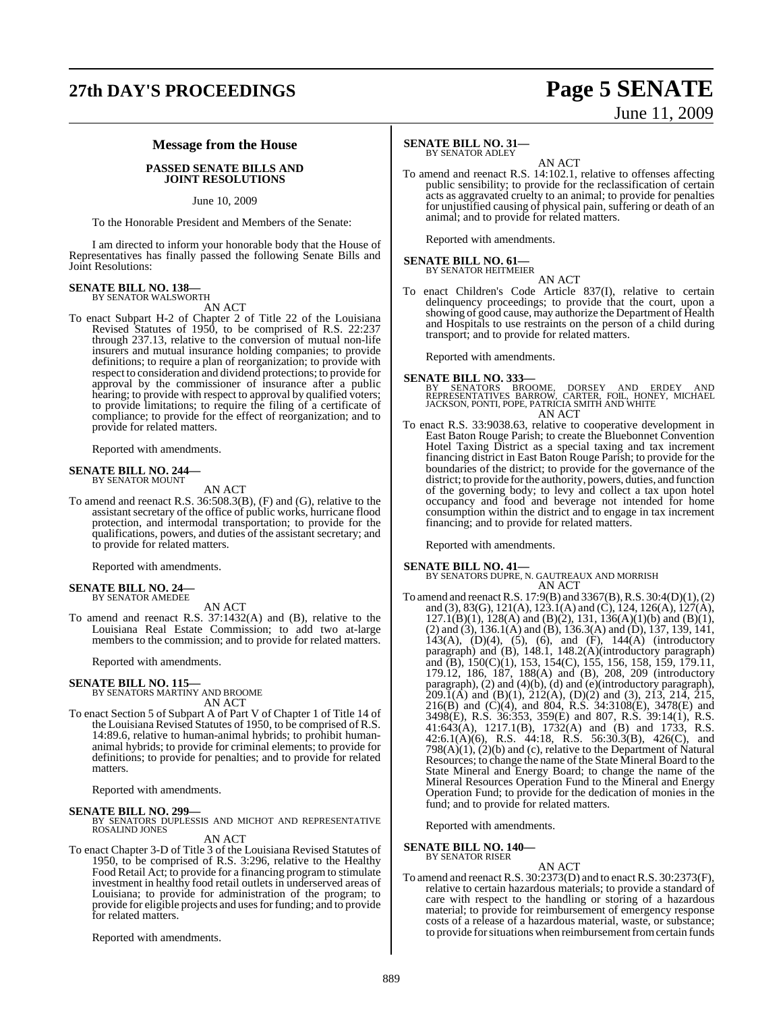# **27th DAY'S PROCEEDINGS Page 5 SENATE**

# June 11, 2009

#### **Message from the House**

#### **PASSED SENATE BILLS AND JOINT RESOLUTIONS**

#### June 10, 2009

To the Honorable President and Members of the Senate:

I am directed to inform your honorable body that the House of Representatives has finally passed the following Senate Bills and Joint Resolutions:

# **SENATE BILL NO. 138—** BY SENATOR WALSWORTH

AN ACT

To enact Subpart H-2 of Chapter 2 of Title 22 of the Louisiana Revised Statutes of 1950, to be comprised of R.S. 22:237 through 237.13, relative to the conversion of mutual non-life insurers and mutual insurance holding companies; to provide definitions; to require a plan of reorganization; to provide with respect to consideration and dividend protections; to provide for approval by the commissioner of insurance after a public hearing; to provide with respect to approval by qualified voters; to provide limitations; to require the filing of a certificate of compliance; to provide for the effect of reorganization; and to provide for related matters.

Reported with amendments.

#### **SENATE BILL NO. 244—** BY SENATOR MOUNT

AN ACT

To amend and reenact R.S. 36:508.3(B), (F) and (G), relative to the assistant secretary of the office of public works, hurricane flood protection, and intermodal transportation; to provide for the qualifications, powers, and duties of the assistant secretary; and to provide for related matters.

Reported with amendments.

# **SENATE BILL NO. 24—** BY SENATOR AMEDEE

AN ACT To amend and reenact R.S. 37:1432(A) and (B), relative to the Louisiana Real Estate Commission; to add two at-large members to the commission; and to provide for related matters.

Reported with amendments.

# **SENATE BILL NO. 115—** BY SENATORS MARTINY AND BROOME

AN ACT

To enact Section 5 of Subpart A of Part V of Chapter 1 of Title 14 of the Louisiana Revised Statutes of 1950, to be comprised of R.S. 14:89.6, relative to human-animal hybrids; to prohibit humananimal hybrids; to provide for criminal elements; to provide for definitions; to provide for penalties; and to provide for related matters.

Reported with amendments.

**SENATE BILL NO. 299—**<br>BY SENATORS DUPLESSIS AND MICHOT AND REPRESENTATIVE ROSALIND JONES AN ACT

To enact Chapter 3-D of Title 3 of the Louisiana Revised Statutes of 1950, to be comprised of R.S. 3:296, relative to the Healthy Food Retail Act; to provide for a financing program to stimulate investment in healthy food retail outlets in underserved areas of Louisiana; to provide for administration of the program; to provide for eligible projects and uses for funding; and to provide for related matters.

Reported with amendments.

## **SENATE BILL NO. 31—**

BY SENATOR ADLEY

AN ACT To amend and reenact R.S. 14:102.1, relative to offenses affecting public sensibility; to provide for the reclassification of certain acts as aggravated cruelty to an animal; to provide for penalties for unjustified causing of physical pain, suffering or death of an animal; and to provide for related matters.

Reported with amendments.

# **SENATE BILL NO. 61—** BY SENATOR HEITMEIER

AN ACT To enact Children's Code Article 837(I), relative to certain delinquency proceedings; to provide that the court, upon a showing of good cause, may authorize the Department of Health and Hospitals to use restraints on the person of a child during transport; and to provide for related matters.

Reported with amendments.

#### **SENATE BILL NO. 333—**

BY SENATORS BROOME, DORSEY AND ERDEY AND<br>REPRESENTATIVES BARROW, CARTER, FOIL, HONEY, MICHAEL<br>JACKSON,PONTI,POPE,PATRICIA SMITH AND WHITE AN ACT

To enact R.S. 33:9038.63, relative to cooperative development in East Baton Rouge Parish; to create the Bluebonnet Convention Hotel Taxing District as a special taxing and tax increment financing district in East Baton Rouge Parish; to provide for the boundaries of the district; to provide for the governance of the district; to provide forthe authority, powers, duties, and function of the governing body; to levy and collect a tax upon hotel occupancy and food and beverage not intended for home consumption within the district and to engage in tax increment financing; and to provide for related matters.

Reported with amendments.

- **SENATE BILL NO. 41—** BY SENATORS DUPRE, N. GAUTREAUX AND MORRISH AN ACT
- To amend and reenactR.S. 17:9(B) and 3367(B),R.S. 30:4(D)(1),(2) and (3), 83(G), 121(A), 123.1(A) and (C), 124, 126(A), 127(A),  $127.1(B)(1)$ ,  $128(A)$  and  $(B)(2)$ ,  $131$ ,  $136(A)(1)(b)$  and  $(B)(1)$ , (2) and (3), 136.1(A) and (B), 136.3(A) and (D), 137, 139, 141, 143(A), (D)(4), (5), (6), and (F), 144(A) (introductory paragraph) and (B), 148.1, 148.2(A)(introductory paragraph) and (B), 150(C)(1), 153, 154(C), 155, 156, 158, 159, 179.11, 179.12, 186, 187, 188(A) and (B), 208, 209 (introductory paragraph), (2) and (4)(b), (d) and (e)(introductory paragraph),  $209.\overline{1}(\hat{A})$  and  $(B)(1), 212(\hat{A}), (D)(2)$  and  $(3), 213, 214, 215,$ 216(B) and (C)(4), and 804, R.S. 34:3108(E), 3478(E) and 3498(E), R.S. 36:353, 359(E) and 807, R.S. 39:14(1), R.S. 41:643(A), 1217.1(B), 1732(A) and (B) and 1733, R.S. 42:6.1(A)(6), R.S. 44:18, R.S. 56:30.3(B), 426(C), and  $798(A)(1)$ ,  $(2)(b)$  and (c), relative to the Department of Natural Resources; to change the name of the State Mineral Board to the State Mineral and Energy Board; to change the name of the Mineral Resources Operation Fund to the Mineral and Energy Operation Fund; to provide for the dedication of monies in the fund; and to provide for related matters.

Reported with amendments.

**SENATE BILL NO. 140—**

BY SENATOR RISER

AN ACT To amend and reenact R.S. 30:2373(D) and to enactR.S. 30:2373(F), relative to certain hazardous materials; to provide a standard of care with respect to the handling or storing of a hazardous material; to provide for reimbursement of emergency response costs of a release of a hazardous material, waste, or substance; to provide for situations when reimbursement from certain funds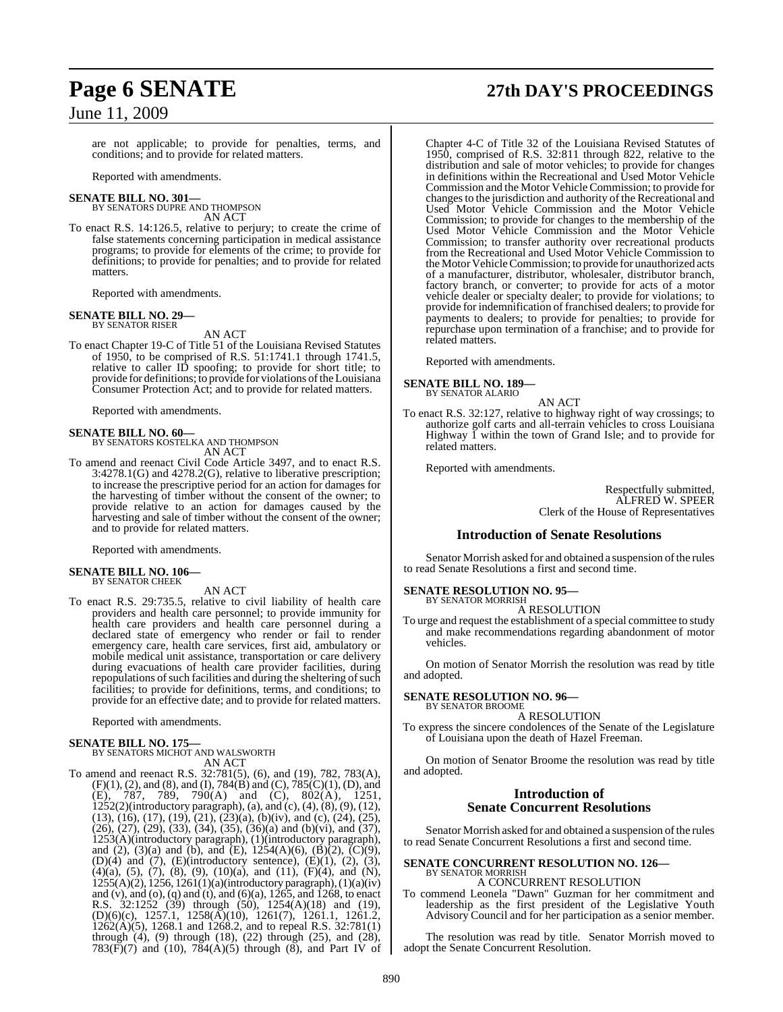are not applicable; to provide for penalties, terms, and conditions; and to provide for related matters.

Reported with amendments.

#### **SENATE BILL NO. 301—**

BY SENATORS DUPRE AND THOMPSON AN ACT

To enact R.S. 14:126.5, relative to perjury; to create the crime of false statements concerning participation in medical assistance programs; to provide for elements of the crime; to provide for definitions; to provide for penalties; and to provide for related matters.

Reported with amendments.

# **SENATE BILL NO. 29—** BY SENATOR RISER

AN ACT

To enact Chapter 19-C of Title 51 of the Louisiana Revised Statutes of 1950, to be comprised of R.S. 51:1741.1 through 1741.5, relative to caller ID spoofing; to provide for short title; to provide for definitions; to provide for violations of the Louisiana Consumer Protection Act; and to provide for related matters.

Reported with amendments.

**SENATE BILL NO. 60—** BY SENATORS KOSTELKA AND THOMPSON AN ACT

To amend and reenact Civil Code Article 3497, and to enact R.S. 3:4278.1(G) and 4278.2(G), relative to liberative prescription; to increase the prescriptive period for an action for damages for the harvesting of timber without the consent of the owner; to provide relative to an action for damages caused by the harvesting and sale of timber without the consent of the owner; and to provide for related matters.

Reported with amendments.

# **SENATE BILL NO. 106—** BY SENATOR CHEEK

AN ACT

To enact R.S. 29:735.5, relative to civil liability of health care providers and health care personnel; to provide immunity for health care providers and health care personnel during a declared state of emergency who render or fail to render emergency care, health care services, first aid, ambulatory or mobile medical unit assistance, transportation or care delivery during evacuations of health care provider facilities, during repopulations of such facilities and during the sheltering of such facilities; to provide for definitions, terms, and conditions; to provide for an effective date; and to provide for related matters.

Reported with amendments.

**SENATE BILL NO. 175—** BY SENATORS MICHOT AND WALSWORTH AN ACT

To amend and reenact R.S. 32:781(5), (6), and (19), 782, 783(A), (F)(1), (2), and (8), and (I), 784(B) and (C), 785(C)(1), (D), and (E), 787, 789, 790(A) and (C), 802(A), 1251, 1252(2)(introductory paragraph), (a), and (c), (4), (8), (9), (12),  $(13)$ ,  $(16)$ ,  $(17)$ ,  $(19)$ ,  $(21)$ ,  $(23)(a)$ ,  $(b)(iv)$ , and  $(c)$ ,  $(24)$ ,  $(25)$ ,  $(26)$ ,  $(27)$ ,  $(29)$ ,  $(33)$ ,  $(34)$ ,  $(35)$ ,  $(36)(a)$  and  $(b)(vi)$ , and  $(37)$ , 1253(A)(introductory paragraph), (1)(introductory paragraph), and (2), (3)(a) and (b), and (E),  $1254(A)(6)$ , (B)(2), (C)(9), (D)(4) and (7), (E)(introductory sentence),  $(E)(1)$ ,  $(2)$ ,  $(3)$ ,  $(4)(a)$ ,  $(5)$ ,  $(7)$ ,  $(8)$ ,  $(9)$ ,  $(10)(a)$ , and  $(11)$ ,  $(F)(4)$ , and  $(N)$ , 1255(A)(2), 1256, 1261(1)(a)(introductory paragraph), (1)(a)(iv) and (v), and (o), (q) and (t), and (6)(a), 1265, and 1268, to enact R.S. 32:1252 (39) through (50), 1254(A)(18) and (19), (D)(6)(c), 1257.1, 1258(A)(10), 1261(7), 1261.1, 1261.2, 1262(A)(5), 1268.1 and 1268.2, and to repeal R.S. 32:781(1) through (4), (9) through (18), (22) through (25), and (28),  $783(\overline{F})(7)$  and  $(10)$ ,  $784(A)(5)$  through  $(8)$ , and Part IV of

# **Page 6 SENATE 27th DAY'S PROCEEDINGS**

Chapter 4-C of Title 32 of the Louisiana Revised Statutes of 1950, comprised of R.S. 32:811 through 822, relative to the distribution and sale of motor vehicles; to provide for changes in definitions within the Recreational and Used Motor Vehicle Commission and the Motor Vehicle Commission; to provide for changes to the jurisdiction and authority of the Recreational and Used Motor Vehicle Commission and the Motor Vehicle Commission; to provide for changes to the membership of the Used Motor Vehicle Commission and the Motor Vehicle Commission; to transfer authority over recreational products from the Recreational and Used Motor Vehicle Commission to the Motor Vehicle Commission; to provide for unauthorized acts of a manufacturer, distributor, wholesaler, distributor branch, factory branch, or converter; to provide for acts of a motor vehicle dealer or specialty dealer; to provide for violations; to provide for indemnification of franchised dealers; to provide for payments to dealers; to provide for penalties; to provide for repurchase upon termination of a franchise; and to provide for related matters.

Reported with amendments.

**SENATE BILL NO. 189—** BY SENATOR ALARIO

AN ACT

To enact R.S. 32:127, relative to highway right of way crossings; to authorize golf carts and all-terrain vehicles to cross Louisiana Highway 1 within the town of Grand Isle; and to provide for related matters.

Reported with amendments.

Respectfully submitted, ALFRED W. SPEER Clerk of the House of Representatives

#### **Introduction of Senate Resolutions**

Senator Morrish asked for and obtained a suspension of the rules to read Senate Resolutions a first and second time.

**SENATE RESOLUTION NO. 95—**

BY SENATOR MORRISH A RESOLUTION

To urge and request the establishment of a special committee to study and make recommendations regarding abandonment of motor vehicles.

On motion of Senator Morrish the resolution was read by title and adopted.

#### **SENATE RESOLUTION NO. 96—** BY SENATOR BROOME

A RESOLUTION

To express the sincere condolences of the Senate of the Legislature of Louisiana upon the death of Hazel Freeman.

On motion of Senator Broome the resolution was read by title and adopted.

## **Introduction of Senate Concurrent Resolutions**

Senator Morrish asked for and obtained a suspension of the rules to read Senate Concurrent Resolutions a first and second time.

#### **SENATE CONCURRENT RESOLUTION NO. 126—** BY SENATOR MORRISH

A CONCURRENT RESOLUTION To commend Leonela "Dawn" Guzman for her commitment and leadership as the first president of the Legislative Youth Advisory Council and for her participation as a senior member.

The resolution was read by title. Senator Morrish moved to adopt the Senate Concurrent Resolution.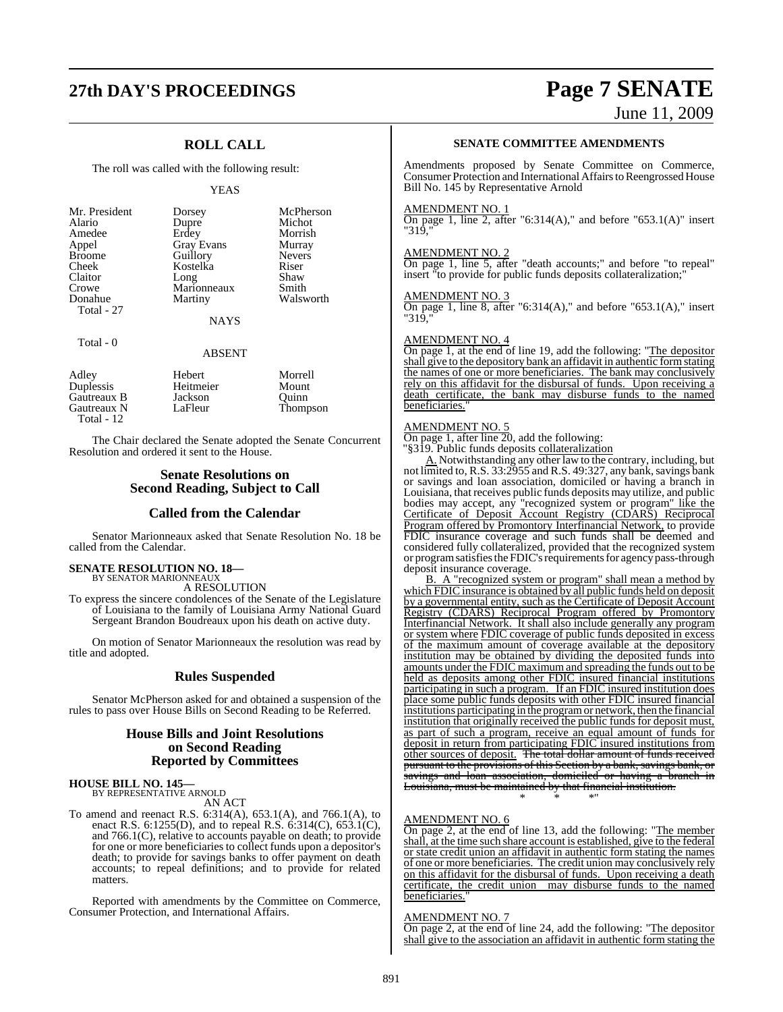# **27th DAY'S PROCEEDINGS Page 7 SENATE**

## **ROLL CALL**

The roll was called with the following result:

#### YEAS

Total - 0

# ABSENT

| Adley       | Hebert    | Morrell  |
|-------------|-----------|----------|
| Duplessis   | Heitmeier | Mount    |
| Gautreaux B | Jackson   | Ouinn    |
| Gautreaux N | LaFleur   | Thompson |
| Total - 12  |           |          |

The Chair declared the Senate adopted the Senate Concurrent Resolution and ordered it sent to the House.

#### **Senate Resolutions on Second Reading, Subject to Call**

#### **Called from the Calendar**

Senator Marionneaux asked that Senate Resolution No. 18 be called from the Calendar.

#### **SENATE RESOLUTION NO. 18—** BY SENATOR MARIONNEAUX

A RESOLUTION

To express the sincere condolences of the Senate of the Legislature of Louisiana to the family of Louisiana Army National Guard Sergeant Brandon Boudreaux upon his death on active duty.

On motion of Senator Marionneaux the resolution was read by title and adopted.

#### **Rules Suspended**

Senator McPherson asked for and obtained a suspension of the rules to pass over House Bills on Second Reading to be Referred.

## **House Bills and Joint Resolutions on Second Reading Reported by Committees**

# **HOUSE BILL NO. 145—** BY REPRESENTATIVE ARNOLD

AN ACT

To amend and reenact R.S. 6:314(A), 653.1(A), and 766.1(A), to enact R.S. 6:1255(D), and to repeal R.S. 6:314(C), 653.1(C), and 766.1(C), relative to accounts payable on death; to provide for one or more beneficiaries to collect funds upon a depositor's death; to provide for savings banks to offer payment on death accounts; to repeal definitions; and to provide for related matters.

Reported with amendments by the Committee on Commerce, Consumer Protection, and International Affairs.

June 11, 2009

#### **SENATE COMMITTEE AMENDMENTS**

Amendments proposed by Senate Committee on Commerce, Consumer Protection and International Affairsto Reengrossed House Bill No. 145 by Representative Arnold

#### AMENDMENT NO. 1

On page 1, line 2, after "6:314(A)," and before "653.1(A)" insert "319,"

#### AMENDMENT NO. 2

On page 1, line 5, after "death accounts;" and before "to repeal" insert "to provide for public funds deposits collateralization;"

#### AMENDMENT NO. 3

On page 1, line 8, after "6:314(A)," and before "653.1(A)," insert "319.

#### AMENDMENT NO. 4

On page 1, at the end of line 19, add the following: "The depositor shall give to the depository bank an affidavit in authentic formstating the names of one or more beneficiaries. The bank may conclusively rely on this affidavit for the disbursal of funds. Upon receiving a death certificate, the bank may disburse funds to the named beneficiaries.

#### AMENDMENT NO. 5

On page 1, after line 20, add the following: "§319. Public funds deposits collateralization

A. Notwithstanding any other law to the contrary, including, but not limited to, R.S. 33:2955 and R.S. 49:327, any bank, savings bank or savings and loan association, domiciled or having a branch in Louisiana, that receives public funds deposits may utilize, and public bodies may accept, any "recognized system or program<u>" like the</u> Certificate of Deposit Account Registry (CDARS) Reciprocal Program offered by Promontory Interfinancial Network, to provide FDIC insurance coverage and such funds shall be deemed and considered fully collateralized, provided that the recognized system or program satisfies the FDIC's requirements for agency pass-through deposit insurance coverage.

B. A "recognized system or program" shall mean a method by which FDIC insurance is obtained by all public funds held on deposit by a governmental entity, such as the Certificate of Deposit Account Registry (CDARS) Reciprocal Program offered by Promontory Interfinancial Network. It shall also include generally any program or system where FDIC coverage of public funds deposited in excess of the maximum amount of coverage available at the depository institution may be obtained by dividing the deposited funds into amounts under the FDIC maximum and spreading the funds out to be held as deposits among other FDIC insured financial institutions participating in such a program. If an FDIC insured institution does place some public funds deposits with other FDIC insured financial institutions participating in the program or network, then the financial institution that originally received the public funds for deposit must, as part of such a program, receive an equal amount of funds for deposit in return from participating FDIC insured institutions from other sources of deposit. The total dollar amount of funds received pursuant to the provisions of this Section by a bank, savings bank, or savings and loan association, domiciled or having a branch in Louisiana, must be maintained by that financial institution.

\* \* \*"

#### AMENDMENT NO. 6

On page 2, at the end of line 13, add the following: "The member shall, at the time such share account is established, give to the federal or state credit union an affidavit in authentic form stating the names of one or more beneficiaries. The credit union may conclusively rely on this affidavit for the disbursal of funds. Upon receiving a death certificate, the credit union may disburse funds to the named beneficiaries.

#### AMENDMENT NO. 7

On page 2, at the end of line 24, add the following: "The depositor" shall give to the association an affidavit in authentic form stating the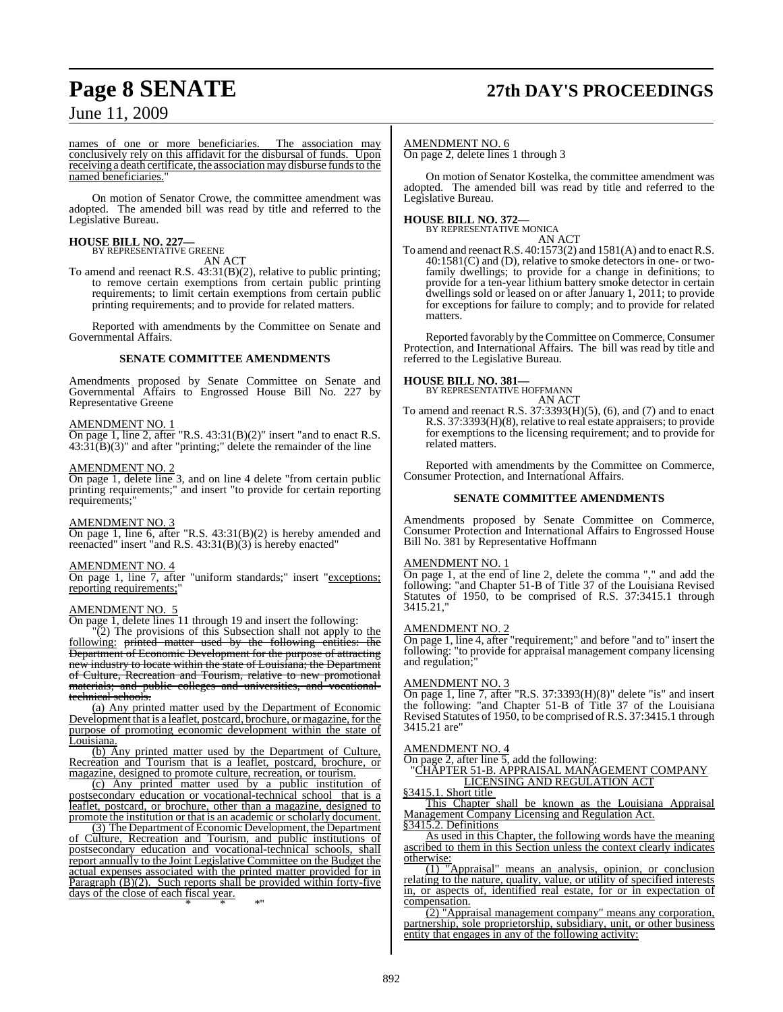# **Page 8 SENATE 27th DAY'S PROCEEDINGS**

June 11, 2009

names of one or more beneficiaries. The association may conclusively rely on this affidavit for the disbursal of funds. Upon receiving a death certificate, the association may disburse funds to the named beneficiaries.

On motion of Senator Crowe, the committee amendment was adopted. The amended bill was read by title and referred to the Legislative Bureau.

# **HOUSE BILL NO. 227—** BY REPRESENTATIVE GREENE

AN ACT

To amend and reenact R.S. 43:31(B)(2), relative to public printing; to remove certain exemptions from certain public printing requirements; to limit certain exemptions from certain public printing requirements; and to provide for related matters.

Reported with amendments by the Committee on Senate and Governmental Affairs.

#### **SENATE COMMITTEE AMENDMENTS**

Amendments proposed by Senate Committee on Senate and Governmental Affairs to Engrossed House Bill No. 227 by Representative Greene

#### AMENDMENT NO. 1

On page 1, line 2, after "R.S.  $43:31(B)(2)$ " insert "and to enact R.S.  $43:\bar{3}1(\bar{B})(3)$ " and after "printing;" delete the remainder of the line

#### AMENDMENT NO. 2

On page 1, delete line 3, and on line 4 delete "from certain public printing requirements;" and insert "to provide for certain reporting requirements;"

#### AMENDMENT NO. 3

On page 1, line 6, after "R.S. 43:31(B)(2) is hereby amended and reenacted" insert "and R.S. 43:31(B)(3) is hereby enacted"

#### AMENDMENT NO. 4

On page 1, line 7, after "uniform standards;" insert "exceptions; reporting requirements;"

#### AMENDMENT NO. 5

On page 1, delete lines 11 through 19 and insert the following:

 $\sqrt{\frac{2}{2}}$  The provisions of this Subsection shall not apply to the following: printed matter used by the following entities: the Department of Economic Development for the purpose of attracting new industry to locate within the state of Louisiana; the Department of Culture, Recreation and Tourism, relative to new promotional materials; and public colleges and universities, and vocationaltechnical schools.

(a) Any printed matter used by the Department of Economic Development that is a leaflet, postcard, brochure, or magazine, for the purpose of promoting economic development within the state of Louisiana.

(b) Any printed matter used by the Department of Culture, Recreation and Tourism that is a leaflet, postcard, brochure, or magazine, designed to promote culture, recreation, or tourism.

(c) Any printed matter used by a public institution of postsecondary education or vocational-technical school that is a leaflet, postcard, or brochure, other than a magazine, designed to promote the institution or that is an academic or scholarly document.

(3) The Department of Economic Development, the Department of Culture, Recreation and Tourism, and public institutions of postsecondary education and vocational-technical schools, shall report annually to the Joint Legislative Committee on the Budget the actual expenses associated with the printed matter provided for in Paragraph (B)(2). Such reports shall be provided within forty-five days of the close of each fiscal year.

\* \* \*"

#### AMENDMENT NO. 6

On page 2, delete lines 1 through 3

On motion of Senator Kostelka, the committee amendment was adopted. The amended bill was read by title and referred to the Legislative Bureau.

#### **HOUSE BILL NO. 372—** BY REPRESENTATIVE MONICA

AN ACT

To amend and reenact R.S. 40:1573(2) and 1581(A) and to enact R.S. 40:1581(C) and (D), relative to smoke detectors in one- or twofamily dwellings; to provide for a change in definitions; to provide for a ten-year lithium battery smoke detector in certain dwellings sold or leased on or after January 1, 2011; to provide for exceptions for failure to comply; and to provide for related matters.

Reported favorably by the Committee on Commerce, Consumer Protection, and International Affairs. The bill was read by title and referred to the Legislative Bureau.

#### **HOUSE BILL NO. 381—**

BY REPRESENTATIVE HOFFMANN AN ACT

To amend and reenact R.S. 37:3393(H)(5), (6), and (7) and to enact R.S. 37:3393(H)(8), relative to real estate appraisers; to provide for exemptions to the licensing requirement; and to provide for related matters.

Reported with amendments by the Committee on Commerce, Consumer Protection, and International Affairs.

#### **SENATE COMMITTEE AMENDMENTS**

Amendments proposed by Senate Committee on Commerce, Consumer Protection and International Affairs to Engrossed House Bill No. 381 by Representative Hoffmann

#### AMENDMENT NO. 1

On page 1, at the end of line 2, delete the comma "," and add the following: "and Chapter 51-B of Title 37 of the Louisiana Revised Statutes of 1950, to be comprised of R.S. 37:3415.1 through 3415.21,"

#### AMENDMENT NO. 2

On page 1, line 4, after "requirement;" and before "and to" insert the following: "to provide for appraisal management company licensing and regulation;"

#### AMENDMENT NO. 3

On page 1, line 7, after "R.S.  $37:3393(H)(8)$ " delete "is" and insert the following: "and Chapter 51-B of Title 37 of the Louisiana Revised Statutes of 1950, to be comprised of R.S. 37:3415.1 through 3415.21 are"

#### AMENDMENT NO. 4

On page 2, after line 5, add the following:

"CHAPTER 51-B. APPRAISAL MANAGEMENT COMPANY LICENSING AND REGULATION ACT

§3415.1. Short title

This Chapter shall be known as the Louisiana Appraisal Management Company Licensing and Regulation Act. §3415.2. Definitions

As used in this Chapter, the following words have the meaning ascribed to them in this Section unless the context clearly indicates otherwise:

(1) "Appraisal" means an analysis, opinion, or conclusion relating to the nature, quality, value, or utility of specified interests in, or aspects of, identified real estate, for or in expectation of compensation.

(2) "Appraisal management company" means any corporation, partnership, sole proprietorship, subsidiary, unit, or other business entity that engages in any of the following activity: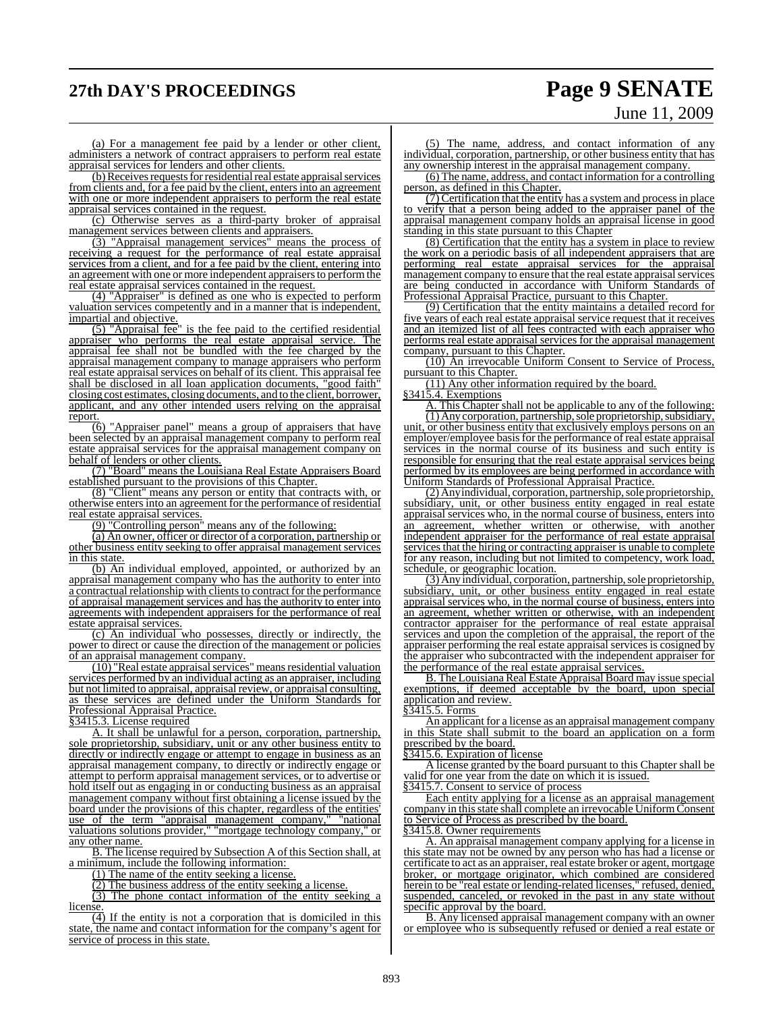# **27th DAY'S PROCEEDINGS Page 9 SENATE**

# June 11, 2009

(a) For a management fee paid by a lender or other client, administers a network of contract appraisers to perform real estate appraisal services for lenders and other clients.

(b) Receives requests for residential real estate appraisal services from clients and, for a fee paid by the client, enters into an agreement with one or more independent appraisers to perform the real estate appraisal services contained in the request.

(c) Otherwise serves as a third-party broker of appraisal management services between clients and appraisers.

(3) "Appraisal management services" means the process of receiving a request for the performance of real estate appraisal services from a client, and for a fee paid by the client, entering into an agreement with one or more independent appraisers to perform the real estate appraisal services contained in the request.

(4) "Appraiser" is defined as one who is expected to perform valuation services competently and in a manner that is independent, impartial and objective.

(5) "Appraisal fee" is the fee paid to the certified residential appraiser who performs the real estate appraisal service. The appraisal fee shall not be bundled with the fee charged by the appraisal management company to manage appraisers who perform real estate appraisal services on behalf of its client. This appraisal fee shall be disclosed in all loan application documents, "good faith" closing cost estimates, closing documents, and to the client, borrower, applicant, and any other intended users relying on the appraisal report.

 $\frac{1}{6}$ ) "Appraiser panel" means a group of appraisers that have been selected by an appraisal management company to perform real estate appraisal services for the appraisal management company on behalf of lenders or other clients.

(7) "Board" means the Louisiana Real Estate Appraisers Board established pursuant to the provisions of this Chapter.

(8) "Client" means any person or entity that contracts with, or otherwise enters into an agreement for the performance of residential real estate appraisal services.

(9) "Controlling person" means any of the following:

(a) An owner, officer or director of a corporation, partnership or other business entity seeking to offer appraisal management services in this state.

(b) An individual employed, appointed, or authorized by an appraisal management company who has the authority to enter into a contractual relationship with clients to contract for the performance of appraisal management services and has the authority to enter into agreements with independent appraisers for the performance of real estate appraisal services.

(c) An individual who possesses, directly or indirectly, the power to direct or cause the direction of the management or policies of an appraisal management company.

(10) "Real estate appraisal services" means residential valuation services performed by an individual acting as an appraiser, including but not limited to appraisal, appraisal review, or appraisal consulting, as these services are defined under the Uniform Standards for Professional Appraisal Practice.

§3415.3. License required

A. It shall be unlawful for a person, corporation, partnership, sole proprietorship, subsidiary, unit or any other business entity to directly or indirectly engage or attempt to engage in business as an appraisal management company, to directly or indirectly engage or attempt to perform appraisal management services, or to advertise or hold itself out as engaging in or conducting business as an appraisal management company without first obtaining a license issued by the board under the provisions of this chapter, regardless of the entities' use of the term "appraisal management company," "national valuations solutions provider," "mortgage technology company," or any other name.

B. The license required by Subsection A of this Section shall, at a minimum, include the following information:

(1) The name of the entity seeking a license.

(2) The business address of the entity seeking a license.

(3) The phone contact information of the entity seeking a license.

(4) If the entity is not a corporation that is domiciled in this state, the name and contact information for the company's agent for service of process in this state.

(5) The name, address, and contact information of any individual, corporation, partnership, or other business entity that has any ownership interest in the appraisal management company.

(6) The name, address, and contact information for a controlling person, as defined in this Chapter.

 $(7)$  Certification that the entity has a system and process in place to verify that a person being added to the appraiser panel of the appraisal management company holds an appraisal license in good standing in this state pursuant to this Chapter

(8) Certification that the entity has a system in place to review the work on a periodic basis of all independent appraisers that are performing real estate appraisal services for the appraisal management company to ensure that the real estate appraisal services are being conducted in accordance with Uniform Standards of Professional Appraisal Practice, pursuant to this Chapter.

(9) Certification that the entity maintains a detailed record for five years of each real estate appraisal service request that it receives and an itemized list of all fees contracted with each appraiser who performs real estate appraisal services for the appraisal management company, pursuant to this Chapter.

(10) An irrevocable Uniform Consent to Service of Process, pursuant to this Chapter.

(11) Any other information required by the board.

§3415.4. Exemptions

A. This Chapter shall not be applicable to any of the following: (1) Any corporation, partnership, sole proprietorship, subsidiary, unit, or other business entity that exclusively employs persons on an employer/employee basis for the performance of real estate appraisal services in the normal course of its business and such entity is responsible for ensuring that the real estate appraisal services being performed by its employees are being performed in accordance with Uniform Standards of Professional Appraisal Practice.

(2) Any individual, corporation, partnership, sole proprietorship, subsidiary, unit, or other business entity engaged in real estate appraisal services who, in the normal course of business, enters into an agreement, whether written or otherwise, with another independent appraiser for the performance of real estate appraisal services that the hiring or contracting appraiser is unable to complete for any reason, including but not limited to competency, work load, schedule, or geographic location.

(3) Any individual, corporation, partnership, sole proprietorship, subsidiary, unit, or other business entity engaged in real estate appraisal services who, in the normal course of business, enters into an agreement, whether written or otherwise, with an independent contractor appraiser for the performance of real estate appraisal services and upon the completion of the appraisal, the report of the appraiser performing the real estate appraisal services is cosigned by the appraiser who subcontracted with the independent appraiser for the performance of the real estate appraisal services.

B. The Louisiana Real Estate Appraisal Board may issue special exemptions, if deemed acceptable by the board, upon special application and review.

§3415.5. Forms

An applicant for a license as an appraisal management company in this State shall submit to the board an application on a form prescribed by the board.

§3415.6. Expiration of license

A license granted by the board pursuant to this Chapter shall be valid for one year from the date on which it is issued. §3415.7. Consent to service of process

Each entity applying for a license as an appraisal management company in this state shall complete an irrevocable Uniform Consent to Service of Process as prescribed by the board.

§3415.8. Owner requirements

A. An appraisal management company applying for a license in this state may not be owned by any person who has had a license or certificate to act as an appraiser, real estate broker or agent, mortgage broker, or mortgage originator, which combined are considered herein to be "real estate or lending-related licenses," refused, denied, suspended, canceled, or revoked in the past in any state without specific approval by the board.

B. Any licensed appraisal management company with an owner or employee who is subsequently refused or denied a real estate or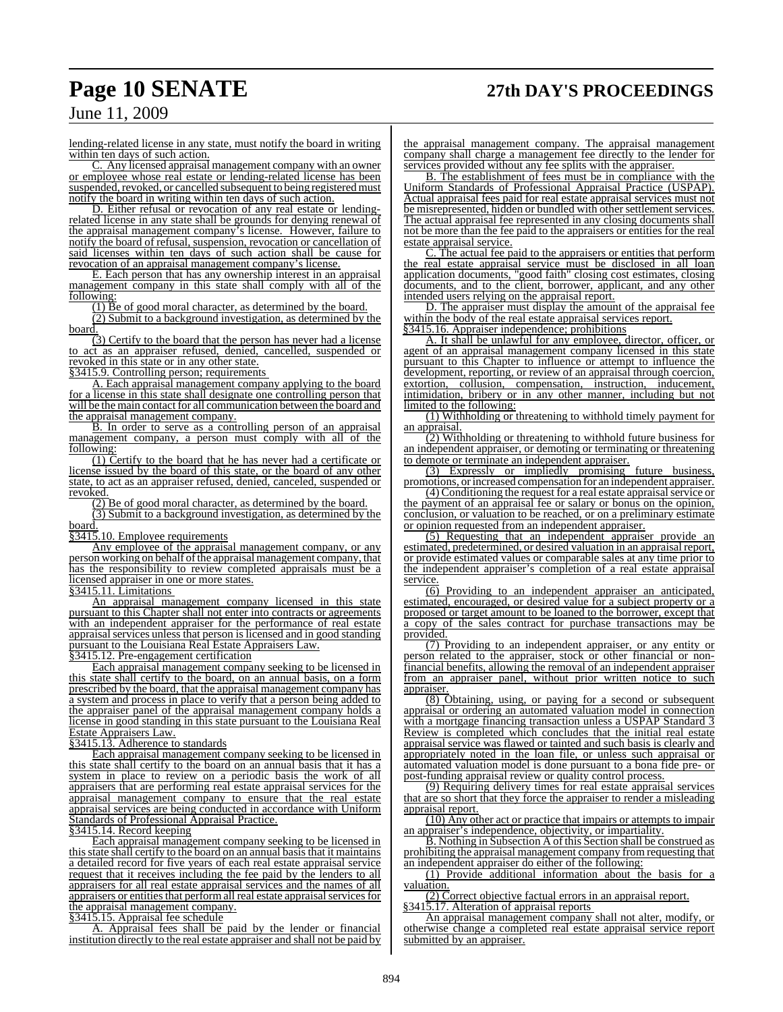# **Page 10 SENATE 27th DAY'S PROCEEDINGS**

## June 11, 2009

lending-related license in any state, must notify the board in writing within ten days of such action.

C. Any licensed appraisal management company with an owner or employee whose real estate or lending-related license has been suspended, revoked, or cancelled subsequent to being registered must notify the board in writing within ten days of such action.

D. Either refusal or revocation of any real estate or lendingrelated license in any state shall be grounds for denying renewal of the appraisal management company's license. However, failure to notify the board of refusal, suspension, revocation or cancellation of said licenses within ten days of such action shall be cause for revocation of an appraisal management company's license.

E. Each person that has any ownership interest in an appraisal management company in this state shall comply with all of the following:

(1) Be of good moral character, as determined by the board.

(2) Submit to a background investigation, as determined by the board.

(3) Certify to the board that the person has never had a license to act as an appraiser refused, denied, cancelled, suspended or revoked in this state or in any other state.

§3415.9. Controlling person; requirements

A. Each appraisal management company applying to the board for a license in this state shall designate one controlling person that will be the main contact for all communication between the board and the appraisal management company.

B. In order to serve as a controlling person of an appraisal management company, a person must comply with all of the following:

(1) Certify to the board that he has never had a certificate or license issued by the board of this state, or the board of any other state, to act as an appraiser refused, denied, canceled, suspended or revoked.

(2) Be of good moral character, as determined by the board. (3) Submit to a background investigation, as determined by the board.

§3415.10. Employee requirements

Any employee of the appraisal management company, or any person working on behalf ofthe appraisal management company, that has the responsibility to review completed appraisals must be a

licensed appraiser in one or more states.

§3415.11. Limitations

An appraisal management company licensed in this state pursuant to this Chapter shall not enter into contracts or agreements with an independent appraiser for the performance of real estate appraisal services unless that person is licensed and in good standing pursuant to the Louisiana Real Estate Appraisers Law.

§3415.12. Pre-engagement certification

Each appraisal management company seeking to be licensed in this state shall certify to the board, on an annual basis, on a form prescribed by the board, that the appraisal management company has a system and process in place to verify that a person being added to the appraiser panel of the appraisal management company holds a license in good standing in this state pursuant to the Louisiana Real Estate Appraisers Law.

§3415.13. Adherence to standards

Each appraisal management company seeking to be licensed in this state shall certify to the board on an annual basis that it has a system in place to review on a periodic basis the work of all appraisers that are performing real estate appraisal services for the appraisal management company to ensure that the real estate appraisal services are being conducted in accordance with Uniform Standards of Professional Appraisal Practice.

#### §3415.14. Record keeping

Each appraisal management company seeking to be licensed in thisstate shall certify to the board on an annual basis that it maintains a detailed record for five years of each real estate appraisal service request that it receives including the fee paid by the lenders to all appraisers for all real estate appraisal services and the names of all appraisers or entities that perform all real estate appraisal services for the appraisal management company.

§3415.15. Appraisal fee schedule

A. Appraisal fees shall be paid by the lender or financial institution directly to the real estate appraiser and shall not be paid by the appraisal management company. The appraisal management company shall charge a management fee directly to the lender for services provided without any fee splits with the appraiser.

B. The establishment of fees must be in compliance with the Uniform Standards of Professional Appraisal Practice (USPAP). Actual appraisal fees paid for real estate appraisal services must not be misrepresented, hidden or bundled with other settlement services. The actual appraisal fee represented in any closing documents shall not be more than the fee paid to the appraisers or entities for the real estate appraisal service.

C. The actual fee paid to the appraisers or entities that perform the real estate appraisal service must be disclosed in all loan application documents, "good faith" closing cost estimates, closing documents, and to the client, borrower, applicant, and any other intended users relying on the appraisal report.

D. The appraiser must display the amount of the appraisal fee within the body of the real estate appraisal services report. §3415.16. Appraiser independence; prohibitions

A. It shall be unlawful for any employee, director, officer, or agent of an appraisal management company licensed in this state pursuant to this Chapter to influence or attempt to influence the development, reporting, or review of an appraisal through coercion, extortion, collusion, compensation, instruction, inducement, intimidation, bribery or in any other manner, including but not limited to the following:

(1) Withholding or threatening to withhold timely payment for an appraisal.

(2) Withholding or threatening to withhold future business for an independent appraiser, or demoting or terminating or threatening to demote or terminate an independent appraiser.

(3) Expressly or impliedly promising future business, promotions, orincreased compensation for an independent appraiser.

(4) Conditioning the request for a real estate appraisalservice or the payment of an appraisal fee or salary or bonus on the opinion, conclusion, or valuation to be reached, or on a preliminary estimate or opinion requested from an independent appraiser.

(5) Requesting that an independent appraiser provide an estimated, predetermined, or desired valuation in an appraisal report, or provide estimated values or comparable sales at any time prior to the independent appraiser's completion of a real estate appraisal service.

(6) Providing to an independent appraiser an anticipated, estimated, encouraged, or desired value for a subject property or a proposed or target amount to be loaned to the borrower, except that a copy of the sales contract for purchase transactions may be provided.

(7) Providing to an independent appraiser, or any entity or person related to the appraiser, stock or other financial or nonfinancial benefits, allowing the removal of an independent appraiser from an appraiser panel, without prior written notice to such appraiser.

(8) Obtaining, using, or paying for a second or subsequent appraisal or ordering an automated valuation model in connection with a mortgage financing transaction unless a USPAP Standard 3 Review is completed which concludes that the initial real estate appraisal service was flawed or tainted and such basis is clearly and appropriately noted in the loan file, or unless such appraisal or automated valuation model is done pursuant to a bona fide pre- or post-funding appraisal review or quality control process.

(9) Requiring delivery times for real estate appraisal services that are so short that they force the appraiser to render a misleading appraisal report.

(10) Any other act or practice that impairs or attempts to impair an appraiser's independence, objectivity, or impartiality.

B. Nothing in Subsection A of this Section shall be construed as prohibiting the appraisal management company from requesting that an independent appraiser do either of the following:

(1) Provide additional information about the basis for a valuation.

(2) Correct objective factual errors in an appraisal report. §3415.17. Alteration of appraisal reports

An appraisal management company shall not alter, modify, or otherwise change a completed real estate appraisal service report submitted by an appraiser.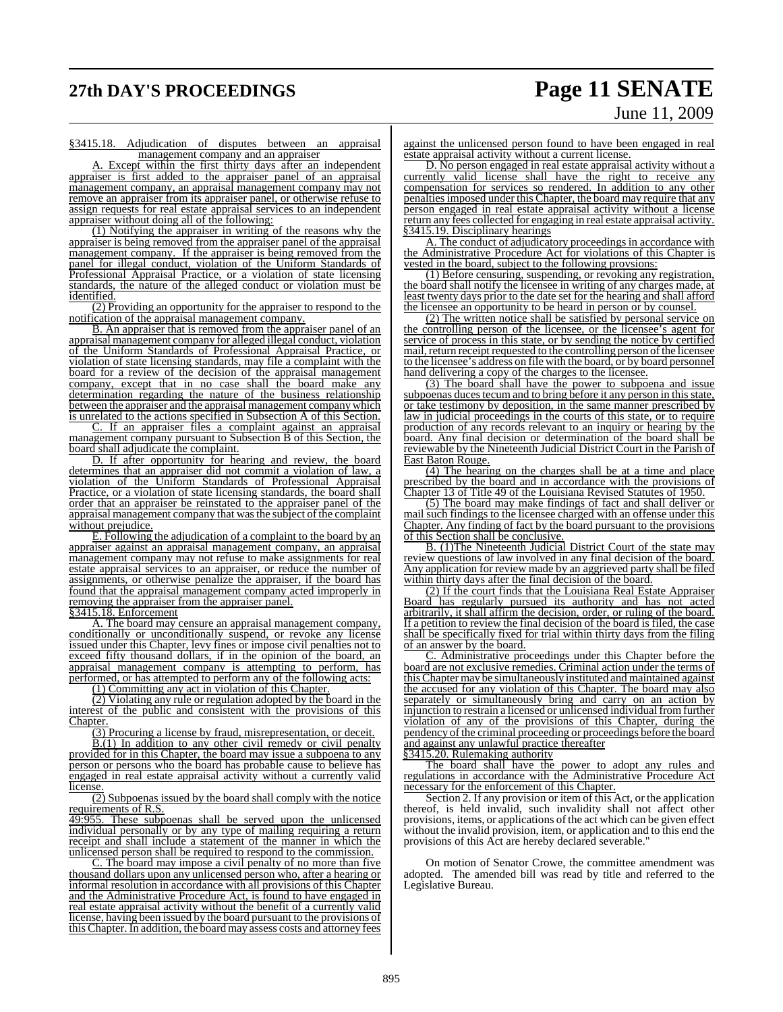# **27th DAY'S PROCEEDINGS Page 11 SENATE**

# June 11, 2009

§3415.18. Adjudication of disputes between an appraisal management company and an appraiser

A. Except within the first thirty days after an independent appraiser is first added to the appraiser panel of an appraisal management company, an appraisal management company may not remove an appraiser from its appraiser panel, or otherwise refuse to assign requests for real estate appraisal services to an independent appraiser without doing all of the following:

(1) Notifying the appraiser in writing of the reasons why the appraiser is being removed from the appraiser panel of the appraisal management company. If the appraiser is being removed from the panel for illegal conduct, violation of the Uniform Standards of Professional Appraisal Practice, or a violation of state licensing standards, the nature of the alleged conduct or violation must be identified.

(2) Providing an opportunity for the appraiser to respond to the notification of the appraisal management company.

B. An appraiser that is removed from the appraiser panel of an appraisal management company for alleged illegal conduct, violation of the Uniform Standards of Professional Appraisal Practice, or violation of state licensing standards, may file a complaint with the board for a review of the decision of the appraisal management company, except that in no case shall the board make any determination regarding the nature of the business relationship between the appraiser and the appraisal management company which is unrelated to the actions specified in Subsection A of this Section.

C. If an appraiser files a complaint against an appraisal management company pursuant to Subsection B of this Section, the board shall adjudicate the complaint.

D. If after opportunity for hearing and review, the board determines that an appraiser did not commit a violation of law, a violation of the Uniform Standards of Professional Appraisal Practice, or a violation of state licensing standards, the board shall order that an appraiser be reinstated to the appraiser panel of the appraisal management company that was the subject of the complaint without prejudice.

E. Following the adjudication of a complaint to the board by an appraiser against an appraisal management company, an appraisal management company may not refuse to make assignments for real estate appraisal services to an appraiser, or reduce the number of assignments, or otherwise penalize the appraiser, if the board has found that the appraisal management company acted improperly in removing the appraiser from the appraiser panel.

§3415.18. Enforcement

A. The board may censure an appraisal management company, conditionally or unconditionally suspend, or revoke any license issued under this Chapter, levy fines or impose civil penalties not to exceed fifty thousand dollars, if in the opinion of the board, an appraisal management company is attempting to perform, has performed, or has attempted to perform any of the following acts:

(1) Committing any act in violation of this Chapter.

(2) Violating any rule or regulation adopted by the board in the interest of the public and consistent with the provisions of this Chapter

(3) Procuring a license by fraud, misrepresentation, or deceit.

B.(1) In addition to any other civil remedy or civil penalty provided for in this Chapter, the board may issue a subpoena to any person or persons who the board has probable cause to believe has engaged in real estate appraisal activity without a currently valid license.

#### (2) Subpoenas issued by the board shall comply with the notice requirements of R.S.

49:955. These subpoenas shall be served upon the unlicensed individual personally or by any type of mailing requiring a return receipt and shall include a statement of the manner in which the unlicensed person shall be required to respond to the commission.

The board may impose a civil penalty of no more than five thousand dollars upon any unlicensed person who, after a hearing or informal resolution in accordance with all provisions of this Chapter and the Administrative Procedure Act, is found to have engaged in real estate appraisal activity without the benefit of a currently valid license, having been issued by the board pursuant to the provisions of this Chapter. In addition, the board may assess costs and attorney fees

against the unlicensed person found to have been engaged in real estate appraisal activity without a current license.

D. No person engaged in real estate appraisal activity without a currently valid license shall have the right to receive any compensation for services so rendered. In addition to any other penalties imposed under this Chapter, the board may require that any person engaged in real estate appraisal activity without a license return any fees collected for engaging in real estate appraisal activity. §3415.19. Disciplinary hearings

A. The conduct of adjudicatory proceedings in accordance with the Administrative Procedure Act for violations of this Chapter is vested in the board, subject to the following provsions:

(1) Before censuring, suspending, or revoking any registration, the board shall notify the licensee in writing of any charges made, at least twenty days prior to the date set for the hearing and shall afford the licensee an opportunity to be heard in person or by counsel.

(2) The written notice shall be satisfied by personal service on the controlling person of the licensee, or the licensee's agent for service of process in this state, or by sending the notice by certified mail, return receipt requested to the controlling person of the licensee to the licensee's address on file with the board, or by board personnel hand delivering a copy of the charges to the licensee.

(3) The board shall have the power to subpoena and issue subpoenas duces tecum and to bring before it any person in this state, or take testimony by deposition, in the same manner prescribed by law in judicial proceedings in the courts of this state, or to require production of any records relevant to an inquiry or hearing by the board. Any final decision or determination of the board shall be reviewable by the Nineteenth Judicial District Court in the Parish of East Baton Rouge.

(4) The hearing on the charges shall be at a time and place prescribed by the board and in accordance with the provisions of Chapter 13 of Title 49 of the Louisiana Revised Statutes of 1950.

(5) The board may make findings of fact and shall deliver or mail such findings to the licensee charged with an offense under this Chapter. Any finding of fact by the board pursuant to the provisions of this Section shall be conclusive.

B. (1)The Nineteenth Judicial District Court of the state may review questions of law involved in any final decision of the board. Any application for review made by an aggrieved party shall be filed within thirty days after the final decision of the board.

(2) If the court finds that the Louisiana Real Estate Appraiser Board has regularly pursued its authority and has not acted arbitrarily, it shall affirm the decision, order, or ruling of the board. If a petition to review the final decision of the board is filed, the case shall be specifically fixed for trial within thirty days from the filing of an answer by the board.

C. Administrative proceedings under this Chapter before the board are not exclusive remedies. Criminal action under the terms of thisChapter may be simultaneously instituted and maintained against the accused for any violation of this Chapter. The board may also separately or simultaneously bring and carry on an action by injunction to restrain a licensed or unlicensed individual from further violation of any of the provisions of this Chapter, during the pendency ofthe criminal proceeding or proceedings before the board and against any unlawful practice thereafter

§3415.20. Rulemaking authority

The board shall have the power to adopt any rules and regulations in accordance with the Administrative Procedure Act necessary for the enforcement of this Chapter.

Section 2. If any provision or item of this Act, or the application thereof, is held invalid, such invalidity shall not affect other provisions, items, or applications of the act which can be given effect without the invalid provision, item, or application and to this end the provisions of this Act are hereby declared severable."

On motion of Senator Crowe, the committee amendment was adopted. The amended bill was read by title and referred to the Legislative Bureau.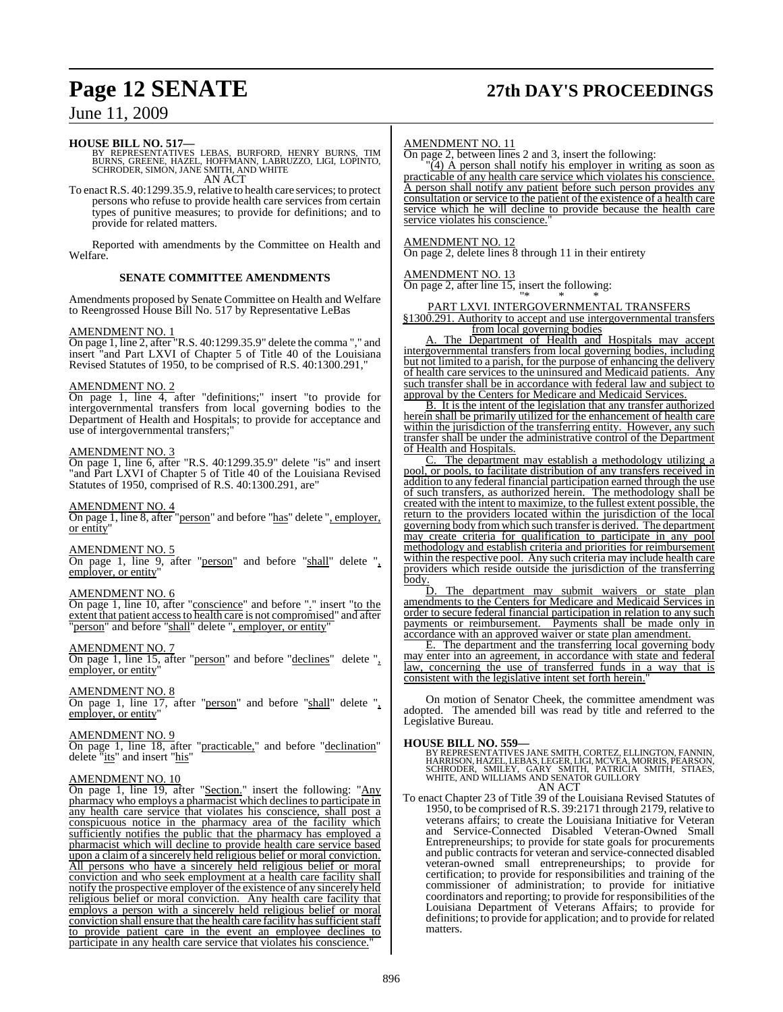# **Page 12 SENATE 27th DAY'S PROCEEDINGS**

## June 11, 2009

### **HOUSE BILL NO. 517—**

BY REPRESENTATIVES LEBAS, BURFORD, HENRY BURNS, TIM<br>BURNS, GREENE, HAZEL, HOFFMANN, LABRUZZO, LIGI, LOPINTO,<br>SCHRODER, SIMON, JANE SMITH, AND WHITE AN ACT

To enact R.S. 40:1299.35.9, relative to health care services; to protect persons who refuse to provide health care services from certain types of punitive measures; to provide for definitions; and to provide for related matters.

Reported with amendments by the Committee on Health and Welfare.

#### **SENATE COMMITTEE AMENDMENTS**

Amendments proposed by Senate Committee on Health and Welfare to Reengrossed House Bill No. 517 by Representative LeBas

#### AMENDMENT NO. 1

On page 1, line 2, after "R.S. 40:1299.35.9" delete the comma "," and insert "and Part LXVI of Chapter 5 of Title 40 of the Louisiana Revised Statutes of 1950, to be comprised of R.S. 40:1300.291,"

#### AMENDMENT NO. 2

On page 1, line 4, after "definitions;" insert "to provide for intergovernmental transfers from local governing bodies to the Department of Health and Hospitals; to provide for acceptance and use of intergovernmental transfers;"

#### AMENDMENT NO. 3

On page 1, line 6, after "R.S. 40:1299.35.9" delete "is" and insert "and Part LXVI of Chapter 5 of Title 40 of the Louisiana Revised Statutes of 1950, comprised of R.S. 40:1300.291, are"

#### AMENDMENT NO. 4

On page 1, line 8, after "person" and before "has" delete ", employer, or entity"

#### AMENDMENT NO. 5

On page 1, line 9, after "person" and before "shall" delete ", employer, or entity"

#### AMENDMENT NO. 6

On page 1, line 10, after "conscience" and before "." insert "to the extent that patient accessto health care is not compromised" and after "person" and before "shall" delete ", employer, or entity"

#### AMENDMENT NO. 7

On page 1, line 15, after "person" and before "declines" delete ", employer, or entity"

#### AMENDMENT NO. 8

On page 1, line 17, after "person" and before "shall" delete ", employer, or entity"

#### AMENDMENT NO. 9

On page 1, line 18, after "practicable," and before "declination" delete "its" and insert "his"

#### AMENDMENT NO. 10

On page 1, line 19, after "Section." insert the following: "Any pharmacy who employs a pharmacist which declines to participate in any health care service that violates his conscience, shall post a conspicuous notice in the pharmacy area of the facility which sufficiently notifies the public that the pharmacy has employed a pharmacist which will decline to provide health care service based upon a claim of a sincerely held religious belief or moral conviction. All persons who have a sincerely held religious belief or moral conviction and who seek employment at a health care facility shall notify the prospective employer of the existence of any sincerely held religious belief or moral conviction. Any health care facility that employs a person with a sincerely held religious belief or moral conviction shall ensure that the health care facility has sufficient staff to provide patient care in the event an employee declines to participate in any health care service that violates his conscience.

#### AMENDMENT NO. 11

On page 2, between lines 2 and 3, insert the following:

 $\sqrt{4}$ ) A person shall notify his employer in writing as soon as practicable of any health care service which violates his conscience. A person shall notify any patient before such person provides any consultation or service to the patient of the existence of a health care service which he will decline to provide because the health care service violates his conscience.

#### AMENDMENT NO. 12

On page 2, delete lines 8 through 11 in their entirety

#### AMENDMENT NO. 13

On page 2, after line 15, insert the following:

"\* \* \*

## PART LXVI. INTERGOVERNMENTAL TRANSFERS

§1300.291. Authority to accept and use intergovernmental transfers from local governing bodies

A. The Department of Health and Hospitals may accept intergovernmental transfers from local governing bodies, including but not limited to a parish, for the purpose of enhancing the delivery of health care services to the uninsured and Medicaid patients. Any such transfer shall be in accordance with federal law and subject to approval by the Centers for Medicare and Medicaid Services.

B. It is the intent of the legislation that any transfer authorized herein shall be primarily utilized for the enhancement of health care within the jurisdiction of the transferring entity. However, any such transfer shall be under the administrative control of the Department of Health and Hospitals.

C. The department may establish a methodology utilizing a pool, or pools, to facilitate distribution of any transfers received in addition to any federal financial participation earned through the use of such transfers, as authorized herein. The methodology shall be created with the intent to maximize, to the fullest extent possible, the return to the providers located within the jurisdiction of the local governing body fromwhich such transfer is derived. The department may create criteria for qualification to participate in any pool methodology and establish criteria and priorities for reimbursement within the respective pool. Any such criteria may include health care providers which reside outside the jurisdiction of the transferring body.<br>D

The department may submit waivers or state plan amendments to the Centers for Medicare and Medicaid Services in order to secure federal financial participation in relation to any such payments or reimbursement. Payments shall be made only in accordance with an approved waiver or state plan amendment.

E. The department and the transferring local governing body may enter into an agreement, in accordance with state and federal law, concerning the use of transferred funds in a way that is consistent with the legislative intent set forth herein.

On motion of Senator Cheek, the committee amendment was adopted. The amended bill was read by title and referred to the Legislative Bureau.

**HOUSE BILL NO. 559—**<br>BY REPRESENTATIVES JANE SMITH, CORTEZ, ELLINGTON, FANNIN, HARRISON, HARRISON, SCHRODER, SMILEBAS, LEGER, LIGI, MCVEA, MORRIS, PEARSON, SCHRODER, SMILEY, GARY SMITH, PATRICIA SMITH, STIAES, WHITE, AND AN ACT

To enact Chapter 23 of Title 39 of the Louisiana Revised Statutes of 1950, to be comprised ofR.S. 39:2171 through 2179, relative to veterans affairs; to create the Louisiana Initiative for Veteran and Service-Connected Disabled Veteran-Owned Small Entrepreneurships; to provide for state goals for procurements and public contracts for veteran and service-connected disabled veteran-owned small entrepreneurships; to provide for certification; to provide for responsibilities and training of the commissioner of administration; to provide for initiative coordinators and reporting; to provide for responsibilities of the Louisiana Department of Veterans Affairs; to provide for definitions; to provide for application; and to provide for related matters.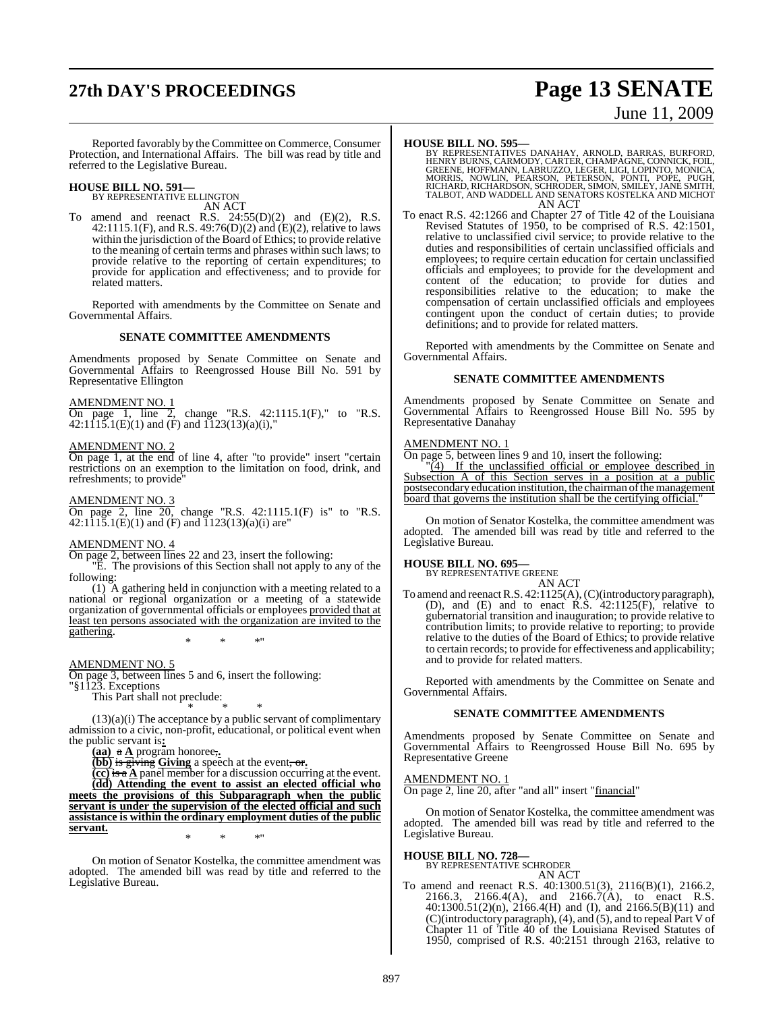# **27th DAY'S PROCEEDINGS Page 13 SENATE** June 11, 2009

Reported favorably by the Committee on Commerce, Consumer Protection, and International Affairs. The bill was read by title and referred to the Legislative Bureau.

# **HOUSE BILL NO. 591—** BY REPRESENTATIVE ELLINGTON

AN ACT

To amend and reenact R.S.  $24:55(D)(2)$  and  $(E)(2)$ , R.S. 42:1115.1(F), and R.S. 49:76(D)(2) and (E)(2), relative to laws within the jurisdiction of the Board of Ethics; to provide relative to the meaning of certain terms and phrases within such laws; to provide relative to the reporting of certain expenditures; to provide for application and effectiveness; and to provide for related matters.

Reported with amendments by the Committee on Senate and Governmental Affairs.

#### **SENATE COMMITTEE AMENDMENTS**

Amendments proposed by Senate Committee on Senate and Governmental Affairs to Reengrossed House Bill No. 591 by Representative Ellington

#### AMENDMENT NO. 1

On page 1, line 2, change "R.S. 42:1115.1(F)," to "R.S.  $42:1115.1(E)(1)$  and  $(F)$  and  $1123(13)(a)(i)$ ,"

## AMENDMENT NO. 2

On page 1, at the end of line 4, after "to provide" insert "certain restrictions on an exemption to the limitation on food, drink, and refreshments; to provide"

#### AMENDMENT NO. 3

On page 2, line 20, change "R.S. 42:1115.1(F) is" to "R.S. 42:1115.1(E)(1) and (F) and 1123(13)(a)(i) are"

#### AMENDMENT NO. 4

On page 2, between lines 22 and 23, insert the following:

"E. The provisions of this Section shall not apply to any of the following:

(1) A gathering held in conjunction with a meeting related to a national or regional organization or a meeting of a statewide organization of governmental officials or employees provided that at least ten persons associated with the organization are invited to the gathering.

\* \* \*"

#### AMENDMENT NO. 5

On page 3, between lines 5 and 6, insert the following:

"§1123. Exceptions

This Part shall not preclude:

\* \* \* (13)(a)(i) The acceptance by a public servant of complimentary admission to a civic, non-profit, educational, or political event when the public servant is**:**

**(aa)** a **A** program honoree,**.**

**(bb)** is giving **Giving** a speech at the event, or**.**

**(cc)** is a **A** panel member for a discussion occurring at the event. **(dd) Attending the event to assist an elected official who meets the provisions of this Subparagraph when the public servant is under the supervision of the elected official and such assistance is within the ordinary employment duties of the public servant.**

On motion of Senator Kostelka, the committee amendment was adopted. The amended bill was read by title and referred to the Legislative Bureau.

\* \* \*"

**HOUSE BILL NO. 595—**<br>BY REPRESENTATIVES DANAHAY, ARNOLD, BARRAS, BURFORD,<br>HENRY BURNS, CARMODY, CARTER, CHAMPAGNE, CONNICK, FOIL,<br>GREENE, HOFFMANN, LABRUZZO, LEGER, LIGI, LOPINTO, MONICA,<br>MORRIS, NOWLIN, PEARSON, PETERSON TALBOT, AND WADDELL AND SENATORS KOSTELKA AND MICHOT AN ACT

To enact R.S. 42:1266 and Chapter 27 of Title 42 of the Louisiana Revised Statutes of 1950, to be comprised of R.S. 42:1501, relative to unclassified civil service; to provide relative to the duties and responsibilities of certain unclassified officials and employees; to require certain education for certain unclassified officials and employees; to provide for the development and content of the education; to provide for duties and responsibilities relative to the education; to make the compensation of certain unclassified officials and employees contingent upon the conduct of certain duties; to provide definitions; and to provide for related matters.

Reported with amendments by the Committee on Senate and Governmental Affairs.

#### **SENATE COMMITTEE AMENDMENTS**

Amendments proposed by Senate Committee on Senate and Governmental Affairs to Reengrossed House Bill No. 595 by Representative Danahay

#### AMENDMENT NO. 1

On page 5, between lines 9 and 10, insert the following:

"(4) If the unclassified official or employee described in Subsection A of this Section serves in a position at a public postsecondary education institution, the chairman of the management board that governs the institution shall be the certifying official.

On motion of Senator Kostelka, the committee amendment was adopted. The amended bill was read by title and referred to the Legislative Bureau.

#### **HOUSE BILL NO. 695—**

BY REPRESENTATIVE GREENE AN ACT

To amend and reenactR.S. 42:1125(A),(C)(introductory paragraph), (D), and (E) and to enact R.S. 42:1125(F), relative to gubernatorial transition and inauguration; to provide relative to contribution limits; to provide relative to reporting; to provide relative to the duties of the Board of Ethics; to provide relative to certain records; to provide for effectiveness and applicability; and to provide for related matters.

Reported with amendments by the Committee on Senate and Governmental Affairs.

#### **SENATE COMMITTEE AMENDMENTS**

Amendments proposed by Senate Committee on Senate and Governmental Affairs to Reengrossed House Bill No. 695 by Representative Greene

#### AMENDMENT NO. 1

On page 2, line 20, after "and all" insert "financial"

On motion of Senator Kostelka, the committee amendment was adopted. The amended bill was read by title and referred to the Legislative Bureau.

# **HOUSE BILL NO. 728—** BY REPRESENTATIVE SCHRODER

AN ACT

To amend and reenact R.S. 40:1300.51(3), 2116(B)(1), 2166.2, 2166.3, 2166.4(A), and 2166.7(A), to enact R.S. 40:1300.51(2)(n), 2166.4(H) and (I), and 2166.5(B)(11) and (C)(introductory paragraph), (4), and (5), and to repeal Part V of Chapter 11 of Title 40 of the Louisiana Revised Statutes of 1950, comprised of R.S. 40:2151 through 2163, relative to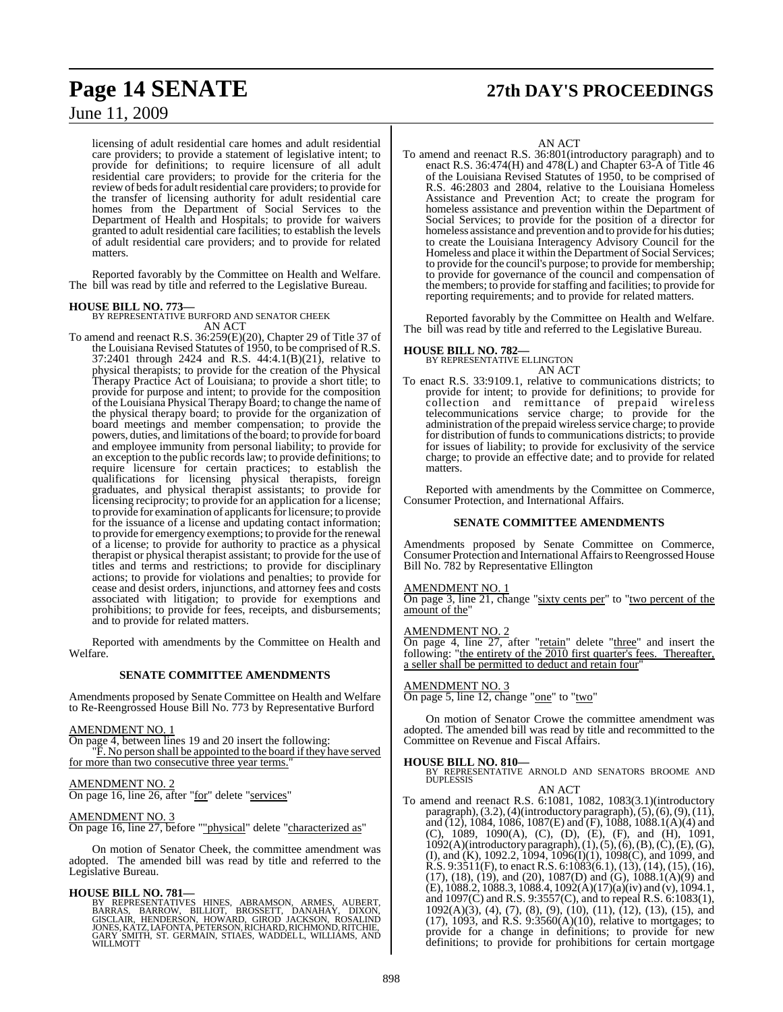licensing of adult residential care homes and adult residential care providers; to provide a statement of legislative intent; to provide for definitions; to require licensure of all adult residential care providers; to provide for the criteria for the review of beds for adult residential care providers; to provide for the transfer of licensing authority for adult residential care homes from the Department of Social Services to the Department of Health and Hospitals; to provide for waivers granted to adult residential care facilities; to establish the levels of adult residential care providers; and to provide for related matters.

Reported favorably by the Committee on Health and Welfare. The bill was read by title and referred to the Legislative Bureau.

**HOUSE BILL NO. 773—** BY REPRESENTATIVE BURFORD AND SENATOR CHEEK AN ACT

To amend and reenact R.S. 36:259(E)(20), Chapter 29 of Title 37 of the Louisiana Revised Statutes of 1950, to be comprised of R.S. 37:2401 through 2424 and R.S.  $44:4.1(B)(21)$ , relative to physical therapists; to provide for the creation of the Physical Therapy Practice Act of Louisiana; to provide a short title; to provide for purpose and intent; to provide for the composition of the Louisiana Physical Therapy Board; to change the name of the physical therapy board; to provide for the organization of board meetings and member compensation; to provide the powers, duties, and limitations of the board; to provide for board and employee immunity from personal liability; to provide for an exception to the public records law; to provide definitions; to require licensure for certain practices; to establish the qualifications for licensing physical therapists, foreign graduates, and physical therapist assistants; to provide for licensing reciprocity; to provide for an application for a license; to provide for examination of applicantsforlicensure; to provide for the issuance of a license and updating contact information; to provide for emergency exemptions; to provide for the renewal of a license; to provide for authority to practice as a physical therapist or physical therapist assistant; to provide for the use of titles and terms and restrictions; to provide for disciplinary actions; to provide for violations and penalties; to provide for cease and desist orders, injunctions, and attorney fees and costs associated with litigation; to provide for exemptions and prohibitions; to provide for fees, receipts, and disbursements; and to provide for related matters.

Reported with amendments by the Committee on Health and Welfare.

#### **SENATE COMMITTEE AMENDMENTS**

Amendments proposed by Senate Committee on Health and Welfare to Re-Reengrossed House Bill No. 773 by Representative Burford

#### AMENDMENT NO. 1

On page 4, between lines 19 and 20 insert the following:

"F. No person shall be appointed to the board if they have served for more than two consecutive three year terms."

#### AMENDMENT NO. 2

On page 16, line 26, after "for" delete "services"

## AMENDMENT NO. 3

On page 16, line 27, before ""physical" delete "characterized as"

On motion of Senator Cheek, the committee amendment was adopted. The amended bill was read by title and referred to the Legislative Bureau.

**HOUSE BILL NO. 781—**<br>BY REPRESENTATIVES HINES, ABRAMSON, ARMES, AUBERT,<br>BARRAS, BARROW, BILLIOT, BROSSETT, DANAHAY, DIXON,<br>GISCLAIR, HENDERSON, HOWARD, GIROD JACKSON, ROSALIND<br>JONES, KATZ, LAFONTA, PETERSON, RICHARD, RICH GARY SMITH, ST. GERMAIN, STIAES, WADDELL, WILLIAMS, AND WILLMOTT

# **Page 14 SENATE 27th DAY'S PROCEEDINGS**

## AN ACT

To amend and reenact R.S. 36:801(introductory paragraph) and to enact R.S. 36:474(H) and 478(L) and Chapter 63-A of Title 46 of the Louisiana Revised Statutes of 1950, to be comprised of R.S. 46:2803 and 2804, relative to the Louisiana Homeless Assistance and Prevention Act; to create the program for homeless assistance and prevention within the Department of Social Services; to provide for the position of a director for homeless assistance and prevention and to provide for his duties; to create the Louisiana Interagency Advisory Council for the Homeless and place it within the Department of Social Services; to provide for the council's purpose; to provide for membership; to provide for governance of the council and compensation of the members; to provide forstaffing and facilities; to provide for reporting requirements; and to provide for related matters.

Reported favorably by the Committee on Health and Welfare. The bill was read by title and referred to the Legislative Bureau.

#### **HOUSE BILL NO. 782—**

BY REPRESENTATIVE ELLINGTON AN ACT

To enact R.S. 33:9109.1, relative to communications districts; to provide for intent; to provide for definitions; to provide for collection and remittance of prepaid wireless telecommunications service charge; to provide for the administration of the prepaid wireless service charge; to provide for distribution of funds to communications districts; to provide for issues of liability; to provide for exclusivity of the service charge; to provide an effective date; and to provide for related matters.

Reported with amendments by the Committee on Commerce, Consumer Protection, and International Affairs.

#### **SENATE COMMITTEE AMENDMENTS**

Amendments proposed by Senate Committee on Commerce, Consumer Protection and International Affairs to Reengrossed House Bill No. 782 by Representative Ellington

#### AMENDMENT NO. 1

On page 3, line 21, change "sixty cents per" to "two percent of the amount of the"

#### AMENDMENT NO. 2

On page 4, line 27, after "retain" delete "three" and insert the following: "the entirety of the 2010 first quarter's fees. Thereafter, a seller shall be permitted to deduct and retain four

#### AMENDMENT NO. 3

On page 5, line 12, change "one" to "two"

On motion of Senator Crowe the committee amendment was adopted. The amended bill was read by title and recommitted to the Committee on Revenue and Fiscal Affairs.

**HOUSE BILL NO. 810—** BY REPRESENTATIVE ARNOLD AND SENATORS BROOME AND DUPLESSIS AN ACT

To amend and reenact R.S. 6:1081, 1082, 1083(3.1)(introductory paragraph),  $(3.2)$ ,  $(4)$ (introductory paragraph),  $(5)$ ,  $(6)$ ,  $(9)$ ,  $(11)$ , and  $(12)$ , 1084, 1086, 1087(E) and (F), 1088, 1088.1(A)(4) and (C), 1089, 1090(A), (C), (D), (E), (F), and (H), 1091, 1092(A)(introductory paragraph),(1),(5),(6),(B),(C),(E),(G), (I), and (K), 1092.2, 1094, 1096(I)(1), 1098(C), and 1099, and R.S. 9:3511(F), to enact R.S. 6:1083(6.1), (13), (14), (15), (16), (17), (18), (19), and (20), 1087(D) and (G), 1088.1(A)(9) and (E), 1088.2, 1088.3, 1088.4, 1092(A)(17)(a)(iv) and (v), 1094.1, and 1097(C) and R.S. 9:3557(C), and to repeal R.S. 6:1083(1), 1092(A)(3), (4), (7), (8), (9), (10), (11), (12), (13), (15), and  $(17)$ , 1093, and R.S. 9:3560 $(A)(10)$ , relative to mortgages; to provide for a change in definitions; to provide for new definitions; to provide for prohibitions for certain mortgage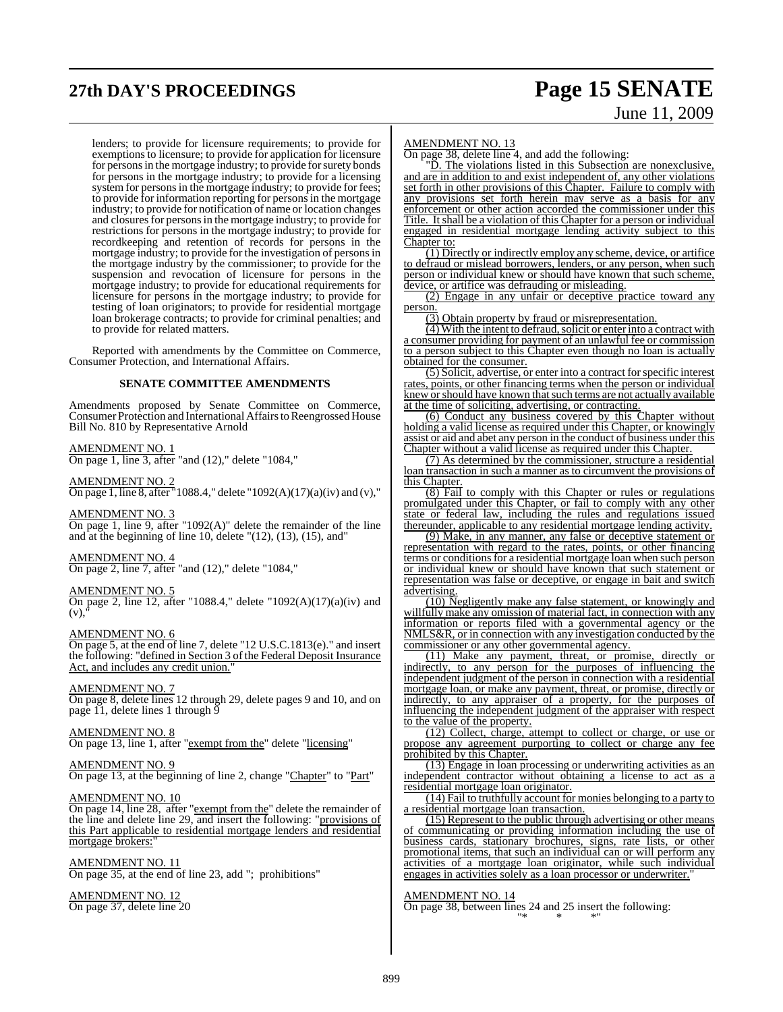# **27th DAY'S PROCEEDINGS Page 15 SENATE**

# June 11, 2009

lenders; to provide for licensure requirements; to provide for exemptions to licensure; to provide for application for licensure for persons in the mortgage industry; to provide for surety bonds for persons in the mortgage industry; to provide for a licensing system for persons in the mortgage industry; to provide for fees; to provide for information reporting for persons in the mortgage industry; to provide for notification of name or location changes and closures for persons in the mortgage industry; to provide for restrictions for persons in the mortgage industry; to provide for recordkeeping and retention of records for persons in the mortgage industry; to provide for the investigation of personsin the mortgage industry by the commissioner; to provide for the suspension and revocation of licensure for persons in the mortgage industry; to provide for educational requirements for licensure for persons in the mortgage industry; to provide for testing of loan originators; to provide for residential mortgage loan brokerage contracts; to provide for criminal penalties; and to provide for related matters.

Reported with amendments by the Committee on Commerce, Consumer Protection, and International Affairs.

#### **SENATE COMMITTEE AMENDMENTS**

Amendments proposed by Senate Committee on Commerce, Consumer Protection and International Affairs to Reengrossed House Bill No. 810 by Representative Arnold

#### AMENDMENT NO. 1

 $\overline{\text{On page 1, line 3, after}}$  "and (12)," delete "1084,"

#### AMENDMENT NO. 2

On page 1, line 8, after "1088.4," delete "1092(A)(17)(a)(iv) and (v),"

#### AMENDMENT NO. 3

 $\overline{On}$  page 1, line 9, after "1092(A)" delete the remainder of the line and at the beginning of line  $10$ , delete " $(12)$ ,  $(13)$ ,  $(15)$ , and"

#### AMENDMENT NO. 4

On page 2, line 7, after "and (12)," delete "1084,"

#### AMENDMENT NO. 5

On page 2, line 12, after "1088.4," delete "1092(A)(17)(a)(iv) and  $(v)$ 

#### AMENDMENT NO. 6

On page 5, at the end of line 7, delete "12 U.S.C.1813(e)." and insert the following: "defined in Section 3 of the Federal Deposit Insurance Act, and includes any credit union.

#### AMENDMENT NO. 7

On page 8, delete lines 12 through 29, delete pages 9 and 10, and on page 11, delete lines 1 through 9

#### AMENDMENT NO. 8

On page 13, line 1, after "exempt from the" delete "licensing"

#### AMENDMENT NO. 9

On page 13, at the beginning of line 2, change "Chapter" to "Part"

#### AMENDMENT NO. 10

On page 14, line 28, after "exempt from the" delete the remainder of the line and delete line 29, and insert the following: "provisions of this Part applicable to residential mortgage lenders and residential mortgage brokers:

#### AMENDMENT NO. 11

On page 35, at the end of line 23, add "; prohibitions"

#### AMENDMENT NO. 12

On page 37, delete line 20

#### AMENDMENT NO. 13

On page 38, delete line 4, and add the following:

"D. The violations listed in this Subsection are nonexclusive, and are in addition to and exist independent of, any other violations set forth in other provisions of this Chapter. Failure to comply with any provisions set forth herein may serve as a basis for any enforcement or other action accorded the commissioner under this Title. It shall be a violation of this Chapter for a person or individual engaged in residential mortgage lending activity subject to this Chapter to:

(1) Directly or indirectly employ any scheme, device, or artifice to defraud or mislead borrowers, lenders, or any person, when such person or individual knew or should have known that such scheme, device, or artifice was defrauding or misleading.

(2) Engage in any unfair or deceptive practice toward any person.

(3) Obtain property by fraud or misrepresentation.

 $(4)$  With the intent to defraud, solicit or enter into a contract with a consumer providing for payment of an unlawful fee or commission to a person subject to this Chapter even though no loan is actually obtained for the consumer.

(5) Solicit, advertise, or enter into a contract forspecific interest rates, points, or other financing terms when the person or individual knew or should have known that such terms are not actually available at the time of soliciting, advertising, or contracting.

(6) Conduct any business covered by this Chapter without holding a valid license as required under this Chapter, or knowingly assist or aid and abet any person in the conduct of business under this Chapter without a valid license as required under this Chapter.

(7) As determined by the commissioner, structure a residential loan transaction in such a manner as to circumvent the provisions of this Chapter.

(8) Fail to comply with this Chapter or rules or regulations promulgated under this Chapter, or fail to comply with any other state or federal law, including the rules and regulations issued thereunder, applicable to any residential mortgage lending activity.

(9) Make, in any manner, any false or deceptive statement or representation with regard to the rates, points, or other financing terms or conditions for a residential mortgage loan when such person or individual knew or should have known that such statement or representation was false or deceptive, or engage in bait and switch advertising.

(10) Negligently make any false statement, or knowingly and willfully make any omission of material fact, in connection with any information or reports filed with a governmental agency or the NMLS&R, or in connection with any investigation conducted by the commissioner or any other governmental agency.

(11) Make any payment, threat, or promise, directly or indirectly, to any person for the purposes of influencing the independent judgment of the person in connection with a residential mortgage loan, or make any payment, threat, or promise, directly or indirectly, to any appraiser of a property, for the purposes of influencing the independent judgment of the appraiser with respect to the value of the property.

(12) Collect, charge, attempt to collect or charge, or use or propose any agreement purporting to collect or charge any fee prohibited by this Chapter.

(13) Engage in loan processing or underwriting activities as an independent contractor without obtaining a license to act as a residential mortgage loan originator.

(14) Fail to truthfully account for monies belonging to a party to a residential mortgage loan transaction.

(15) Represent to the public through advertising or other means of communicating or providing information including the use of business cards, stationary brochures, signs, rate lists, or other promotional items, that such an individual can or will perform any activities of a mortgage loan originator, while such individual engages in activities solely as a loan processor or underwriter."

#### AMENDMENT NO. 14

On page 38, between lines 24 and 25 insert the following: "\* \* \*"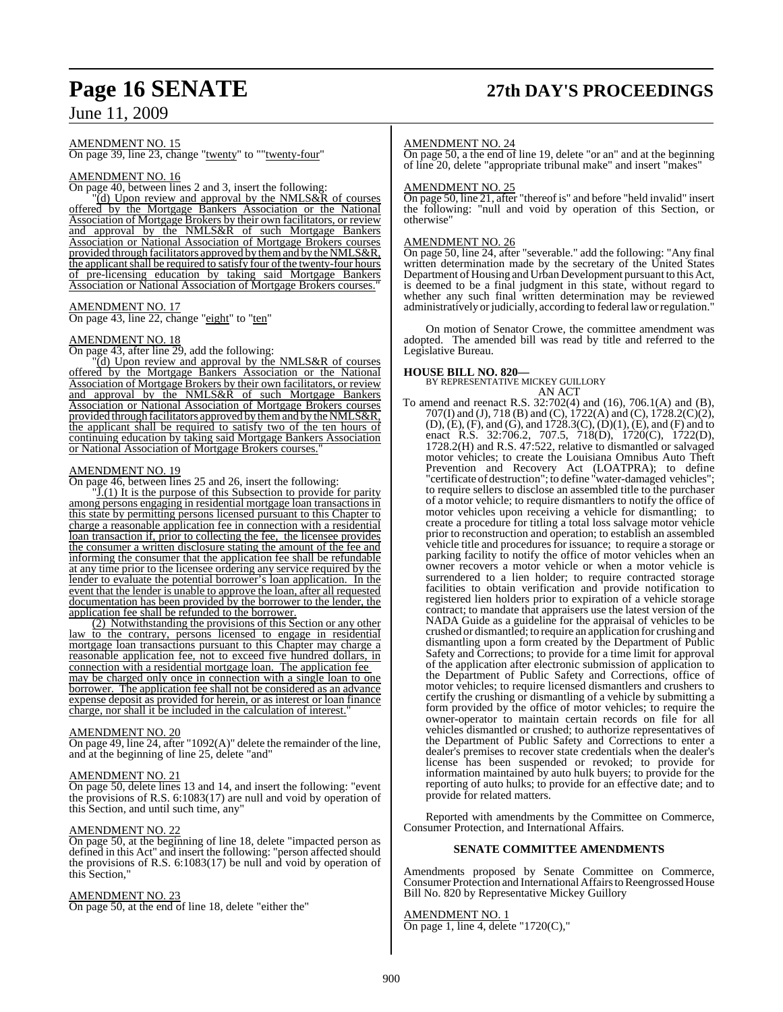# **Page 16 SENATE 27th DAY'S PROCEEDINGS**

## June 11, 2009

AMENDMENT NO. 15

On page 39, line 23, change "twenty" to ""twenty-four"

#### AMENDMENT NO. 16

On page 40, between lines 2 and 3, insert the following:

 $\sqrt{\text{d}}$ ) Upon review and approval by the NMLS&R of courses offered by the Mortgage Bankers Association or the National Association of Mortgage Brokers by their own facilitators, or review and approval by the NMLS&R of such Mortgage Bankers Association or National Association of Mortgage Brokers courses provided through facilitators approved by them and by the NMLS&R, the applicant shall be required to satisfy four of the twenty-four hours of pre-licensing education by taking said Mortgage Bankers Association or National Association of Mortgage Brokers courses."

#### AMENDMENT NO. 17

On page 43, line 22, change "eight" to "ten"

#### AMENDMENT NO. 18

On page 43, after line 29, add the following:

"(d) Upon review and approval by the NMLS&R of courses offered by the Mortgage Bankers Association or the National Association of Mortgage Brokers by their own facilitators, or review and approval by the NMLS&R of such Mortgage Bankers Association or National Association of Mortgage Brokers courses provided through facilitators approved by them and by the NMLS&R, the applicant shall be required to satisfy two of the ten hours of continuing education by taking said Mortgage Bankers Association or National Association of Mortgage Brokers courses."

#### AMENDMENT NO. 19

On page 46, between lines 25 and 26, insert the following:

 $J(1)$  It is the purpose of this Subsection to provide for parity among persons engaging in residential mortgage loan transactions in this state by permitting persons licensed pursuant to this Chapter to charge a reasonable application fee in connection with a residential loan transaction if, prior to collecting the fee, the licensee provides the consumer a written disclosure stating the amount of the fee and informing the consumer that the application fee shall be refundable at any time prior to the licensee ordering any service required by the lender to evaluate the potential borrower's loan application. In the event that the lender is unable to approve the loan, after all requested documentation has been provided by the borrower to the lender, the application fee shall be refunded to the borrower.

(2) Notwithstanding the provisions of this Section or any other law to the contrary, persons licensed to engage in residential mortgage loan transactions pursuant to this Chapter may charge a reasonable application fee, not to exceed five hundred dollars, in connection with a residential mortgage loan. The application fee may be charged only once in connection with a single loan to one borrower. The application fee shall not be considered as an advance expense deposit as provided for herein, or as interest or loan finance charge, nor shall it be included in the calculation of interest.

#### AMENDMENT NO. 20

On page 49, line 24, after "1092(A)" delete the remainder of the line, and at the beginning of line 25, delete "and"

#### AMENDMENT NO. 21

On page 50, delete lines 13 and 14, and insert the following: "event the provisions of R.S. 6:1083(17) are null and void by operation of this Section, and until such time, any"

#### AMENDMENT NO. 22

On page 50, at the beginning of line 18, delete "impacted person as defined in this Act" and insert the following: "person affected should the provisions of R.S. 6:1083(17) be null and void by operation of this Section,"

#### AMENDMENT NO. 23

On page 50, at the end of line 18, delete "either the"

#### AMENDMENT NO. 24

On page 50, a the end of line 19, delete "or an" and at the beginning of line 20, delete "appropriate tribunal make" and insert "makes"

#### AMENDMENT NO. 25

On page 50, line 21, after "thereof is" and before "held invalid" insert the following: "null and void by operation of this Section, or otherwise"

#### AMENDMENT NO. 26

On page 50, line 24, after "severable." add the following: "Any final written determination made by the secretary of the United States Department of Housing and Urban Development pursuant to this Act, is deemed to be a final judgment in this state, without regard to whether any such final written determination may be reviewed administratively or judicially, according to federal law or regulation."

On motion of Senator Crowe, the committee amendment was adopted. The amended bill was read by title and referred to the Legislative Bureau.

**HOUSE BILL NO. 820—** BY REPRESENTATIVE MICKEY GUILLORY AN ACT

To amend and reenact R.S. 32:702(4) and (16), 706.1(A) and (B), 707(I) and (J), 718 (B) and (C), 1722(A) and (C), 1728.2(C)(2), (D), (E), (F), and (G), and 1728.3(C), (D)(1), (E), and (F) and to enact R.S. 32:706.2, 707.5, 718(D), 1720(C), 1722(D),  $1728.2(H)$  and R.S.  $47:522$ , relative to dismantled or salvaged motor vehicles; to create the Louisiana Omnibus Auto Theft Prevention and Recovery Act (LOATPRA); to define "certificate of destruction"; to define "water-damaged vehicles"; to require sellers to disclose an assembled title to the purchaser of a motor vehicle; to require dismantlers to notify the office of motor vehicles upon receiving a vehicle for dismantling; to create a procedure for titling a total loss salvage motor vehicle prior to reconstruction and operation; to establish an assembled vehicle title and procedures for issuance; to require a storage or parking facility to notify the office of motor vehicles when an owner recovers a motor vehicle or when a motor vehicle is surrendered to a lien holder; to require contracted storage facilities to obtain verification and provide notification to registered lien holders prior to expiration of a vehicle storage contract; to mandate that appraisers use the latest version of the NADA Guide as a guideline for the appraisal of vehicles to be crushed or dismantled; to require an application for crushing and dismantling upon a form created by the Department of Public Safety and Corrections; to provide for a time limit for approval of the application after electronic submission of application to the Department of Public Safety and Corrections, office of motor vehicles; to require licensed dismantlers and crushers to certify the crushing or dismantling of a vehicle by submitting a form provided by the office of motor vehicles; to require the owner-operator to maintain certain records on file for all vehicles dismantled or crushed; to authorize representatives of the Department of Public Safety and Corrections to enter a dealer's premises to recover state credentials when the dealer's license has been suspended or revoked; to provide for information maintained by auto hulk buyers; to provide for the reporting of auto hulks; to provide for an effective date; and to provide for related matters.

Reported with amendments by the Committee on Commerce, Consumer Protection, and International Affairs.

#### **SENATE COMMITTEE AMENDMENTS**

Amendments proposed by Senate Committee on Commerce, Consumer Protection and International Affairs to Reengrossed House Bill No. 820 by Representative Mickey Guillory

#### AMENDMENT NO. 1

On page 1, line 4, delete "1720(C),"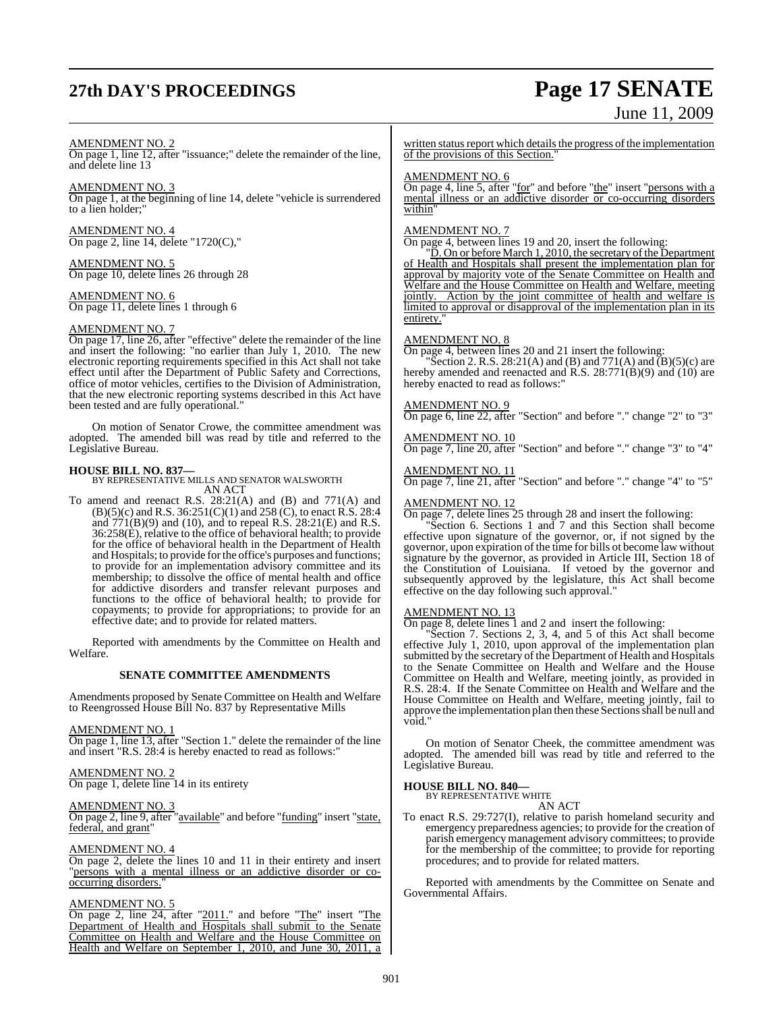# **27th DAY'S PROCEEDINGS Page 17 SENATE**

# June 11, 2009

#### AMENDMENT NO. 2

On page 1, line 12, after "issuance;" delete the remainder of the line, and delete line 13

#### AMENDMENT NO. 3

On page 1, at the beginning of line 14, delete "vehicle is surrendered to a lien holder;"

AMENDMENT NO. 4 On page 2, line 14, delete "1720(C),"

AMENDMENT NO. 5 On page 10, delete lines 26 through 28

AMENDMENT NO. 6 On page 11, delete lines 1 through 6

#### AMENDMENT NO. 7

On page 17, line 26, after "effective" delete the remainder of the line and insert the following: "no earlier than July 1, 2010. The new electronic reporting requirements specified in this Act shall not take effect until after the Department of Public Safety and Corrections, office of motor vehicles, certifies to the Division of Administration, that the new electronic reporting systems described in this Act have been tested and are fully operational."

On motion of Senator Crowe, the committee amendment was adopted. The amended bill was read by title and referred to the Legislative Bureau.

**HOUSE BILL NO. 837—** BY REPRESENTATIVE MILLS AND SENATOR WALSWORTH AN ACT

To amend and reenact R.S. 28:21(A) and (B) and 771(A) and  $(B)(5)(c)$  and R.S. 36:251(C)(1) and 258 (C), to enact R.S. 28:4 and 771(B)(9) and (10), and to repeal R.S. 28:21(E) and R.S. 36:258(E), relative to the office of behavioral health; to provide for the office of behavioral health in the Department of Health and Hospitals; to provide for the office's purposes and functions; to provide for an implementation advisory committee and its membership; to dissolve the office of mental health and office for addictive disorders and transfer relevant purposes and functions to the office of behavioral health; to provide for copayments; to provide for appropriations; to provide for an effective date; and to provide for related matters.

Reported with amendments by the Committee on Health and Welfare.

#### **SENATE COMMITTEE AMENDMENTS**

Amendments proposed by Senate Committee on Health and Welfare to Reengrossed House Bill No. 837 by Representative Mills

#### AMENDMENT NO. 1

On page 1, line 13, after "Section 1." delete the remainder of the line and insert "R.S. 28:4 is hereby enacted to read as follows:"

#### AMENDMENT NO. 2

On page 1, delete line 14 in its entirety

#### AMENDMENT NO. 3

On page 2, line 9, after "available" and before "funding" insert "state, federal, and grant"

#### AMENDMENT NO. 4

On page 2, delete the lines 10 and 11 in their entirety and insert "persons with a mental illness or an addictive disorder or cooccurring disorders.

#### AMENDMENT NO. 5

On page 2, line 24, after "2011." and before "The" insert "The Department of Health and Hospitals shall submit to the Senate Committee on Health and Welfare and the House Committee on Health and Welfare on September 1, 2010, and June 30, 2011, a written status report which details the progress of the implementation of the provisions of this Section."

#### AMENDMENT NO. 6

On page 4, line 5, after "for" and before "the" insert "persons with a mental illness or an addictive disorder or co-occurring disorders within"

#### AMENDMENT NO. 7

On page 4, between lines 19 and 20, insert the following:

"D. On or before March 1, 2010, the secretary of the Department of Health and Hospitals shall present the implementation plan for approval by majority vote of the Senate Committee on Health and Welfare and the House Committee on Health and Welfare, meeting jointly. Action by the joint committee of health and welfare is limited to approval or disapproval of the implementation plan in its entirety.

#### AMENDMENT NO. 8

On page 4, between lines 20 and 21 insert the following:

"Section 2. R.S. 28:21(A) and (B) and 771(A) and  $\overline{B}(5)(c)$  are hereby amended and reenacted and R.S. 28:771(B)(9) and (10) are hereby enacted to read as follows:"

#### AMENDMENT NO. 9

On page 6, line 22, after "Section" and before "." change "2" to "3"

AMENDMENT NO. 10 On page 7, line 20, after "Section" and before "." change "3" to "4"

AMENDMENT NO. 11  $\overline{\text{On page 7}}$ , line 21, after "Section" and before "." change "4" to "5"

#### AMENDMENT NO. 12

On page 7, delete lines 25 through 28 and insert the following:

"Section 6. Sections 1 and 7 and this Section shall become effective upon signature of the governor, or, if not signed by the governor, upon expiration of the time for bills ot become law without signature by the governor, as provided in Article III, Section 18 of the Constitution of Louisiana. If vetoed by the governor and subsequently approved by the legislature, this Act shall become effective on the day following such approval."

#### AMENDMENT NO. 13

On page 8, delete lines 1 and 2 and insert the following:

"Section 7. Sections 2, 3, 4, and 5 of this Act shall become effective July 1, 2010, upon approval of the implementation plan submitted by the secretary of the Department of Health and Hospitals to the Senate Committee on Health and Welfare and the House Committee on Health and Welfare, meeting jointly, as provided in R.S. 28:4. If the Senate Committee on Health and Welfare and the House Committee on Health and Welfare, meeting jointly, fail to approve the implementation plan then these Sections shall be null and void."

On motion of Senator Cheek, the committee amendment was adopted. The amended bill was read by title and referred to the Legislative Bureau.

# **HOUSE BILL NO. 840—** BY REPRESENTATIVE WHITE

## AN ACT

To enact R.S. 29:727(I), relative to parish homeland security and emergency preparedness agencies; to provide for the creation of parish emergency management advisory committees; to provide for the membership of the committee; to provide for reporting procedures; and to provide for related matters.

Reported with amendments by the Committee on Senate and Governmental Affairs.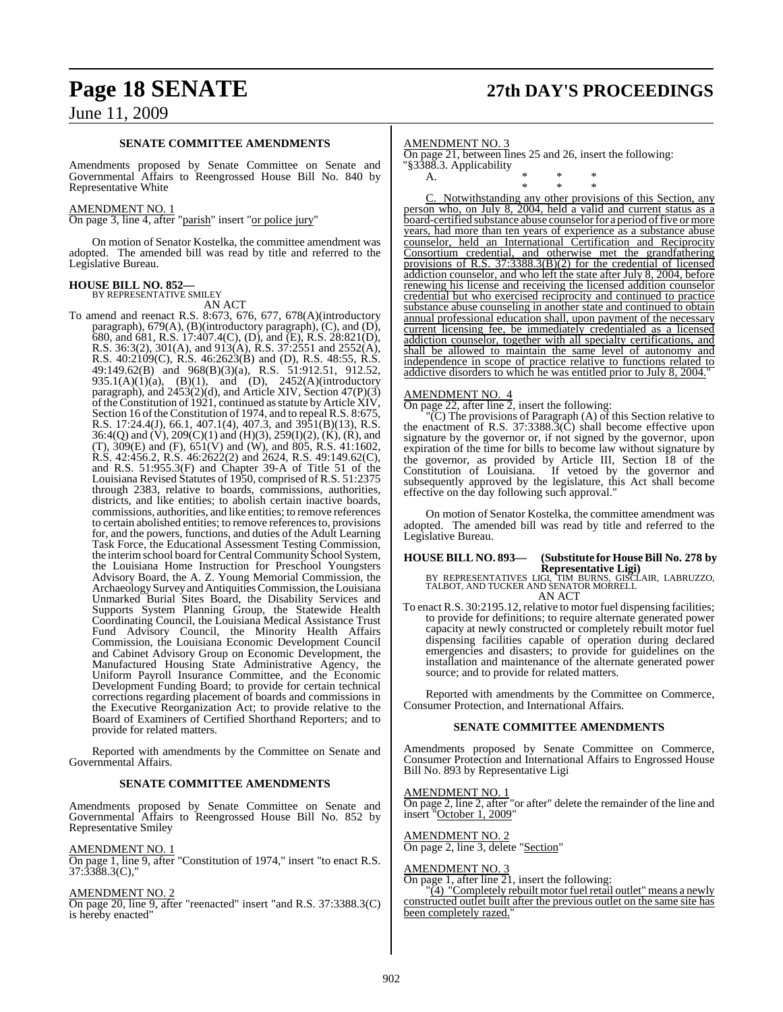# **Page 18 SENATE 27th DAY'S PROCEEDINGS**

## June 11, 2009

#### **SENATE COMMITTEE AMENDMENTS**

Amendments proposed by Senate Committee on Senate and Governmental Affairs to Reengrossed House Bill No. 840 by Representative White

#### AMENDMENT NO. 1

On page 3, line 4, after "parish" insert "or police jury"

On motion of Senator Kostelka, the committee amendment was adopted. The amended bill was read by title and referred to the Legislative Bureau.

#### **HOUSE BILL NO. 852—**

BY REPRESENTATIVE SMILEY AN ACT

To amend and reenact R.S. 8:673, 676, 677, 678(A)(introductory paragraph), 679(A), (B)(introductory paragraph), (C), and (D), 680, and 681, R.S. 17:407.4(C), (D), and (E), R.S. 28:821(D), R.S. 36:3(2), 301(A), and 913(A), R.S. 37:2551 and 2552(A), R.S. 40:2109(C), R.S. 46:2623(B) and (D), R.S. 48:55, R.S. 49:149.62(B) and 968(B)(3)(a), R.S. 51:912.51, 912.52, 935.1(A)(1)(a), (B)(1), and (D), 2452(A)(introductory paragraph), and 2453(2)(d), and Article XIV, Section 47(P)(3) of the Constitution of  $1921$ , continued as statute by Article XIV, Section 16 of the Constitution of 1974, and to repeal R.S. 8:675, R.S. 17:24.4(J), 66.1, 407.1(4), 407.3, and 3951(B)(13), R.S. 36:4(Q) and  $(V)$ , 209(C)(1) and (H)(3), 259(I)(2),  $(K)$ ,  $(K)$ , and (T),  $309(E)$  and (F),  $651(V)$  and (W), and  $805$ , R.S. 41:1602, R.S. 42:456.2, R.S. 46:2622(2) and 2624, R.S. 49:149.62(C), and R.S. 51:955.3(F) and Chapter 39-A of Title 51 of the Louisiana Revised Statutes of 1950, comprised of R.S. 51:2375 through 2383, relative to boards, commissions, authorities, districts, and like entities; to abolish certain inactive boards, commissions, authorities, and like entities; to remove references to certain abolished entities; to remove references to, provisions for, and the powers, functions, and duties of the Adult Learning Task Force, the Educational Assessment Testing Commission, the interim school board for Central Community School System, the Louisiana Home Instruction for Preschool Youngsters Advisory Board, the A. Z. Young Memorial Commission, the ArchaeologySurvey and Antiquities Commission, the Louisiana Unmarked Burial Sites Board, the Disability Services and Supports System Planning Group, the Statewide Health Coordinating Council, the Louisiana Medical Assistance Trust Fund Advisory Council, the Minority Health Affairs Commission, the Louisiana Economic Development Council and Cabinet Advisory Group on Economic Development, the Manufactured Housing State Administrative Agency, the Uniform Payroll Insurance Committee, and the Economic Development Funding Board; to provide for certain technical corrections regarding placement of boards and commissions in the Executive Reorganization Act; to provide relative to the Board of Examiners of Certified Shorthand Reporters; and to provide for related matters.

Reported with amendments by the Committee on Senate and Governmental Affairs.

#### **SENATE COMMITTEE AMENDMENTS**

Amendments proposed by Senate Committee on Senate and Governmental Affairs to Reengrossed House Bill No. 852 by Representative Smiley

#### AMENDMENT NO. 1

On page 1, line 9, after "Constitution of 1974," insert "to enact R.S. 37:3388.3(C),"

#### AMENDMENT NO. 2

On page 20, line 9, after "reenacted" insert "and R.S. 37:3388.3(C) is hereby enacted"

#### AMENDMENT NO. 3

On page 21, between lines 25 and 26, insert the following: "§3388.3. Applicability

A. \* \* \* \* \* \*

C. Notwithstanding any other provisions of this Section, any person who, on July 8, 2004, held a valid and current status as a board-certified substance abuse counselor for a period of five or more years, had more than ten years of experience as a substance abuse counselor, held an International Certification and Reciprocity Consortium credential, and otherwise met the grandfathering provisions of R.S. 37:3388.3(B)(2) for the credential of licensed addiction counselor, and who left the state after July 8, 2004, before renewing his license and receiving the licensed addition counselor credential but who exercised reciprocity and continued to practice substance abuse counseling in another state and continued to obtain annual professional education shall, upon payment of the necessary current licensing fee, be immediately credentialed as a licensed addiction counselor, together with all specialty certifications, and shall be allowed to maintain the same level of autonomy and independence in scope of practice relative to functions related to addictive disorders to which he was entitled prior to July 8, 2004.

#### AMENDMENT NO. 4

On page 22, after line 2, insert the following:

"(C) The provisions of Paragraph (A) of this Section relative to the enactment of R.S.  $37:3388.3(\hat{C})$  shall become effective upon signature by the governor or, if not signed by the governor, upon expiration of the time for bills to become law without signature by the governor, as provided by Article III, Section 18 of the Constitution of Louisiana. If vetoed by the governor and subsequently approved by the legislature, this Act shall become effective on the day following such approval."

On motion of Senator Kostelka, the committee amendment was adopted. The amended bill was read by title and referred to the Legislative Bureau.

# **HOUSE BILL NO. 893— (Substitute for HouseBill No. 278 by**

**Representative Ligi)** BY REPRESENTATIVES LIGI, TIM BURNS, GISCLAIR, LABRUZZO, TALBOT, AND TUCKER AND SENATOR MORRELL AN ACT

To enact R.S. 30:2195.12, relative to motor fuel dispensing facilities; to provide for definitions; to require alternate generated power capacity at newly constructed or completely rebuilt motor fuel dispensing facilities capable of operation during declared emergencies and disasters; to provide for guidelines on the installation and maintenance of the alternate generated power source; and to provide for related matters.

Reported with amendments by the Committee on Commerce, Consumer Protection, and International Affairs.

#### **SENATE COMMITTEE AMENDMENTS**

Amendments proposed by Senate Committee on Commerce, Consumer Protection and International Affairs to Engrossed House Bill No. 893 by Representative Ligi

#### AMENDMENT NO. 1

On page 2, line 2, after "or after" delete the remainder of the line and insert "October 1, 2009"

## AMENDMENT NO. 2

On page 2, line 3, delete "Section"

#### <u>AMENDMENT NO. 3</u>

On page 1, after line 21, insert the following:

"(4) "Completely rebuilt motor fuel retail outlet" means a newly constructed outlet built after the previous outlet on the same site has been completely razed."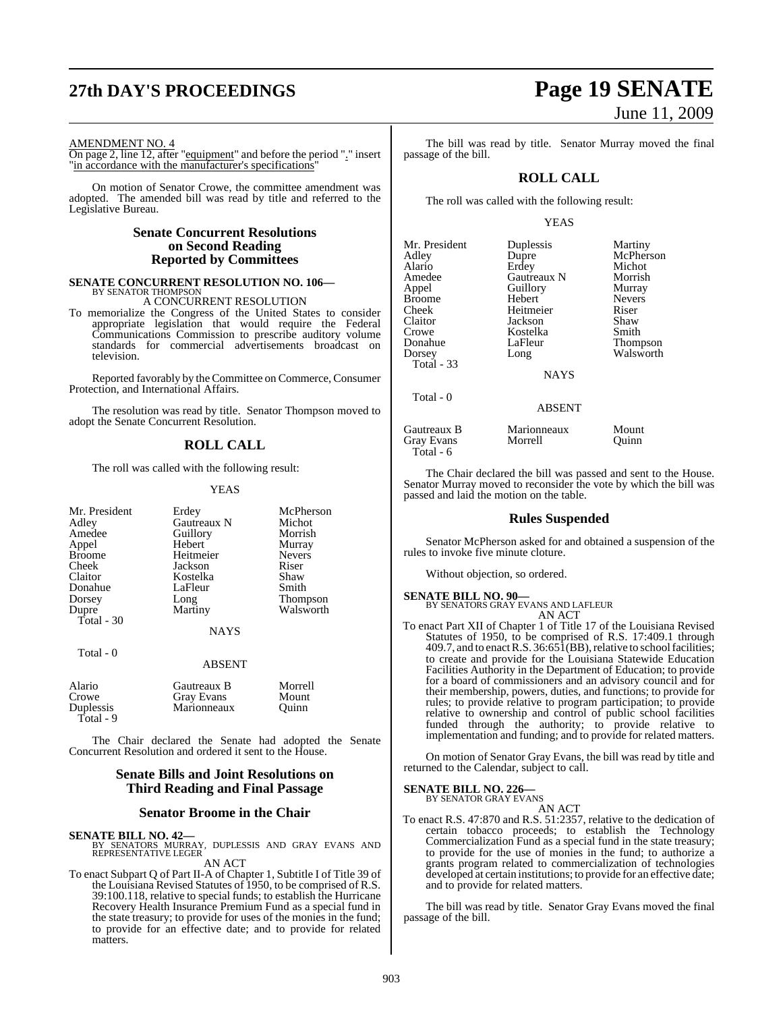#### AMENDMENT NO. 4

On page 2, line 12, after "equipment" and before the period "." insert "in accordance with the manufacturer's specifications"

On motion of Senator Crowe, the committee amendment was adopted. The amended bill was read by title and referred to the Legislative Bureau.

#### **Senate Concurrent Resolutions on Second Reading Reported by Committees**

# **SENATE CONCURRENT RESOLUTION NO. 106—** BY SENATOR THOMPSON

A CONCURRENT RESOLUTION

To memorialize the Congress of the United States to consider appropriate legislation that would require the Federal Communications Commission to prescribe auditory volume standards for commercial advertisements broadcast on television.

Reported favorably by the Committee on Commerce, Consumer Protection, and International Affairs.

The resolution was read by title. Senator Thompson moved to adopt the Senate Concurrent Resolution.

## **ROLL CALL**

The roll was called with the following result:

#### YEAS

| Mr. President | Erdey              | McPherson     |
|---------------|--------------------|---------------|
| Adley         | <b>Gautreaux N</b> | Michot        |
| Amedee        | Guillory           | Morrish       |
| Appel         | Hebert             | Murray        |
| <b>Broome</b> | Heitmeier          | <b>Nevers</b> |
| Cheek         | Jackson            | Riser         |
| Claitor       | Kostelka           | Shaw          |
| Donahue       | LaFleur            | Smith         |
| Dorsey        | Long               | Thompson      |
| Dupre         | Martiny            | Walsworth     |
| Total - 30    |                    |               |
|               | <b>NAYS</b>        |               |
| Total - 0     |                    |               |
|               | <b>ABSENT</b>      |               |
|               |                    |               |

| Gautreaux B | Morrell |
|-------------|---------|
| Gray Evans  | Mount   |
| Marionneaux | Ouinn   |
|             |         |

The Chair declared the Senate had adopted the Senate Concurrent Resolution and ordered it sent to the House.

#### **Senate Bills and Joint Resolutions on Third Reading and Final Passage**

#### **Senator Broome in the Chair**

**SENATE BILL NO. 42—**<br>BY SENATORS MURRAY, DUPLESSIS AND GRAY EVANS AND REPRESENTATIVE LEGER AN ACT

To enact Subpart Q of Part II-A of Chapter 1, Subtitle I of Title 39 of the Louisiana Revised Statutes of 1950, to be comprised of R.S. 39:100.118, relative to special funds; to establish the Hurricane Recovery Health Insurance Premium Fund as a special fund in the state treasury; to provide for uses of the monies in the fund; to provide for an effective date; and to provide for related matters.

# **27th DAY'S PROCEEDINGS Page 19 SENATE** June 11, 2009

The bill was read by title. Senator Murray moved the final passage of the bill.

## **ROLL CALL**

The roll was called with the following result:

#### YEAS

| Mr. President<br>Adley<br>Alario | Duplessis<br>Dupre<br>Erdey | Martiny<br>McPherson<br>Michot |
|----------------------------------|-----------------------------|--------------------------------|
| Amedee                           | Gautreaux N                 | Morrish                        |
| Appel                            | Guillory                    | Murray                         |
| <b>Broome</b><br>Cheek           | Hebert<br>Heitmeier         | <b>Nevers</b><br>Riser         |
| Claitor                          | Jackson                     | Shaw                           |
| Crowe                            | Kostelka                    | Smith                          |
| Donahue                          | LaFleur                     | Thompson                       |
| Dorsey                           | Long                        | Walsworth                      |
| Total - 33                       |                             |                                |
|                                  | <b>NAYS</b>                 |                                |
| Total - 0                        |                             |                                |
|                                  | <b>ABSENT</b>               |                                |
| Gautreaux B                      | Marionneaux                 | Mount                          |

Gray Evans Morrell Quinn

The Chair declared the bill was passed and sent to the House. Senator Murray moved to reconsider the vote by which the bill was passed and laid the motion on the table.

#### **Rules Suspended**

Senator McPherson asked for and obtained a suspension of the rules to invoke five minute cloture.

Without objection, so ordered.

## **SENATE BILL NO. 90—**

Total - 6

BY SENATORS GRAY EVANS AND LAFLEUR AN ACT

To enact Part XII of Chapter 1 of Title 17 of the Louisiana Revised Statutes of 1950, to be comprised of R.S. 17:409.1 through  $409.7$ , and to enact R.S.  $36:65\hat{1}$ (BB), relative to school facilities; to create and provide for the Louisiana Statewide Education Facilities Authority in the Department of Education; to provide for a board of commissioners and an advisory council and for their membership, powers, duties, and functions; to provide for rules; to provide relative to program participation; to provide relative to ownership and control of public school facilities funded through the authority; to provide relative to implementation and funding; and to provide for related matters.

On motion of Senator Gray Evans, the bill was read by title and returned to the Calendar, subject to call.

#### **SENATE BILL NO. 226—** BY SENATOR GRAY EVANS

AN ACT

To enact R.S. 47:870 and R.S. 51:2357, relative to the dedication of certain tobacco proceeds; to establish the Technology Commercialization Fund as a special fund in the state treasury; to provide for the use of monies in the fund; to authorize a grants program related to commercialization of technologies developed at certain institutions; to provide for an effective date; and to provide for related matters.

The bill was read by title. Senator Gray Evans moved the final passage of the bill.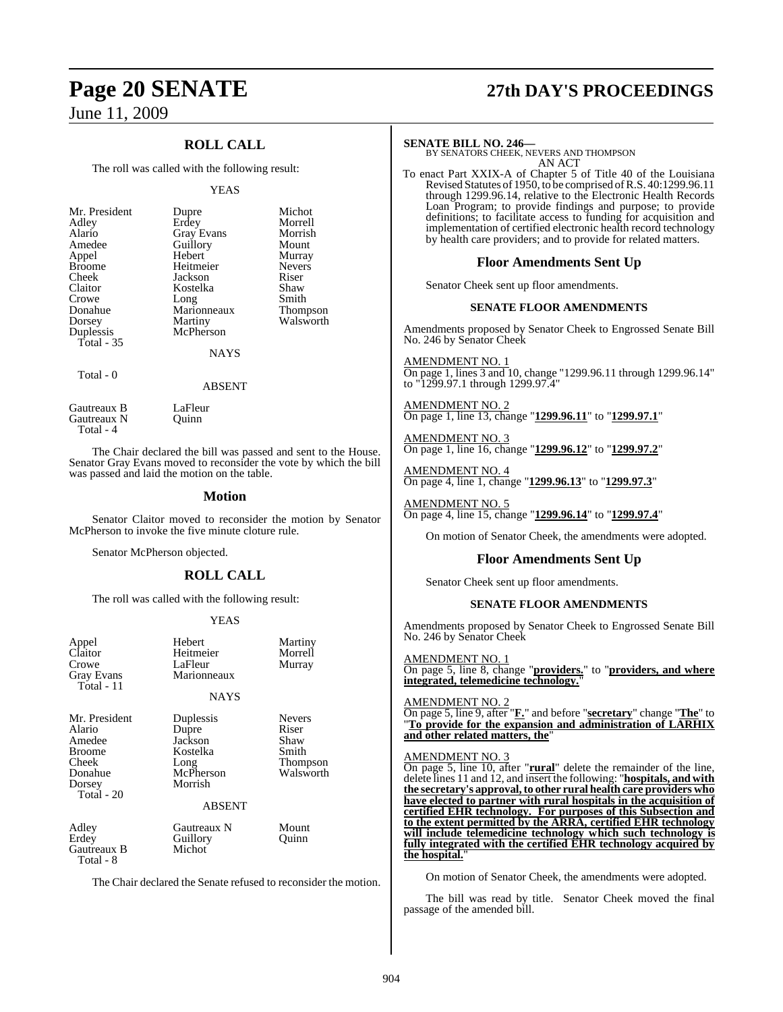## **ROLL CALL**

The roll was called with the following result:

#### YEAS

| Mr. President<br>Adley<br>Alario<br>Amedee<br>Appel<br><b>Broome</b><br>Cheek<br>Claitor<br>Crowe<br>Donahue<br>Dorsey<br>Duplessis<br>Total $-35$ | Dupre<br>Erdey<br><b>Gray Evans</b><br>Guillory<br>Hebert<br>Heitmeier<br>Jackson<br>Kostelka<br>Long<br>Marionneaux<br>Martiny<br>McPherson<br><b>NAYS</b> | Michot<br>Morrell<br>Morrish<br>Mount<br>Murray<br><b>Nevers</b><br>Riser<br>Shaw<br>Smith<br>Thompson<br>Walsworth |
|----------------------------------------------------------------------------------------------------------------------------------------------------|-------------------------------------------------------------------------------------------------------------------------------------------------------------|---------------------------------------------------------------------------------------------------------------------|
|                                                                                                                                                    |                                                                                                                                                             |                                                                                                                     |
| Total - 0                                                                                                                                          | <b>ABSENT</b>                                                                                                                                               |                                                                                                                     |

Gautreaux B<br>
Gautreaux N<br>
Quinn Gautreaux N Total - 4

The Chair declared the bill was passed and sent to the House. Senator Gray Evans moved to reconsider the vote by which the bill was passed and laid the motion on the table.

#### **Motion**

Senator Claitor moved to reconsider the motion by Senator McPherson to invoke the five minute cloture rule.

Senator McPherson objected.

### **ROLL CALL**

The roll was called with the following result:

#### YEAS

| Appel<br>Claitor<br>Crowe<br>Gray Evans<br>Total - 11                                           | Hebert<br>Heitmeier<br>LaFleur<br>Marionneaux                             | Martiny<br>Morrell<br>Murray                                     |
|-------------------------------------------------------------------------------------------------|---------------------------------------------------------------------------|------------------------------------------------------------------|
|                                                                                                 | <b>NAYS</b>                                                               |                                                                  |
| Mr. President<br>Alario<br>Amedee<br><b>Broome</b><br>Cheek<br>Donahue<br>Dorsey<br>Total $-20$ | Duplessis<br>Dupre<br>Jackson<br>Kostelka<br>Long<br>McPherson<br>Morrish | <b>Nevers</b><br>Riser<br>Shaw<br>Smith<br>Thompson<br>Walsworth |
|                                                                                                 | ABSENT                                                                    |                                                                  |
| Adley<br>Erdey<br>Gautreaux B<br>Total - 8                                                      | Gautreaux N<br>Guillory<br>Michot                                         | Mount<br>Quinn                                                   |
| The Chair declared the Senate refused to reconsider the motion.                                 |                                                                           |                                                                  |

# **Page 20 SENATE 27th DAY'S PROCEEDINGS**

**SENATE BILL NO. 246—** BY SENATORS CHEEK, NEVERS AND THOMPSON AN ACT

To enact Part XXIX-A of Chapter 5 of Title 40 of the Louisiana Revised Statutes of 1950, to be comprised of R.S. 40:1299.96.11 through 1299.96.14, relative to the Electronic Health Records Loan Program; to provide findings and purpose; to provide definitions; to facilitate access to funding for acquisition and implementation of certified electronic health record technology by health care providers; and to provide for related matters.

#### **Floor Amendments Sent Up**

Senator Cheek sent up floor amendments.

#### **SENATE FLOOR AMENDMENTS**

Amendments proposed by Senator Cheek to Engrossed Senate Bill No. 246 by Senator Cheek

AMENDMENT NO. 1 On page 1, lines 3 and 10, change "1299.96.11 through 1299.96.14" to "1299.97.1 through 1299.97.4"

AMENDMENT NO. 2 On page 1, line 13, change "**1299.96.11**" to "**1299.97.1**"

AMENDMENT NO. 3 On page 1, line 16, change "**1299.96.12**" to "**1299.97.2**"

AMENDMENT NO. 4 On page 4, line 1, change "**1299.96.13**" to "**1299.97.3**"

AMENDMENT NO. 5 On page 4, line 15, change "**1299.96.14**" to "**1299.97.4**"

On motion of Senator Cheek, the amendments were adopted.

#### **Floor Amendments Sent Up**

Senator Cheek sent up floor amendments.

#### **SENATE FLOOR AMENDMENTS**

Amendments proposed by Senator Cheek to Engrossed Senate Bill No. 246 by Senator Cheek

AMENDMENT NO. 1 On page 5, line 8, change "**providers.**" to "**providers, and where** integrated, telemedicine technology."

#### AMENDMENT NO. 2

On page 5, line 9, after "**F.**" and before "**secretary**" change "**The**" to "**To provide for the expansion and administration of LARHIX** and other related matters, the

#### AMENDMENT NO. 3

On page 5, line 10, after "**rural**" delete the remainder of the line, delete lines 11 and 12, and insert the following: "**hospitals, and with the secretary's approval,to other rural health care providers who have elected to partner with rural hospitals in the acquisition of certified EHR technology. For purposes of this Subsection and to the extent permitted by the ARRA, certified EHR technology will include telemedicine technology which such technology is fully integrated with the certified EHR technology acquired by the hospital.**"

On motion of Senator Cheek, the amendments were adopted.

The bill was read by title. Senator Cheek moved the final passage of the amended bill.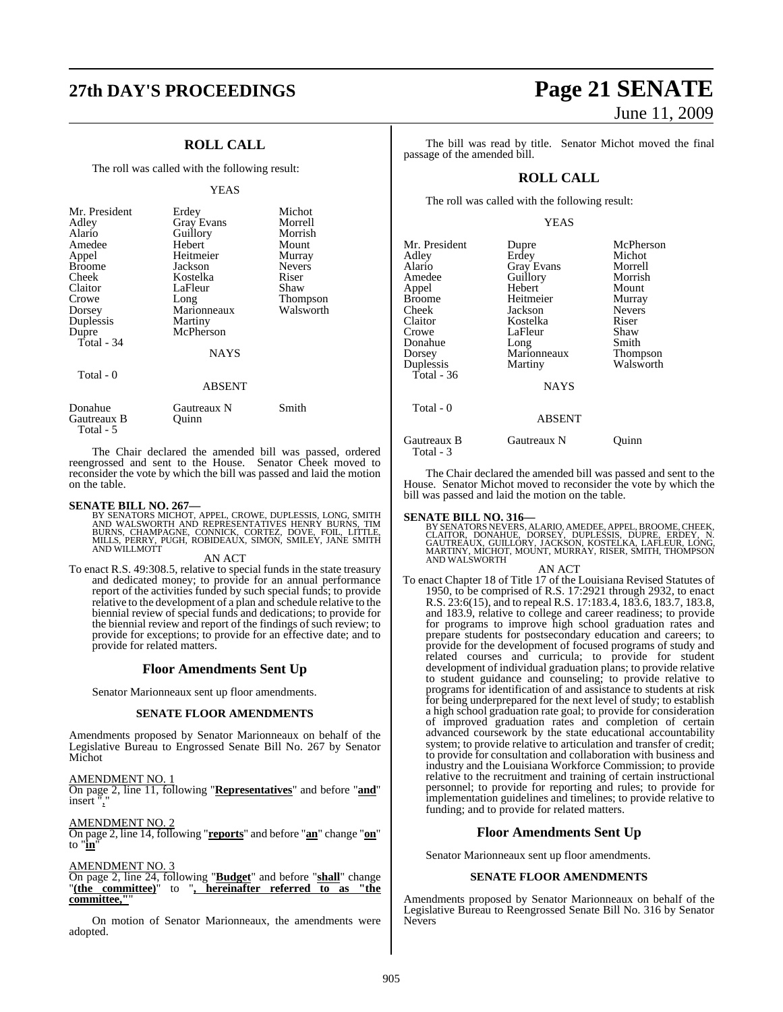# **27th DAY'S PROCEEDINGS Page 21 SENATE**

## **ROLL CALL**

The roll was called with the following result:

#### YEAS

| Riser<br>Cheek<br>Kostelka<br>Claitor<br>Shaw<br>LaFleur<br>Thompson<br>Crowe<br>Long<br>Walsworth<br>Marionneaux<br>Dorsey<br>Duplessis<br>Martiny<br>McPherson<br>Dupre<br>Total - 34<br><b>NAYS</b><br>Total - 0<br><b>ABSENT</b> | Mr. President<br>Adley<br>Alario<br>Amedee<br>Appel<br><b>Broome</b> | Erdey<br><b>Gray Evans</b><br>Guillory<br>Hebert<br>Heitmeier<br>Jackson | Michot<br>Morrell<br>Morrish<br>Mount<br>Murray<br><b>Nevers</b> |
|--------------------------------------------------------------------------------------------------------------------------------------------------------------------------------------------------------------------------------------|----------------------------------------------------------------------|--------------------------------------------------------------------------|------------------------------------------------------------------|
|                                                                                                                                                                                                                                      |                                                                      |                                                                          |                                                                  |
|                                                                                                                                                                                                                                      |                                                                      |                                                                          |                                                                  |
|                                                                                                                                                                                                                                      |                                                                      |                                                                          |                                                                  |
|                                                                                                                                                                                                                                      |                                                                      |                                                                          |                                                                  |
|                                                                                                                                                                                                                                      |                                                                      |                                                                          |                                                                  |
|                                                                                                                                                                                                                                      |                                                                      |                                                                          |                                                                  |
|                                                                                                                                                                                                                                      |                                                                      |                                                                          |                                                                  |
|                                                                                                                                                                                                                                      |                                                                      |                                                                          |                                                                  |
|                                                                                                                                                                                                                                      |                                                                      |                                                                          |                                                                  |
|                                                                                                                                                                                                                                      | $\sim$                                                               |                                                                          | $\sim$                                                           |

| Donahue<br>Gautreaux B<br>Total - 5 | Gautreaux N<br>Ouinn | Smith |
|-------------------------------------|----------------------|-------|
|                                     |                      |       |

The Chair declared the amended bill was passed, ordered reengrossed and sent to the House. Senator Cheek moved to reconsider the vote by which the bill was passed and laid the motion on the table.

**SENATE BILL NO. 267—**<br>BY SENATORS MICHOT, APPEL, CROWE, DUPLESSIS, LONG, SMITH<br>AND WALSWORTH AND REPRESENTATIVES HENRY BURNS, TIM<br>BURNS, CHAMPAGNE, CONNICK, CORTEZ, DOVE, FOIL, LITTLE,<br>MILLS, PERRY, PUGH, ROBIDEAUX, SIMON

#### AN ACT

To enact R.S. 49:308.5, relative to special funds in the state treasury and dedicated money; to provide for an annual performance report of the activities funded by such special funds; to provide relative to the development of a plan and schedule relative to the biennial review of special funds and dedications; to provide for the biennial review and report of the findings of such review; to provide for exceptions; to provide for an effective date; and to provide for related matters.

#### **Floor Amendments Sent Up**

Senator Marionneaux sent up floor amendments.

#### **SENATE FLOOR AMENDMENTS**

Amendments proposed by Senator Marionneaux on behalf of the Legislative Bureau to Engrossed Senate Bill No. 267 by Senator Michot

AMENDMENT NO. 1

On page 2, line 11, following "**Representatives**" and before "**and**" insert",

AMENDMENT NO. 2

On page 2, line 14, following "**reports**" and before "**an**" change "**on**" to "**in**"

#### AMENDMENT NO. 3

On page 2, line 24, following "**Budget**" and before "**shall**" change "**(the committee)**" to "**, hereinafter referred to as "the**  $committee$ .

On motion of Senator Marionneaux, the amendments were adopted.

# June 11, 2009

The bill was read by title. Senator Michot moved the final passage of the amended bill.

#### **ROLL CALL**

The roll was called with the following result:

#### YEAS

| Mr. President<br>Adley<br>Alario<br>Amedee<br>Appel<br>Broome<br>Cheek<br>Claitor<br>Crowe<br>Donahue<br>Dorsey<br>Duplessis<br>Total - 36<br>Total - 0 | Dupre<br>Erdey<br><b>Gray Evans</b><br>Guillory<br>Hebert<br>Heitmeier<br>Jackson<br>Kostelka<br>LaFleur<br>Long<br>Marionneaux<br>Martiny<br><b>NAYS</b><br><b>ABSENT</b> | McPherson<br>Michot<br>Morrell<br>Morrish<br>Mount<br>Murray<br><b>Nevers</b><br>Riser<br>Shaw<br>Smith<br><b>Thompson</b><br>Walsworth |
|---------------------------------------------------------------------------------------------------------------------------------------------------------|----------------------------------------------------------------------------------------------------------------------------------------------------------------------------|-----------------------------------------------------------------------------------------------------------------------------------------|
|                                                                                                                                                         |                                                                                                                                                                            |                                                                                                                                         |
| Gautreaux B<br>Total - 3                                                                                                                                | Gautreaux N                                                                                                                                                                | Ouınn                                                                                                                                   |

The Chair declared the amended bill was passed and sent to the House. Senator Michot moved to reconsider the vote by which the bill was passed and laid the motion on the table.

**SENATE BILL NO. 316—** BY SENATORS NEVERS, ALARIO, AMEDEE, APPEL, BROOME, CHEEK, CLAITOR, DONAHUE, DORSEY, DUPLESSIS, DUPRE, ERDEY, N.<br>GAUTREAUX, GUILLORY, JACKSON, KOSTELKA, LAFLEUR, LONG,<br>MARTINY, MICHOT, MOUNT, MURRAY, RISER, SMITH, THOMPSON AND WALSWORTH

AN ACT

To enact Chapter 18 of Title 17 of the Louisiana Revised Statutes of 1950, to be comprised of R.S. 17:2921 through 2932, to enact R.S. 23:6(15), and to repeal R.S. 17:183.4, 183.6, 183.7, 183.8, and 183.9, relative to college and career readiness; to provide for programs to improve high school graduation rates and prepare students for postsecondary education and careers; to provide for the development of focused programs of study and related courses and curricula; to provide for student development of individual graduation plans; to provide relative to student guidance and counseling; to provide relative to programs for identification of and assistance to students at risk for being underprepared for the next level of study; to establish a high school graduation rate goal; to provide for consideration of improved graduation rates and completion of certain advanced coursework by the state educational accountability system; to provide relative to articulation and transfer of credit; to provide for consultation and collaboration with business and industry and the Louisiana Workforce Commission; to provide relative to the recruitment and training of certain instructional personnel; to provide for reporting and rules; to provide for implementation guidelines and timelines; to provide relative to funding; and to provide for related matters.

#### **Floor Amendments Sent Up**

Senator Marionneaux sent up floor amendments.

#### **SENATE FLOOR AMENDMENTS**

Amendments proposed by Senator Marionneaux on behalf of the Legislative Bureau to Reengrossed Senate Bill No. 316 by Senator Nevers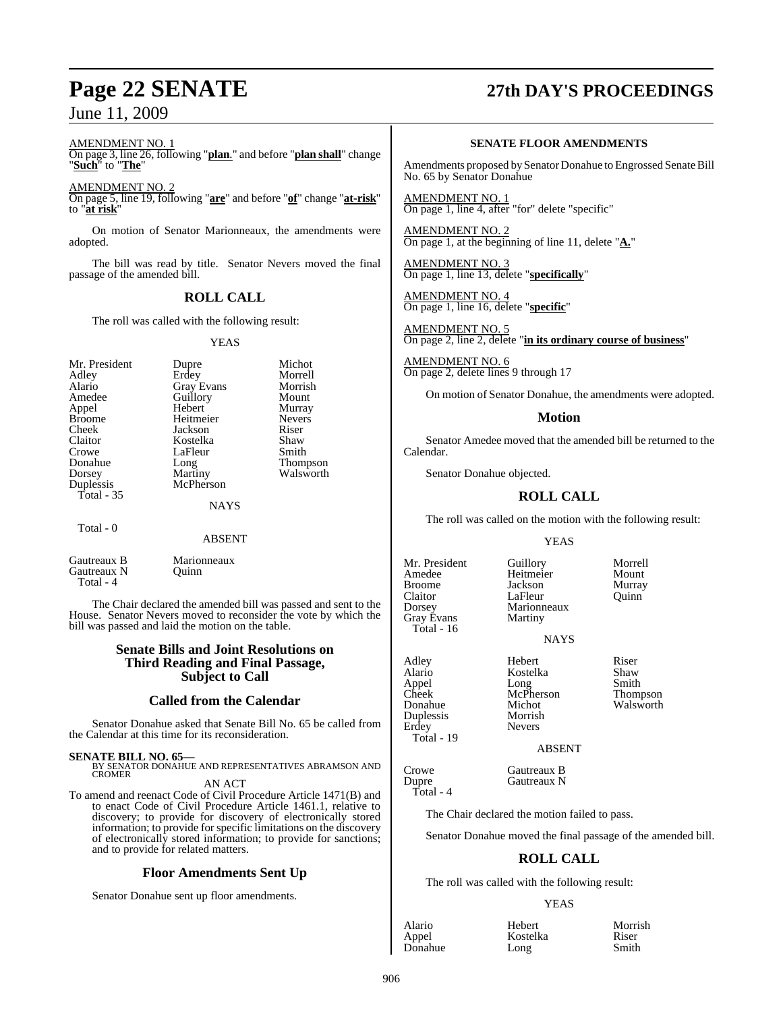#### AMENDMENT NO. 1

On page 3, line 26, following "**plan**." and before "**plan shall**" change "**Such**" to "**The**"

AMENDMENT NO. 2

On page 5, line 19, following "**are**" and before "**of**" change "**at-risk**" to "**at risk**"

On motion of Senator Marionneaux, the amendments were adopted.

The bill was read by title. Senator Nevers moved the final passage of the amended bill.

## **ROLL CALL**

The roll was called with the following result:

#### YEAS

| Mr. President<br>Adley<br>Alario<br>Amedee<br>Appel<br><b>Broome</b><br>Cheek<br>Claitor<br>Crowe<br>Donahue<br>Dorsey<br>Duplessis<br>Total $-35$ | Dupre<br>Erdey<br><b>Gray Evans</b><br>Guillory<br>Hebert<br>Heitmeier<br>Jackson<br>Kostelka<br>LaFleur<br>Long<br>Martiny<br>McPherson<br><b>NAYS</b> | Michot<br>Morrell<br>Morrish<br>Mount<br>Murray<br><b>Nevers</b><br>Riser<br>Shaw<br>Smith<br>Thompson<br>Walsworth |
|----------------------------------------------------------------------------------------------------------------------------------------------------|---------------------------------------------------------------------------------------------------------------------------------------------------------|---------------------------------------------------------------------------------------------------------------------|
| Total - 0                                                                                                                                          | <b>ABSENT</b>                                                                                                                                           |                                                                                                                     |

Gautreaux B Marionneaux Gautreaux N Quinn Total - 4

The Chair declared the amended bill was passed and sent to the House. Senator Nevers moved to reconsider the vote by which the bill was passed and laid the motion on the table.

#### **Senate Bills and Joint Resolutions on Third Reading and Final Passage, Subject to Call**

#### **Called from the Calendar**

Senator Donahue asked that Senate Bill No. 65 be called from the Calendar at this time for its reconsideration.

**SENATE BILL NO. 65—** BY SENATOR DONAHUE AND REPRESENTATIVES ABRAMSON AND **CROMER** 

# AN ACT

To amend and reenact Code of Civil Procedure Article 1471(B) and to enact Code of Civil Procedure Article 1461.1, relative to discovery; to provide for discovery of electronically stored information; to provide for specific limitations on the discovery of electronically stored information; to provide for sanctions; and to provide for related matters.

#### **Floor Amendments Sent Up**

Senator Donahue sent up floor amendments.

# **Page 22 SENATE 27th DAY'S PROCEEDINGS**

#### **SENATE FLOOR AMENDMENTS**

Amendments proposed by Senator Donahue to Engrossed Senate Bill No. 65 by Senator Donahue

AMENDMENT NO. 1 On page 1, line 4, after "for" delete "specific"

AMENDMENT NO. 2 On page 1, at the beginning of line 11, delete "**A.**"

AMENDMENT NO. 3 On page 1, line 13, delete "**specifically**"

AMENDMENT NO. 4 On page 1, line 16, delete "**specific**"

AMENDMENT NO. 5 On page 2, line 2, delete "**in its ordinary course of business**"

AMENDMENT NO. 6 On page 2, delete lines 9 through 17

On motion of Senator Donahue, the amendments were adopted.

#### **Motion**

Senator Amedee moved that the amended bill be returned to the Calendar.

Senator Donahue objected.

## **ROLL CALL**

The roll was called on the motion with the following result:

#### YEAS

Amedee Heitmeier Mount<br>Broome Jackson Murray Broome Jackson Murray Claitor LaFleur<br>Dorsey Marioni Gray Evans Total - 16

Appel<br>Cheek

Duplessis

Total - 19

Total - 4

Erdey Nevers

Mr. President Guillory Morrell<br>Amedee Heitmeier Mount Marionneaux<br>Martiny

NAYS

Adley Hebert Riser Alario Kostelka Shaw Cheek McPherson Thompson<br>Donahue Michot Walsworth Michot Walsworth<br>Morrish

ABSENT

Crowe Gautreaux B<br>
Dupre Gautreaux N Gautreaux N

The Chair declared the motion failed to pass.

Senator Donahue moved the final passage of the amended bill.

#### **ROLL CALL**

The roll was called with the following result:

#### YEAS

Donahue

Alario Hebert Morrish Kostelka Riser<br>Long Smith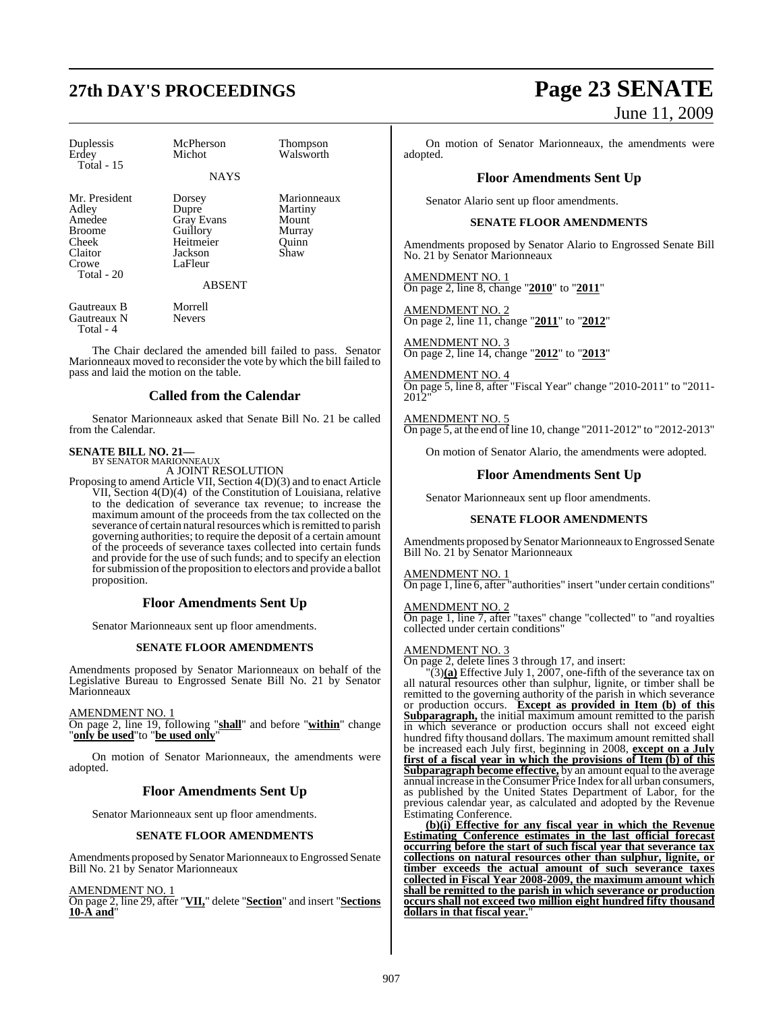| Duplessis<br>Erdey<br>Total - 15                                                             | McPherson<br>Michot                                                                                  | Thompson<br>Walsworth                                      |
|----------------------------------------------------------------------------------------------|------------------------------------------------------------------------------------------------------|------------------------------------------------------------|
|                                                                                              | <b>NAYS</b>                                                                                          |                                                            |
| Mr. President<br>Adley<br>Amedee<br><b>Broome</b><br>Cheek<br>Claitor<br>Crowe<br>Total - 20 | Dorsey<br>Dupre<br><b>Gray Evans</b><br>Guillory<br>Heitmeier<br>Jackson<br>LaFleur<br><b>ABSENT</b> | Marionneaux<br>Martiny<br>Mount<br>Murray<br>Ouinn<br>Shaw |
| Gautreaux B<br>Gautreaux N<br>Total - 4                                                      | Morrell<br><b>Nevers</b>                                                                             |                                                            |

The Chair declared the amended bill failed to pass. Senator Marionneaux moved to reconsider the vote by which the bill failed to pass and laid the motion on the table.

#### **Called from the Calendar**

Senator Marionneaux asked that Senate Bill No. 21 be called from the Calendar.

# **SENATE BILL NO. 21—** BY SENATOR MARIONNEAUX

A JOINT RESOLUTION

Proposing to amend Article VII, Section 4(D)(3) and to enact Article VII, Section 4(D)(4) of the Constitution of Louisiana, relative to the dedication of severance tax revenue; to increase the maximum amount of the proceeds from the tax collected on the severance of certain natural resources which is remitted to parish governing authorities; to require the deposit of a certain amount of the proceeds of severance taxes collected into certain funds and provide for the use of such funds; and to specify an election for submission of the proposition to electors and provide a ballot proposition.

## **Floor Amendments Sent Up**

Senator Marionneaux sent up floor amendments.

#### **SENATE FLOOR AMENDMENTS**

Amendments proposed by Senator Marionneaux on behalf of the Legislative Bureau to Engrossed Senate Bill No. 21 by Senator Marionneaux

#### AMENDMENT NO. 1

On page 2, line 19, following "**shall**" and before "**within**" change "**only be used**"to "**be used only**"

On motion of Senator Marionneaux, the amendments were adopted.

#### **Floor Amendments Sent Up**

Senator Marionneaux sent up floor amendments.

#### **SENATE FLOOR AMENDMENTS**

Amendments proposed by Senator Marionneaux to Engrossed Senate Bill No. 21 by Senator Marionneaux

AMENDMENT NO. 1

On page 2, line 29, after "**VII,**" delete "**Section**" and insert "**Sections 10-A and**"

# **27th DAY'S PROCEEDINGS Page 23 SENATE** June 11, 2009

On motion of Senator Marionneaux, the amendments were adopted.

#### **Floor Amendments Sent Up**

Senator Alario sent up floor amendments.

#### **SENATE FLOOR AMENDMENTS**

Amendments proposed by Senator Alario to Engrossed Senate Bill No. 21 by Senator Marionneaux

AMENDMENT NO. 1 On page 2, line 8, change "**2010**" to "**2011**"

AMENDMENT NO. 2 On page 2, line 11, change "**2011**" to "**2012**"

AMENDMENT NO. 3 On page 2, line 14, change "**2012**" to "**2013**"

AMENDMENT NO. 4 On page 5, line 8, after "Fiscal Year" change "2010-2011" to "2011- 2012"

AMENDMENT NO. 5 On page 5, at the end of line 10, change "2011-2012" to "2012-2013"

On motion of Senator Alario, the amendments were adopted.

#### **Floor Amendments Sent Up**

Senator Marionneaux sent up floor amendments.

#### **SENATE FLOOR AMENDMENTS**

Amendments proposed by Senator Marionneaux to Engrossed Senate Bill No. 21 by Senator Marionneaux

AMENDMENT NO. 1

On page 1, line 6, after "authorities" insert "under certain conditions"

AMENDMENT NO. 2 On page 1, line 7, after "taxes" change "collected" to "and royalties collected under certain conditions"

#### AMENDMENT NO. 3

On page 2, delete lines 3 through 17, and insert:

 $\Gamma(3)$ (a) Effective July 1, 2007, one-fifth of the severance tax on all natural resources other than sulphur, lignite, or timber shall be remitted to the governing authority of the parish in which severance or production occurs. **Except as provided in Item (b) of this Subparagraph,** the initial maximum amount remitted to the parish in which severance or production occurs shall not exceed eight hundred fifty thousand dollars. The maximum amount remitted shall be increased each July first, beginning in 2008, **except on a July first of a fiscal year in which the provisions of Item (b) of this Subparagraph become effective,** by an amount equal to the average annual increase in the Consumer Price Index for all urban consumers, as published by the United States Department of Labor, for the previous calendar year, as calculated and adopted by the Revenue Estimating Conference.

**(b)(i) Effective for any fiscal year in which the Revenue Estimating Conference estimates in the last official forecast occurring before the start of such fiscal year that severance tax collections on natural resources other than sulphur, lignite, or timber exceeds the actual amount of such severance taxes collected in Fiscal Year 2008-2009, the maximum amount which shall be remitted to the parish in which severance or production occurs shall not exceed two million eight hundred fifty thousand** dollars in that fiscal year.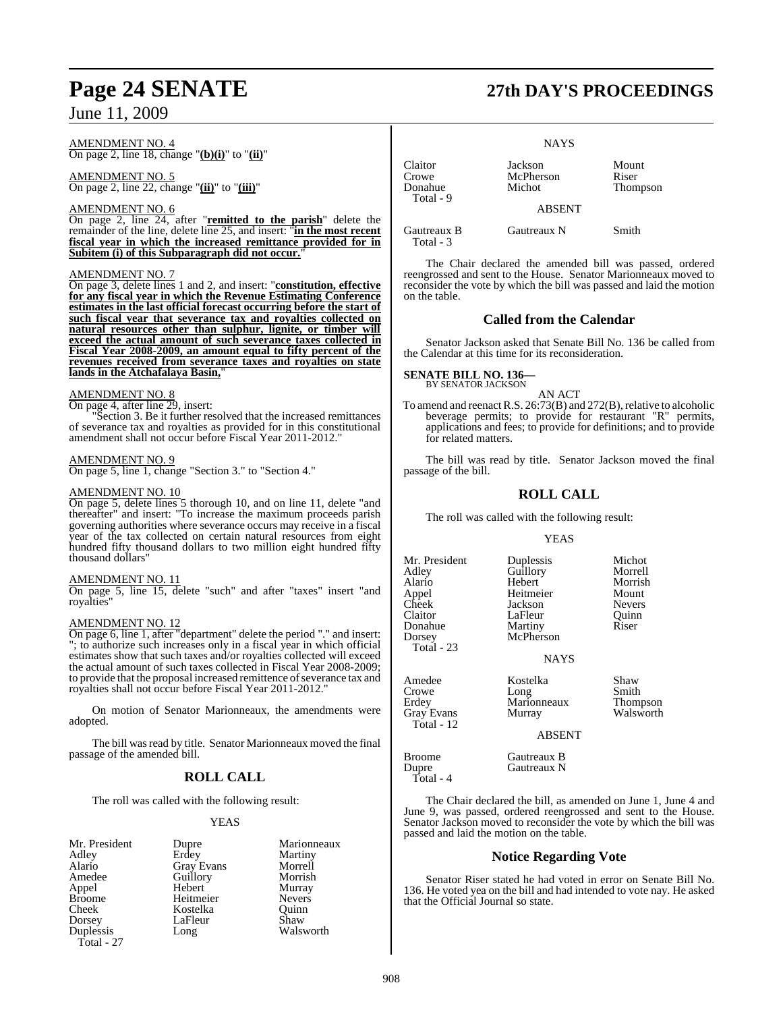#### AMENDMENT NO. 4 On page 2, line 18, change "**(b)(i)**" to "**(ii)**"

AMENDMENT NO. 5

On page 2, line 22, change "**(ii)**" to "**(iii)**"

#### AMENDMENT NO. 6

On page 2, line 24, after "**remitted to the parish**" delete the remainder of the line, delete line 25, and insert: "**in the most recent fiscal year in which the increased remittance provided for in** Subitem (i) of this Subparagraph did not occur.

#### AMENDMENT NO. 7

On page 3, delete lines 1 and 2, and insert: "**constitution, effective for any fiscal year in which the Revenue Estimating Conference estimates in the last official forecast occurring before the start of such fiscal year that severance tax and royalties collected on natural resources other than sulphur, lignite, or timber will exceed the actual amount of such severance taxes collected in Fiscal Year 2008-2009, an amount equal to fifty percent of the revenues received from severance taxes and royalties on state lands in the Atchafalaya Basin,** 

#### AMENDMENT NO. 8

On page 4, after line 29, insert:

"Section 3. Be it further resolved that the increased remittances of severance tax and royalties as provided for in this constitutional amendment shall not occur before Fiscal Year 2011-2012."

#### AMENDMENT NO. 9

On page 5, line 1, change "Section 3." to "Section 4."

#### AMENDMENT NO. 10

On page 5, delete lines 5 thorough 10, and on line 11, delete "and thereafter" and insert: "To increase the maximum proceeds parish governing authorities where severance occurs may receive in a fiscal year of the tax collected on certain natural resources from eight hundred fifty thousand dollars to two million eight hundred fifty thousand dollars"

#### AMENDMENT NO. 11

On page 5, line 15, delete "such" and after "taxes" insert "and royalties"

#### AMENDMENT NO. 12

On page 6, line 1, after "department" delete the period "." and insert: "; to authorize such increases only in a fiscal year in which official estimates show that such taxes and/or royalties collected will exceed the actual amount of such taxes collected in Fiscal Year 2008-2009; to provide that the proposal increased remittence of severance tax and royalties shall not occur before Fiscal Year 2011-2012."

On motion of Senator Marionneaux, the amendments were adopted.

The bill was read by title. Senator Marionneaux moved the final passage of the amended bill.

## **ROLL CALL**

The roll was called with the following result:

LaFleur

#### YEAS

Dupre Marionneaux<br>
Frdev Martiny Erdey Martiny<br>Gray Evans Morrell Gray Evans Morrell<br>
Guillory Morrish Guillory Morrish<br>
Hebert Murray Hebert Murray<br>
Heitmeier Nevers Heitmeier Nevers<br>Kostelka Ouinn Kostelka Quinn<br>LaFleur Shaw Long Walsworth

Claitor Jackson Mount Crowe McPherson<br>Donahue Michot Total - 9

ABSENT

**NAYS** 

Gautreaux B Gautreaux N Smith Total - 3

Thompson

The Chair declared the amended bill was passed, ordered reengrossed and sent to the House. Senator Marionneaux moved to reconsider the vote by which the bill was passed and laid the motion on the table.

#### **Called from the Calendar**

Senator Jackson asked that Senate Bill No. 136 be called from the Calendar at this time for its reconsideration.

#### **SENATE BILL NO. 136—** BY SENATOR JACKSON

AN ACT

To amend and reenact R.S. 26:73(B) and 272(B), relative to alcoholic beverage permits; to provide for restaurant "R" permits, applications and fees; to provide for definitions; and to provide for related matters.

The bill was read by title. Senator Jackson moved the final passage of the bill.

## **ROLL CALL**

The roll was called with the following result:

#### YEAS

| Mr. President<br>Adley<br>Alario<br>Appel<br>Cheek<br>Claitor<br>Donahue<br>Dorsey | Duplessis<br>Guillory<br>Hebert<br>Heitmeier<br>Jackson<br>LaFleur<br>Martiny<br>McPherson | Michot<br>Morrell<br>Morrish<br>Mount<br><b>Nevers</b><br>Quinn<br>Riser |
|------------------------------------------------------------------------------------|--------------------------------------------------------------------------------------------|--------------------------------------------------------------------------|
| Total - 23                                                                         | <b>NAYS</b>                                                                                |                                                                          |
| Amedee<br>Crowe<br>Erdey<br><b>Gray Evans</b>                                      | Kostelka<br>Long<br>Marionneaux<br>Murray                                                  | Shaw<br>Smith<br>Thompson<br>Walsworth                                   |

ABSENT

Broome Gautreaux B<br>
Dupre Gautreaux N Gautreaux N

Total - 12

Total - 4

The Chair declared the bill, as amended on June 1, June 4 and June 9, was passed, ordered reengrossed and sent to the House. Senator Jackson moved to reconsider the vote by which the bill was passed and laid the motion on the table.

## **Notice Regarding Vote**

Senator Riser stated he had voted in error on Senate Bill No. 136. He voted yea on the bill and had intended to vote nay. He asked that the Official Journal so state.

# **Page 24 SENATE 27th DAY'S PROCEEDINGS**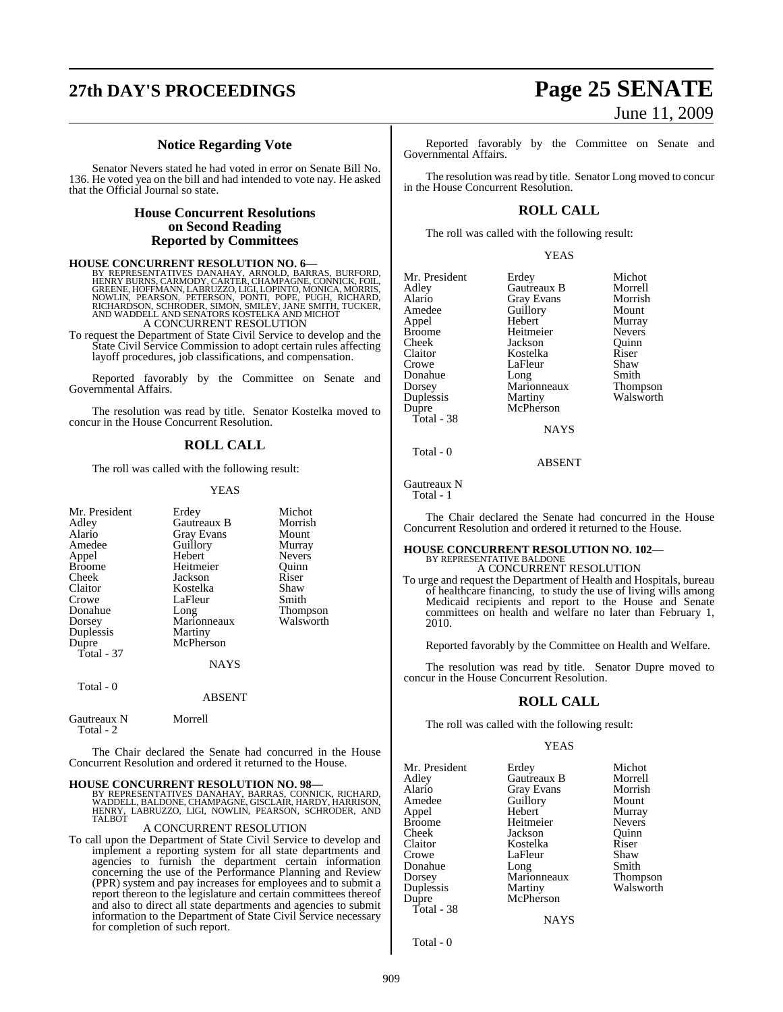# **27th DAY'S PROCEEDINGS Page 25 SENATE**

## **Notice Regarding Vote**

Senator Nevers stated he had voted in error on Senate Bill No. 136. He voted yea on the bill and had intended to vote nay. He asked that the Official Journal so state.

#### **House Concurrent Resolutions on Second Reading Reported by Committees**

#### **HOUSE CONCURRENT RESOLUTION NO. 6—**

BY REPRESENTATIVES DANAHAY, ARNOLD, BARRAS, BURFORD, HENRY BURNS, CARMODY, CARTER, CHAMPAGNE, CONNICK, FOIL, GREENE, HOFFMANN, LABRUZZO, LIGI, LOPINTO, MONICA, MÓRRIS,<br>NOWLIN, PEARSON, PETERSON, PONTI, POPE, PUGH, RICHARD,<br>RICHARDSON, SCHRODER, SIMON, SMILEY, JANE SMITH, TUCKER,<br>AND WADDELL AND SENATORS KOSTELKA A A CONCURRENT RESOLUTION

To request the Department of State Civil Service to develop and the State Civil Service Commission to adopt certain rules affecting layoff procedures, job classifications, and compensation.

Reported favorably by the Committee on Senate and Governmental Affairs.

The resolution was read by title. Senator Kostelka moved to concur in the House Concurrent Resolution.

#### **ROLL CALL**

The roll was called with the following result:

#### YEAS

| Mr. President<br>Adley<br>Alario<br>Amedee<br>Appel<br><b>Broome</b><br>Cheek<br>Claitor<br>Crowe<br>Donahue<br>Dorsey<br>Duplessis<br>Dupre<br>Total - 37 | Erdey<br>Gautreaux B<br><b>Gray Evans</b><br>Guillory<br>Hebert<br>Heitmeier<br>Jackson<br>Kostelka<br>LaFleur<br>Long<br>Marionneaux<br>Martiny<br>McPherson | Michot<br>Morrish<br>Mount<br>Murray<br><b>Nevers</b><br>Ouinn<br>Riser<br>Shaw<br>Smith<br><b>Thompson</b><br>Walsworth |
|------------------------------------------------------------------------------------------------------------------------------------------------------------|---------------------------------------------------------------------------------------------------------------------------------------------------------------|--------------------------------------------------------------------------------------------------------------------------|
|                                                                                                                                                            | <b>NAYS</b>                                                                                                                                                   |                                                                                                                          |
| Total - 0                                                                                                                                                  | <b>ABSENT</b>                                                                                                                                                 |                                                                                                                          |

Gautreaux N Morrell Total  $-2$ 

The Chair declared the Senate had concurred in the House Concurrent Resolution and ordered it returned to the House.

**HOUSE CONCURRENT RESOLUTION NO. 98—**<br>BY REPRESENTATIVES DANAHAY, BARRAS, CONNICK, RICHARD, WADDELL, BALDONE, CHAMPAGNE, GISCLAIR, HARDY, HARRISON,<br>HENRY, LABRUZZO, LIGI, NOWLIN, PEARSON, SCHRODER, AND<br>TALBOT

#### A CONCURRENT RESOLUTION

To call upon the Department of State Civil Service to develop and implement a reporting system for all state departments and agencies to furnish the department certain information concerning the use of the Performance Planning and Review (PPR) system and pay increases for employees and to submit a report thereon to the legislature and certain committees thereof and also to direct all state departments and agencies to submit information to the Department of State Civil Service necessary for completion of such report.

# June 11, 2009

Reported favorably by the Committee on Senate and Governmental Affairs.

The resolution was read by title. Senator Long moved to concur in the House Concurrent Resolution.

#### **ROLL CALL**

The roll was called with the following result:

YEAS

| Mr. President | Erdey       | Michot          |
|---------------|-------------|-----------------|
| Adley         | Gautreaux B | Morrell         |
| Alario        | Gray Evans  | Morrish         |
| Amedee        | Guillory    | Mount           |
| Appel         | Hebert      | Murray          |
| <b>Broome</b> | Heitmeier   | <b>Nevers</b>   |
| Cheek         | Jackson     | Ouinn           |
| Claitor       | Kostelka    | Riser           |
| Crowe         | LaFleur     | Shaw            |
| Donahue       | Long        | Smith           |
| Dorsey        | Marionneaux | <b>Thompson</b> |
| Duplessis     | Martiny     | Walsworth       |
| Dupre         | McPherson   |                 |
| Total - 38    |             |                 |
|               | NAVC        |                 |

Total - 0

Gautreaux N

Total - 1

The Chair declared the Senate had concurred in the House Concurrent Resolution and ordered it returned to the House.

**NAYS** 

ABSENT

## **HOUSE CONCURRENT RESOLUTION NO. 102—** BY REPRESENTATIVE BALDONE A CONCURRENT RESOLUTION

To urge and request the Department of Health and Hospitals, bureau of healthcare financing, to study the use of living wills among Medicaid recipients and report to the House and Senate committees on health and welfare no later than February 1, 2010.

Reported favorably by the Committee on Health and Welfare.

The resolution was read by title. Senator Dupre moved to concur in the House Concurrent Resolution.

#### **ROLL CALL**

The roll was called with the following result:

#### YEAS

| Mr. President | Erdey             | Michot          |
|---------------|-------------------|-----------------|
| Adley         | Gautreaux B       | Morrell         |
| Alario        | <b>Gray Evans</b> | Morrish         |
| Amedee        | Guillory          | Mount           |
| Appel         | Hebert            | Murray          |
| <b>Broome</b> | Heitmeier         | <b>Nevers</b>   |
| Cheek         | Jackson           | Ouinn           |
| Claitor       | Kostelka          | Riser           |
| Crowe         | LaFleur           | Shaw            |
| Donahue       | Long              | Smith           |
| Dorsey        | Marionneaux       | <b>Thompson</b> |
| Duplessis     | Martiny           | Walsworth       |
| Dupre         | McPherson         |                 |
| Total - 38    |                   |                 |
|               | <b>NAYS</b>       |                 |

Total - 0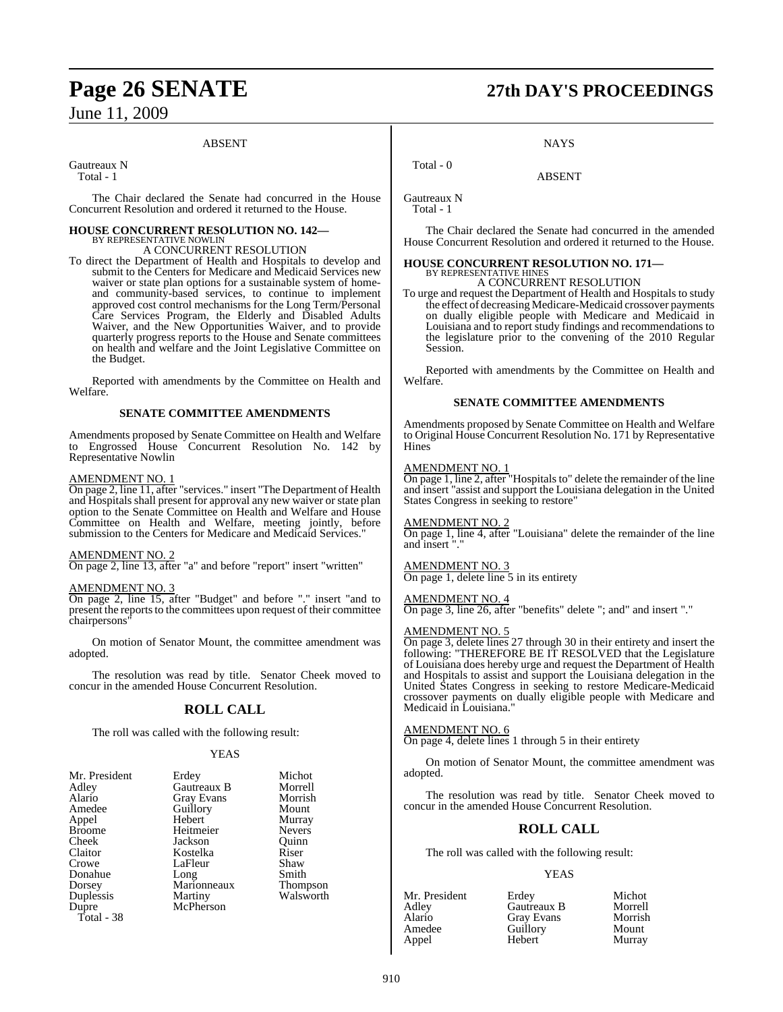#### ABSENT

Gautreaux N

Total - 1

The Chair declared the Senate had concurred in the House Concurrent Resolution and ordered it returned to the House.

# **HOUSE CONCURRENT RESOLUTION NO. 142—** BY REPRESENTATIVE NOWLIN

#### A CONCURRENT RESOLUTION

To direct the Department of Health and Hospitals to develop and submit to the Centers for Medicare and Medicaid Services new waiver or state plan options for a sustainable system of homeand community-based services, to continue to implement approved cost control mechanisms for the Long Term/Personal Care Services Program, the Elderly and Disabled Adults Waiver, and the New Opportunities Waiver, and to provide quarterly progress reports to the House and Senate committees on health and welfare and the Joint Legislative Committee on the Budget.

Reported with amendments by the Committee on Health and Welfare.

#### **SENATE COMMITTEE AMENDMENTS**

Amendments proposed by Senate Committee on Health and Welfare to Engrossed House Concurrent Resolution No. 142 by Representative Nowlin

#### AMENDMENT NO. 1

On page 2, line 11, after "services." insert "The Department of Health and Hospitals shall present for approval any new waiver or state plan option to the Senate Committee on Health and Welfare and House Committee on Health and Welfare, meeting jointly, before submission to the Centers for Medicare and Medicaid Services."

#### AMENDMENT NO. 2

On page 2, line 13, after "a" and before "report" insert "written"

#### AMENDMENT NO. 3

On page 2, line 15, after "Budget" and before "." insert "and to present the reports to the committees upon request of their committee chairpersons"

On motion of Senator Mount, the committee amendment was adopted.

The resolution was read by title. Senator Cheek moved to concur in the amended House Concurrent Resolution.

## **ROLL CALL**

The roll was called with the following result:

#### **YEAS**

| Mr. President | Erdey       | Michot          |
|---------------|-------------|-----------------|
| Adley         | Gautreaux B | Morrell         |
| Alario        | Gray Evans  | Morrish         |
| Amedee        | Guillory    | Mount           |
| Appel         | Hebert      | Murray          |
| <b>Broome</b> | Heitmeier   | <b>Nevers</b>   |
| Cheek         | Jackson     | Ouinn           |
| Claitor       | Kostelka    | Riser           |
| Crowe         | LaFleur     | Shaw            |
| Donahue       | Long        | Smith           |
| Dorsey        | Marionneaux | <b>Thompson</b> |
| Duplessis     | Martiny     | Walsworth       |
| Dupre         | McPherson   |                 |
| Total - 38    |             |                 |

# **Page 26 SENATE 27th DAY'S PROCEEDINGS**

**NAYS** 

ABSENT

Gautreaux N Total - 1

Total - 0

The Chair declared the Senate had concurred in the amended House Concurrent Resolution and ordered it returned to the House.

#### **HOUSE CONCURRENT RESOLUTION NO. 171—** BY REPRESENTATIVE HINES

A CONCURRENT RESOLUTION

To urge and request the Department of Health and Hospitals to study the effect of decreasing Medicare-Medicaid crossover payments on dually eligible people with Medicare and Medicaid in Louisiana and to report study findings and recommendations to the legislature prior to the convening of the 2010 Regular Session.

Reported with amendments by the Committee on Health and Welfare.

#### **SENATE COMMITTEE AMENDMENTS**

Amendments proposed by Senate Committee on Health and Welfare to Original House Concurrent Resolution No. 171 by Representative **Hines** 

#### AMENDMENT NO. 1

On page 1, line 2, after "Hospitals to" delete the remainder of the line and insert "assist and support the Louisiana delegation in the United States Congress in seeking to restore"

AMENDMENT NO. 2

On page 1, line 4, after "Louisiana" delete the remainder of the line and insert "."

## AMENDMENT NO. 3

On page 1, delete line 5 in its entirety

#### AMENDMENT NO. 4

On page 3, line 26, after "benefits" delete "; and" and insert "."

#### AMENDMENT NO. 5

On page 3, delete lines 27 through 30 in their entirety and insert the following: "THEREFORE BE IT RESOLVED that the Legislature of Louisiana does hereby urge and request the Department of Health and Hospitals to assist and support the Louisiana delegation in the United States Congress in seeking to restore Medicare-Medicaid crossover payments on dually eligible people with Medicare and Medicaid in Louisiana."

#### AMENDMENT NO. 6

On page 4, delete lines 1 through 5 in their entirety

On motion of Senator Mount, the committee amendment was adopted.

The resolution was read by title. Senator Cheek moved to concur in the amended House Concurrent Resolution.

## **ROLL CALL**

The roll was called with the following result:

#### YEAS

| Mr. President | Erdey             | Michot  |
|---------------|-------------------|---------|
| Adlev         | Gautreaux B       | Morrell |
| Alario        | <b>Gray Evans</b> | Morrish |
| Amedee        | Guillory          | Mount   |
| Appel         | Hebert            | Murray  |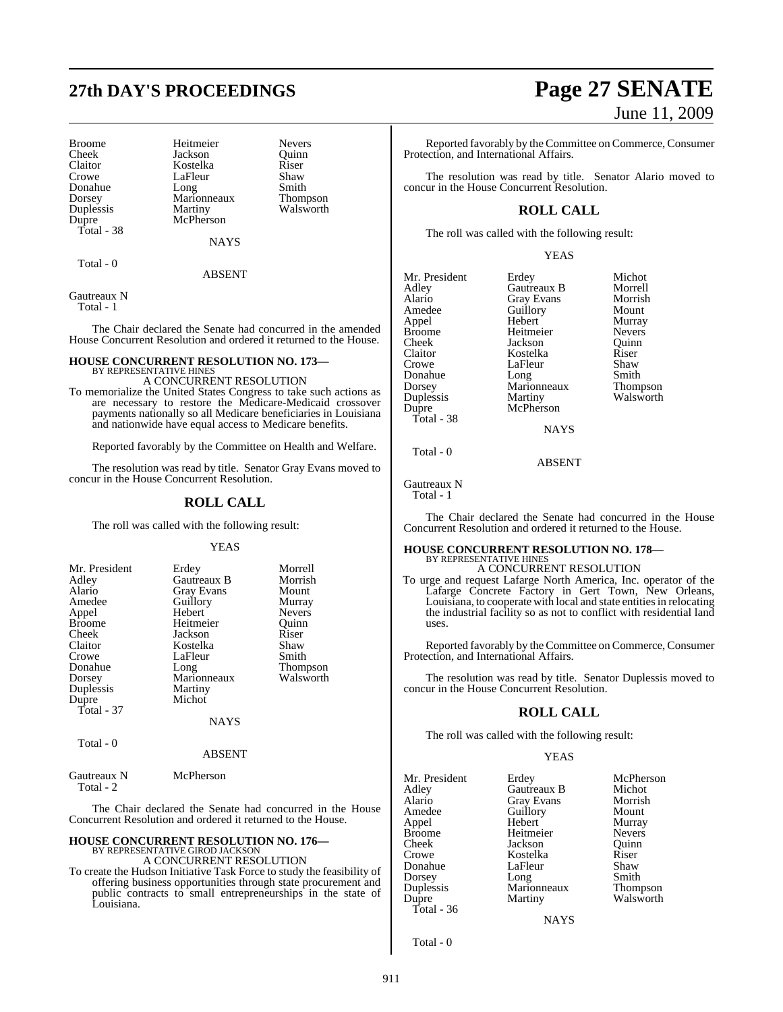# **27th DAY'S PROCEEDINGS Page 27 SENATE**

Broome Heitmeier Nevers<br>
Cheek Jackson Quinn Cheek Jackson Quinn Claitor **Kostelka** Riser<br>Crowe LaFleur Shaw Donahue Long Smith<br>Dorsey Marionneaux Thompson Dorsey Marionneaux<br>
Duplessis Martiny Duplessis Martiny Walsworth<br>Dupre McPherson Total - 38

LaFleur Shaw<br>Long Smith McPherson

**NAYS** 

Total - 0

ABSENT

Gautreaux N Total - 1

The Chair declared the Senate had concurred in the amended House Concurrent Resolution and ordered it returned to the House.

# **HOUSE CONCURRENT RESOLUTION NO. 173—** BY REPRESENTATIVE HINES

A CONCURRENT RESOLUTION

To memorialize the United States Congress to take such actions as are necessary to restore the Medicare-Medicaid crossover payments nationally so all Medicare beneficiaries in Louisiana and nationwide have equal access to Medicare benefits.

Reported favorably by the Committee on Health and Welfare.

The resolution was read by title. Senator Gray Evans moved to concur in the House Concurrent Resolution.

#### **ROLL CALL**

The roll was called with the following result:

#### YEAS

| Mr. President             | Erdey       | Morrell       |
|---------------------------|-------------|---------------|
| Adley                     | Gautreaux B | Morrish       |
| Alario                    | Gray Evans  | Mount         |
| Amedee                    | Guillory    | Murray        |
| Appel                     | Hebert      | <b>Nevers</b> |
| <b>Broome</b>             | Heitmeier   | Ouinn         |
| Cheek                     | Jackson     | Riser         |
| Claitor                   | Kostelka    | Shaw          |
| Crowe                     | LaFleur     | Smith         |
| Donahue                   | Long        | Thompson      |
| Dorsey                    | Marionneaux | Walsworth     |
| Duplessis                 | Martiny     |               |
| Dupre                     | Michot      |               |
| Total - 37                |             |               |
|                           | <b>NAYS</b> |               |
| $T_{\alpha \text{tal}}$ 0 |             |               |

Total - 0

ABSENT

#### Gautreaux N McPherson Total - 2

The Chair declared the Senate had concurred in the House Concurrent Resolution and ordered it returned to the House.

## **HOUSE CONCURRENT RESOLUTION NO. 176—** BY REPRESENTATIVE GIROD JACKSON A CONCURRENT RESOLUTION

To create the Hudson Initiative Task Force to study the feasibility of offering business opportunities through state procurement and public contracts to small entrepreneurships in the state of Louisiana.

# June 11, 2009

Reported favorably by the Committee on Commerce, Consumer Protection, and International Affairs.

The resolution was read by title. Senator Alario moved to concur in the House Concurrent Resolution.

## **ROLL CALL**

The roll was called with the following result:

YEAS

| Mr. President | Erdey           | Michot          |
|---------------|-----------------|-----------------|
| Adley         | Gautreaux B     | Morrell         |
| Alario        | Gray Evans      | Morrish         |
| Amedee        | Guillory        | Mount           |
| Appel         | Hebert          | Murray          |
| <b>Broome</b> | Heitmeier       | <b>Nevers</b>   |
| Cheek         | Jackson         | Ouinn           |
| Claitor       | Kostelka        | Riser           |
| Crowe         | LaFleur         | Shaw            |
| Donahue       | Long            | Smith           |
| Dorsey        | Marionneaux     | <b>Thompson</b> |
| Duplessis     | Martiny         | Walsworth       |
| Dupre         | McPherson       |                 |
| Total - 38    |                 |                 |
|               | <b>ATA SZCI</b> |                 |

Total - 0

Gautreaux N

Total - 1

The Chair declared the Senate had concurred in the House Concurrent Resolution and ordered it returned to the House.

ABSENT

#### **HOUSE CONCURRENT RESOLUTION NO. 178—** BY REPRESENTATIVE HINES

A CONCURRENT RESOLUTION To urge and request Lafarge North America, Inc. operator of the Lafarge Concrete Factory in Gert Town, New Orleans, Louisiana, to cooperate with local and state entities in relocating the industrial facility so as not to conflict with residential land uses.

Reported favorably by the Committee on Commerce, Consumer Protection, and International Affairs.

The resolution was read by title. Senator Duplessis moved to concur in the House Concurrent Resolution.

## **ROLL CALL**

The roll was called with the following result:

#### YEAS

| Erdey       | McPherson                                        |
|-------------|--------------------------------------------------|
| Gautreaux B | Michot                                           |
|             | Morrish                                          |
|             | Mount                                            |
| Hebert      | Murray                                           |
| Heitmeier   | <b>Nevers</b>                                    |
| Jackson     | Ouinn                                            |
| Kostelka    | Riser                                            |
| LaFleur     | Shaw                                             |
|             | Smith                                            |
| Marionneaux | Thompson                                         |
|             | Walsworth                                        |
|             |                                                  |
| <b>NAYS</b> |                                                  |
|             | <b>Gray Evans</b><br>Guillory<br>Long<br>Martiny |

Total - 0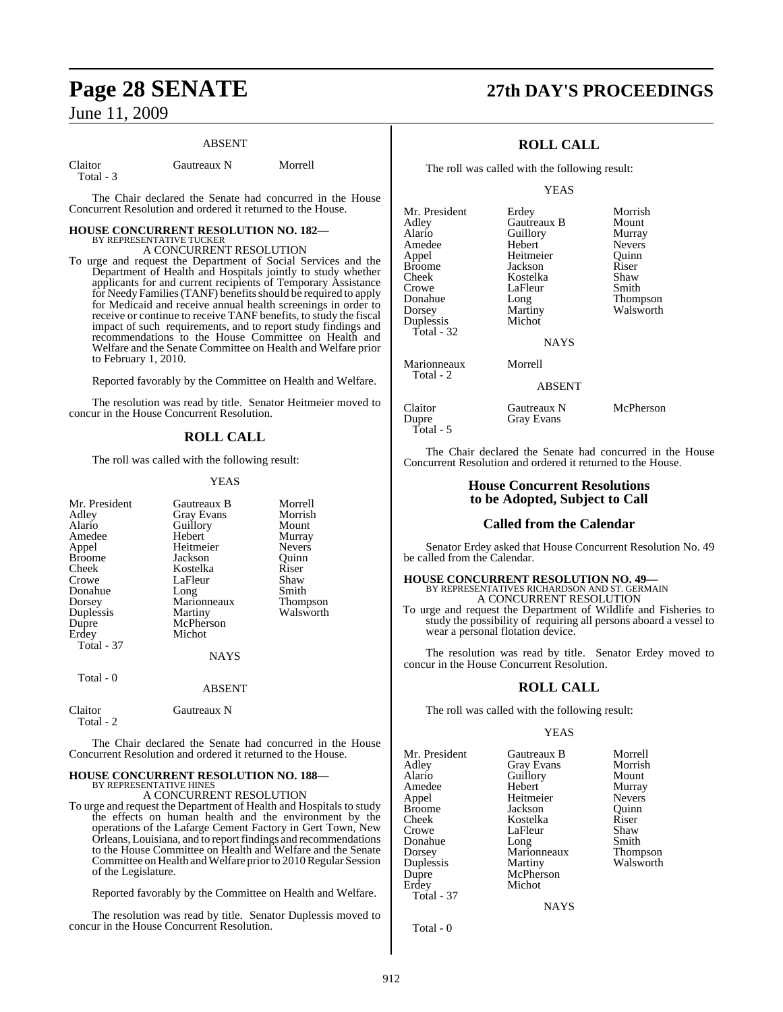# **Page 28 SENATE 27th DAY'S PROCEEDINGS** June 11, 2009

#### ABSENT

Total - 3

Claitor Gautreaux N Morrell

The Chair declared the Senate had concurred in the House Concurrent Resolution and ordered it returned to the House.

# **HOUSE CONCURRENT RESOLUTION NO. 182—** BY REPRESENTATIVE TUCKER

A CONCURRENT RESOLUTION

To urge and request the Department of Social Services and the Department of Health and Hospitals jointly to study whether applicants for and current recipients of Temporary Assistance for Needy Families (TANF) benefits should be required to apply for Medicaid and receive annual health screenings in order to receive or continue to receive TANF benefits, to study the fiscal impact of such requirements, and to report study findings and recommendations to the House Committee on Health and Welfare and the Senate Committee on Health and Welfare prior to February 1, 2010.

Reported favorably by the Committee on Health and Welfare.

The resolution was read by title. Senator Heitmeier moved to concur in the House Concurrent Resolution.

#### **ROLL CALL**

The roll was called with the following result:

#### YEAS

| Mr. President        | Gautreaux B       | Morrell   |
|----------------------|-------------------|-----------|
| Adley                | <b>Gray Evans</b> | Morrish   |
| Alario               | Guillory          | Mount     |
|                      |                   |           |
| Amedee               | Hebert            | Murray    |
| Appel                | Heitmeier         | Nevers    |
| <b>Broome</b>        | Jackson           | Quinn     |
| Cheek                | Kostelka          | Riser     |
| Crowe                | LaFleur           | Shaw      |
| Donahue              | Long              | Smith     |
| Dorsey               | Marionneaux       | Thompson  |
| Duplessis            | Martiny           | Walsworth |
| Dupre                | McPherson         |           |
| Erdey                | Michot            |           |
| <b>Total - 37</b>    |                   |           |
|                      | NAYS              |           |
| Total - 0            |                   |           |
|                      | <b>ABSENT</b>     |           |
| Claitor<br>Total - 2 | Gautreaux N       |           |

The Chair declared the Senate had concurred in the House Concurrent Resolution and ordered it returned to the House.

#### **HOUSE CONCURRENT RESOLUTION NO. 188—** BY REPRESENTATIVE HINES

A CONCURRENT RESOLUTION

To urge and request the Department of Health and Hospitals to study the effects on human health and the environment by the operations of the Lafarge Cement Factory in Gert Town, New Orleans,Louisiana, and to reportfindings and recommendations to the House Committee on Health and Welfare and the Senate Committee on Health and Welfare prior to 2010 Regular Session of the Legislature.

Reported favorably by the Committee on Health and Welfare.

The resolution was read by title. Senator Duplessis moved to concur in the House Concurrent Resolution.

## **ROLL CALL**

The roll was called with the following result:

YEAS

| Mr. President | Erdey         | Morrish       |
|---------------|---------------|---------------|
| Adlev         | Gautreaux B   | Mount         |
| Alario        | Guillory      | Murray        |
| Amedee        | Hebert        | <b>Nevers</b> |
| Appel         | Heitmeier     | Ouinn         |
| Broome        | Jackson       | Riser         |
| Cheek         | Kostelka      | Shaw          |
| Crowe         | LaFleur       | Smith         |
| Donahue       | Long          | Thompson      |
| Dorsey        | Martiny       | Walsworth     |
| Duplessis     | Michot        |               |
| Total - 32    |               |               |
|               | <b>NAYS</b>   |               |
| Marionneaux   | Morrell       |               |
| Total - 2     |               |               |
|               | <b>ABSENT</b> |               |
| Claitor       | Gautreaux N   | McPherson     |
| Dupre         | Gray Evans    |               |
| Total - 5     |               |               |

The Chair declared the Senate had concurred in the House Concurrent Resolution and ordered it returned to the House.

#### **House Concurrent Resolutions to be Adopted, Subject to Call**

#### **Called from the Calendar**

Senator Erdey asked that House Concurrent Resolution No. 49 be called from the Calendar.

#### **HOUSE CONCURRENT RESOLUTION NO. 49—** BY REPRESENTATIVES RICHARDSON AND ST. GERMAIN A CONCURRENT RESOLUTION

To urge and request the Department of Wildlife and Fisheries to study the possibility of requiring all persons aboard a vessel to wear a personal flotation device.

The resolution was read by title. Senator Erdey moved to concur in the House Concurrent Resolution.

#### **ROLL CALL**

The roll was called with the following result:

#### YEAS

NAYS

| Mr. President<br>Adley<br>Alario<br>Amedee<br>Appel<br><b>Broome</b><br>Cheek<br>Crowe<br>Donahue<br>Dorsey<br>Duplessis | Gautreaux B<br><b>Gray Evans</b><br>Guillory<br>Hebert<br>Heitmeier<br>Jackson<br>Kostelka<br>LaFleur<br>Long<br>Marionneaux<br>Martiny | Morrell<br>Morrish<br>Mount<br>Murray<br><b>Nevers</b><br>Ouinn<br>Riser<br>Shaw<br>Smith<br><b>Thompson</b><br>Walsworth |
|--------------------------------------------------------------------------------------------------------------------------|-----------------------------------------------------------------------------------------------------------------------------------------|---------------------------------------------------------------------------------------------------------------------------|
|                                                                                                                          |                                                                                                                                         |                                                                                                                           |
| Dupre                                                                                                                    | McPherson                                                                                                                               |                                                                                                                           |
| Erdey<br>Total - 37                                                                                                      | Michot                                                                                                                                  |                                                                                                                           |

Total - 0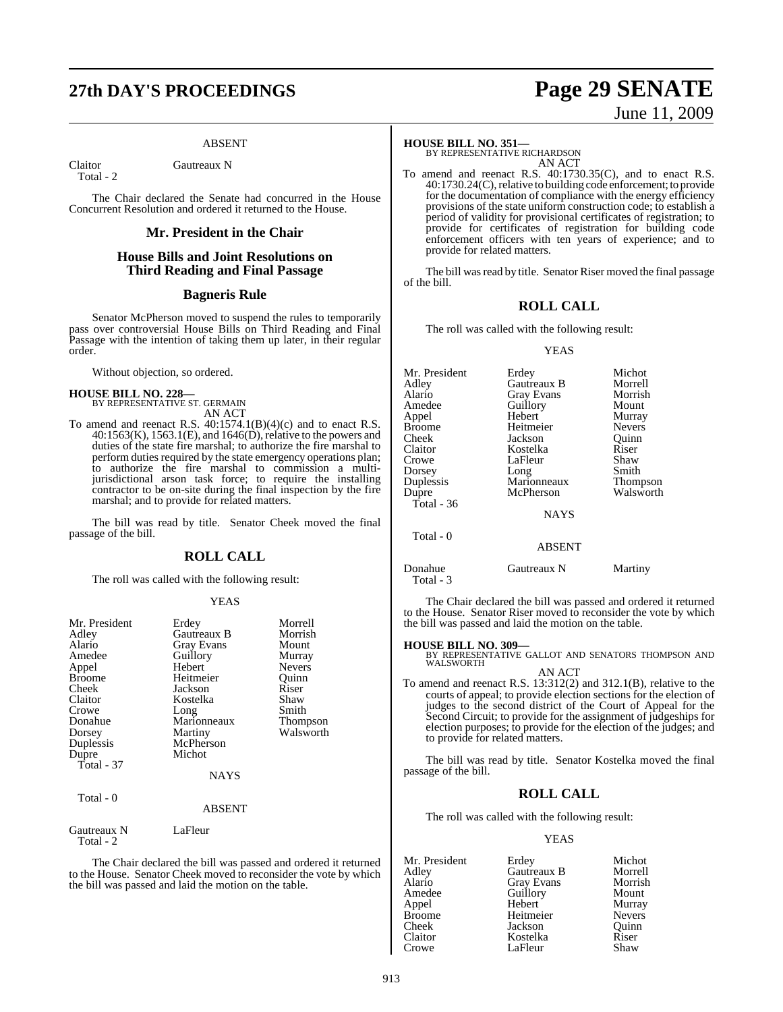# **27th DAY'S PROCEEDINGS Page 29 SENATE**

#### ABSENT

Total - 2

Claitor Gautreaux N

The Chair declared the Senate had concurred in the House Concurrent Resolution and ordered it returned to the House.

#### **Mr. President in the Chair**

### **House Bills and Joint Resolutions on Third Reading and Final Passage**

## **Bagneris Rule**

Senator McPherson moved to suspend the rules to temporarily pass over controversial House Bills on Third Reading and Final Passage with the intention of taking them up later, in their regular order.

Without objection, so ordered.

# **HOUSE BILL NO. 228—** BY REPRESENTATIVE ST. GERMAIN

AN ACT

To amend and reenact R.S.  $40:1574.1(B)(4)(c)$  and to enact R.S.  $40:1563(K), 1563.1(E),$  and  $1646(\overrightarrow{D})$ , relative to the powers and duties of the state fire marshal; to authorize the fire marshal to perform duties required by the state emergency operations plan; to authorize the fire marshal to commission a multijurisdictional arson task force; to require the installing contractor to be on-site during the final inspection by the fire marshal; and to provide for related matters.

The bill was read by title. Senator Cheek moved the final passage of the bill.

#### **ROLL CALL**

The roll was called with the following result:

#### YEAS

| Mr. President<br>Adley<br>Alario<br>Amedee<br>Appel<br><b>Broome</b><br>Cheek | Erdey<br>Gautreaux B<br><b>Gray Evans</b><br>Guillory<br>Hebert<br>Heitmeier<br>Jackson | Morrell<br>Morrish<br>Mount<br>Murray<br><b>Nevers</b><br>Ouinn<br>Riser |
|-------------------------------------------------------------------------------|-----------------------------------------------------------------------------------------|--------------------------------------------------------------------------|
| Claitor<br>Crowe<br>Donahue<br>Dorsey<br>Duplessis<br>Dupre<br>Total - 37     | Kostelka<br>Long<br>Marionneaux<br>Martiny<br>McPherson<br>Michot<br><b>NAYS</b>        | Shaw<br>Smith<br>Thompson<br>Walsworth                                   |
| Total - 0                                                                     | <b>ABSENT</b>                                                                           |                                                                          |
| Gautreaux N<br>Total - 2                                                      | LaFleur                                                                                 |                                                                          |
|                                                                               |                                                                                         | $\cdots$<br>$\blacksquare$                                               |

The Chair declared the bill was passed and ordered it returned to the House. Senator Cheek moved to reconsider the vote by which the bill was passed and laid the motion on the table.

#### **HOUSE BILL NO. 351—**

BY REPRESENTATIVE RICHARDSON AN ACT

To amend and reenact R.S. 40:1730.35(C), and to enact R.S. 40:1730.24(C),relative to building code enforcement; to provide for the documentation of compliance with the energy efficiency provisions of the state uniform construction code; to establish a period of validity for provisional certificates of registration; to provide for certificates of registration for building code enforcement officers with ten years of experience; and to provide for related matters.

The bill was read by title. Senator Riser moved the final passage of the bill.

## **ROLL CALL**

The roll was called with the following result:

#### YEAS

| Mr. President        | Erdey         | Michot          |
|----------------------|---------------|-----------------|
| Adley                | Gautreaux B   | Morrell         |
| Alario               | Gray Evans    | Morrish         |
| Amedee               | Guillory      | Mount           |
| Appel                | Hebert        | Murray          |
| <b>Broome</b>        | Heitmeier     | <b>Nevers</b>   |
| Cheek                | Jackson       | Quinn           |
| Claitor              | Kostelka      | Riser           |
| Crowe                | LaFleur       | Shaw            |
| Dorsey               | Long          | Smith           |
| Duplessis            | Marionneaux   | <b>Thompson</b> |
| Dupre                | McPherson     | Walsworth       |
| Total - 36           |               |                 |
|                      | <b>NAYS</b>   |                 |
| Total - 0            |               |                 |
|                      | <b>ABSENT</b> |                 |
| Donahue<br>Total - 3 | Gautreaux N   | Martiny         |

The Chair declared the bill was passed and ordered it returned to the House. Senator Riser moved to reconsider the vote by which the bill was passed and laid the motion on the table.

**HOUSE BILL NO. 309—** BY REPRESENTATIVE GALLOT AND SENATORS THOMPSON AND WALSWORTH AN ACT

To amend and reenact R.S. 13:312(2) and 312.1(B), relative to the courts of appeal; to provide election sections for the election of judges to the second district of the Court of Appeal for the Second Circuit; to provide for the assignment of judgeships for election purposes; to provide for the election of the judges; and to provide for related matters.

The bill was read by title. Senator Kostelka moved the final passage of the bill.

#### **ROLL CALL**

The roll was called with the following result:

#### YEAS

| Mr. President | Erdey             | Michot        |
|---------------|-------------------|---------------|
| Adley         | Gautreaux B       | Morrell       |
| Alario        | <b>Gray Evans</b> | Morrish       |
| Amedee        | Guillory          | Mount         |
| Appel         | Hebert            | Murray        |
| <b>Broome</b> | Heitmeier         | <b>Nevers</b> |
| Cheek         | Jackson           | Quinn         |
| Claitor       | Kostelka          | Riser         |
| Crowe         | LaFleur           | Shaw          |

# June 11, 2009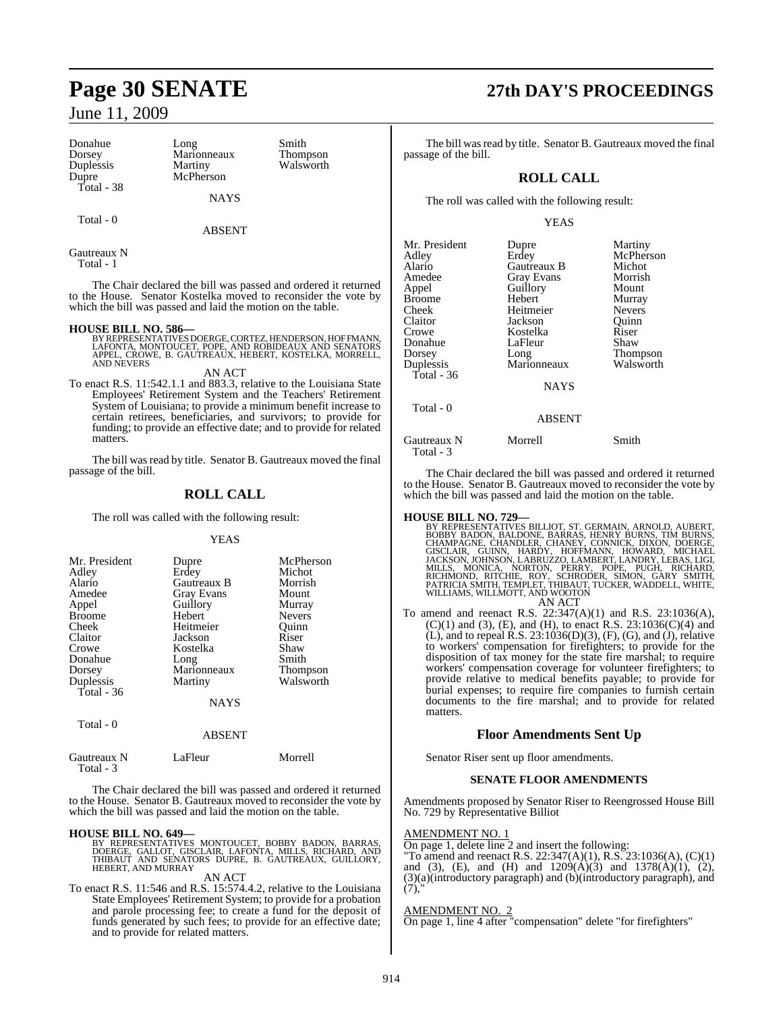Donahue Long Smith Dorsey Marionneaux Thompson Duplessis Martiny Walsworth<br>
Dupre McPherson Total - 38

McPherson

Total - 0

ABSENT

NAYS

Gautreaux N Total - 1

The Chair declared the bill was passed and ordered it returned to the House. Senator Kostelka moved to reconsider the vote by which the bill was passed and laid the motion on the table.

- **HOUSE BILL NO. 586—** BY REPRESENTATIVES DOERGE, CORTEZ, HENDERSON, HOFFMANN, LAFONTA, MONTOUCET, POPE, AND ROBIDEAUX AND SENATORS APPEL, CROWE, B. GAUTREAUX, HEBERT, KOSTELKA, MORRELL, AND NEVERS
- AN ACT To enact R.S. 11:542.1.1 and 883.3, relative to the Louisiana State Employees' Retirement System and the Teachers' Retirement System of Louisiana; to provide a minimum benefit increase to certain retirees, beneficiaries, and survivors; to provide for funding; to provide an effective date; and to provide for related matters.

The bill was read by title. Senator B. Gautreaux moved the final passage of the bill.

## **ROLL CALL**

The roll was called with the following result:

#### YEAS

| Mr. President<br>Adley<br>Alario<br>Amedee<br>Appel<br><b>Broome</b><br>Cheek<br>Claitor<br>Crowe | Dupre<br>Erdey<br>Gautreaux B<br><b>Gray Evans</b><br>Guillory<br>Hebert<br>Heitmeier<br>Jackson<br>Kostelka | McPherson<br>Michot<br>Morrish<br>Mount<br>Murray<br><b>Nevers</b><br>Quinn<br>Riser<br>Shaw |
|---------------------------------------------------------------------------------------------------|--------------------------------------------------------------------------------------------------------------|----------------------------------------------------------------------------------------------|
| Donahue<br>Dorsey                                                                                 | Long<br>Marionneaux                                                                                          | Smith                                                                                        |
| Duplessis<br>Total - 36                                                                           | Martiny                                                                                                      | <b>Thompson</b><br>Walsworth                                                                 |
|                                                                                                   | <b>NAYS</b>                                                                                                  |                                                                                              |
| Total - 0                                                                                         |                                                                                                              |                                                                                              |

ABSENT

Gautreaux N LaFleur Morrell

The Chair declared the bill was passed and ordered it returned to the House. Senator B. Gautreaux moved to reconsider the vote by which the bill was passed and laid the motion on the table.

#### **HOUSE BILL NO. 649—**

Total - 3

BY REPRESENTATIVES MONTOUCET, BOBBY BADON, BARRAS,<br>DOERGE, GALLOT, GISCLAIR, LAFONTA, MILLS, RICHARD, AND<br>THIBAUT AND SENATORS DUPRE, B. GAUTREAUX, GUILLORY,<br>HEBERT, AND MURRAY

#### AN ACT

To enact R.S. 11:546 and R.S. 15:574.4.2, relative to the Louisiana State Employees' Retirement System; to provide for a probation and parole processing fee; to create a fund for the deposit of funds generated by such fees; to provide for an effective date; and to provide for related matters.

# **Page 30 SENATE 27th DAY'S PROCEEDINGS**

The bill was read by title. Senator B. Gautreaux moved the final passage of the bill.

## **ROLL CALL**

The roll was called with the following result:

#### YEAS

| Mr. President<br>Adlev<br>Alario<br>Amedee<br>Appel<br>Broome<br>Cheek<br>Claitor<br>Crowe<br>Donahue<br>Dorsey<br>Duplessis<br>Total - 36<br>Total - 0 | Dupre<br>Erdey<br>Gautreaux B<br>Gray Evans<br>Guillory<br>Hebert<br>Heitmeier<br>Jackson<br>Kostelka<br>LaFleur<br>Long<br>Marionneaux<br><b>NAYS</b><br><b>ABSENT</b> | Martiny<br>McPherson<br>Michot<br>Morrish<br>Mount<br>Murray<br><b>Nevers</b><br>Quinn<br>Riser<br>Shaw<br>Thompson<br>Walsworth |
|---------------------------------------------------------------------------------------------------------------------------------------------------------|-------------------------------------------------------------------------------------------------------------------------------------------------------------------------|----------------------------------------------------------------------------------------------------------------------------------|
| Gautreaux N<br>Total - 3                                                                                                                                | Morrell                                                                                                                                                                 | Smith                                                                                                                            |

The Chair declared the bill was passed and ordered it returned to the House. Senator B. Gautreaux moved to reconsider the vote by which the bill was passed and laid the motion on the table.

HOUSE BILL NO. 729-<br>BY REPRESENTATIVES BILLIOT, ST. GERMAIN, ARNOLD, AUBERT, BOBBY BADON, BALDONE, BARRAS, HENRY BURNS, CHAMPAGNE, CHANDLER, CHANDLER, CONNICK, DIXON, DOERGE, GISCLAIR, GUINN, HARDY, HOFFMANN, HOWARD, MICHA AN ACT

To amend and reenact R.S. 22:347(A)(1) and R.S. 23:1036(A),  $(C)(1)$  and  $(3)$ ,  $(E)$ , and  $(H)$ , to enact R.S. 23:1036 $(C)(4)$  and  $(L)$ , and to repeal  $R.S. 23:1036(D)(3)$ ,  $(F)$ ,  $(G)$ , and  $(J)$ , relative to workers' compensation for firefighters; to provide for the disposition of tax money for the state fire marshal; to require workers' compensation coverage for volunteer firefighters; to provide relative to medical benefits payable; to provide for burial expenses; to require fire companies to furnish certain documents to the fire marshal; and to provide for related matters.

## **Floor Amendments Sent Up**

Senator Riser sent up floor amendments.

#### **SENATE FLOOR AMENDMENTS**

Amendments proposed by Senator Riser to Reengrossed House Bill No. 729 by Representative Billiot

#### AMENDMENT NO. 1

On page 1, delete line 2 and insert the following:

"To amend and reenact R.S. 22:347(A)(1), R.S. 23:1036(A), (C)(1) and (3), (E), and (H) and 1209(A)(3) and 1378(A)(1), (2), (3)(a)(introductory paragraph) and (b)(introductory paragraph), and  $(7)$ 

#### AMENDMENT NO.

 $\frac{\text{NHEVDMENT TO. } 2}{\text{On page 1, line 4 after "compensation" delete "for firefights"}}$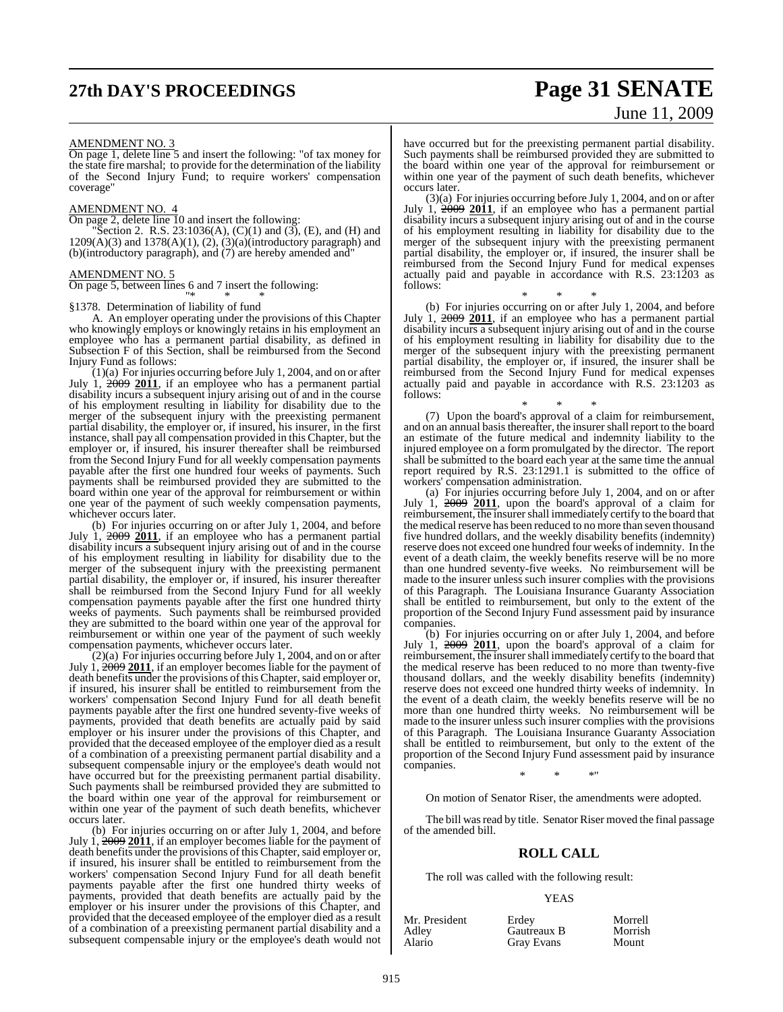# **27th DAY'S PROCEEDINGS Page 31 SENATE**

# June 11, 2009

#### AMENDMENT NO. 3

On page 1, delete line 5 and insert the following: "of tax money for the state fire marshal; to provide for the determination of the liability of the Second Injury Fund; to require workers' compensation coverage"

#### AMENDMENT NO. 4

On page 2, delete line 10 and insert the following:

Section 2. R.S.  $23:1036(A)$ ,  $(C)(1)$  and  $(3)$ ,  $(E)$ , and  $(H)$  and  $1209(A)(3)$  and  $1378(A)(1)$ ,  $(2)$ ,  $(3)(a)(\text{introducing paragraph})$  and (b)(introductory paragraph), and (7) are hereby amended and"

#### AMENDMENT NO. 5

On page 5, between lines 6 and 7 insert the following:

#### "\* \* \* §1378. Determination of liability of fund

A. An employer operating under the provisions of this Chapter who knowingly employs or knowingly retains in his employment an employee who has a permanent partial disability, as defined in Subsection F of this Section, shall be reimbursed from the Second Injury Fund as follows:

 $(1)(a)$  For injuries occurring before July 1, 2004, and on or after July 1, 2009 2011, if an employee who has a permanent partial disability incurs a subsequent injury arising out of and in the course of his employment resulting in liability for disability due to the merger of the subsequent injury with the preexisting permanent partial disability, the employer or, if insured, his insurer, in the first instance, shall pay all compensation provided in this Chapter, but the employer or, if insured, his insurer thereafter shall be reimbursed from the Second Injury Fund for all weekly compensation payments payable after the first one hundred four weeks of payments. Such payments shall be reimbursed provided they are submitted to the board within one year of the approval for reimbursement or within one year of the payment of such weekly compensation payments, whichever occurs later.

(b) For injuries occurring on or after July 1, 2004, and before July 1, 2009 **2011**, if an employee who has a permanent partial disability incurs a subsequent injury arising out of and in the course of his employment resulting in liability for disability due to the merger of the subsequent injury with the preexisting permanent partial disability, the employer or, if insured, his insurer thereafter shall be reimbursed from the Second Injury Fund for all weekly compensation payments payable after the first one hundred thirty weeks of payments. Such payments shall be reimbursed provided they are submitted to the board within one year of the approval for reimbursement or within one year of the payment of such weekly compensation payments, whichever occurs later.

(2)(a) For injuries occurring before July 1, 2004, and on or after July 1, 2009 **2011**, if an employer becomes liable for the payment of death benefits under the provisions of this Chapter, said employer or, if insured, his insurer shall be entitled to reimbursement from the workers' compensation Second Injury Fund for all death benefit payments payable after the first one hundred seventy-five weeks of payments, provided that death benefits are actually paid by said employer or his insurer under the provisions of this Chapter, and provided that the deceased employee of the employer died as a result of a combination of a preexisting permanent partial disability and a subsequent compensable injury or the employee's death would not have occurred but for the preexisting permanent partial disability. Such payments shall be reimbursed provided they are submitted to the board within one year of the approval for reimbursement or within one year of the payment of such death benefits, whichever occurs later.

(b) For injuries occurring on or after July 1, 2004, and before July 1, 2009 **2011**, if an employer becomes liable for the payment of death benefits under the provisions of this Chapter, said employer or, if insured, his insurer shall be entitled to reimbursement from the workers' compensation Second Injury Fund for all death benefit payments payable after the first one hundred thirty weeks of payments, provided that death benefits are actually paid by the employer or his insurer under the provisions of this Chapter, and provided that the deceased employee of the employer died as a result of a combination of a preexisting permanent partial disability and a subsequent compensable injury or the employee's death would not

have occurred but for the preexisting permanent partial disability. Such payments shall be reimbursed provided they are submitted to the board within one year of the approval for reimbursement or within one year of the payment of such death benefits, whichever occurs later.

(3)(a) For injuries occurring before July 1, 2004, and on or after July 1, 2009 **2011**, if an employee who has a permanent partial disability incurs a subsequent injury arising out of and in the course of his employment resulting in liability for disability due to the merger of the subsequent injury with the preexisting permanent partial disability, the employer or, if insured, the insurer shall be reimbursed from the Second Injury Fund for medical expenses actually paid and payable in accordance with R.S. 23:1203 as follows:

\* \* \* (b) For injuries occurring on or after July 1, 2004, and before July 1, 2009 **2011**, if an employee who has a permanent partial disability incurs a subsequent injury arising out of and in the course of his employment resulting in liability for disability due to the merger of the subsequent injury with the preexisting permanent partial disability, the employer or, if insured, the insurer shall be reimbursed from the Second Injury Fund for medical expenses actually paid and payable in accordance with R.S. 23:1203 as follows:

\* \* \* (7) Upon the board's approval of a claim for reimbursement, and on an annual basisthereafter, the insurershall report to the board an estimate of the future medical and indemnity liability to the injured employee on a form promulgated by the director. The report shall be submitted to the board each year at the same time the annual report required by R.S. 23:1291.1 is submitted to the office of workers' compensation administration.

(a) For injuries occurring before July 1, 2004, and on or after July 1, 2009 **2011**, upon the board's approval of a claim for reimbursement, the insurer shall immediately certify to the board that the medical reserve has been reduced to no more than seven thousand five hundred dollars, and the weekly disability benefits (indemnity) reserve does not exceed one hundred four weeks of indemnity. In the event of a death claim, the weekly benefits reserve will be no more than one hundred seventy-five weeks. No reimbursement will be made to the insurer unless such insurer complies with the provisions of this Paragraph. The Louisiana Insurance Guaranty Association shall be entitled to reimbursement, but only to the extent of the proportion of the Second Injury Fund assessment paid by insurance companies.

(b) For injuries occurring on or after July 1, 2004, and before July 1, 2009 **2011**, upon the board's approval of a claim for reimbursement, the insurer shall immediately certify to the board that the medical reserve has been reduced to no more than twenty-five thousand dollars, and the weekly disability benefits (indemnity) reserve does not exceed one hundred thirty weeks of indemnity. In the event of a death claim, the weekly benefits reserve will be no more than one hundred thirty weeks. No reimbursement will be made to the insurer unless such insurer complies with the provisions of this Paragraph. The Louisiana Insurance Guaranty Association shall be entitled to reimbursement, but only to the extent of the proportion of the Second Injury Fund assessment paid by insurance companies.

\* \* \*"

On motion of Senator Riser, the amendments were adopted.

The bill was read by title. Senator Riser moved the final passage of the amended bill.

#### **ROLL CALL**

The roll was called with the following result:

#### YEAS

| Mr. President | Erdey       | Morrell |
|---------------|-------------|---------|
| Adley         | Gautreaux B | Morrish |
| Alario        | Gray Evans  | Mount   |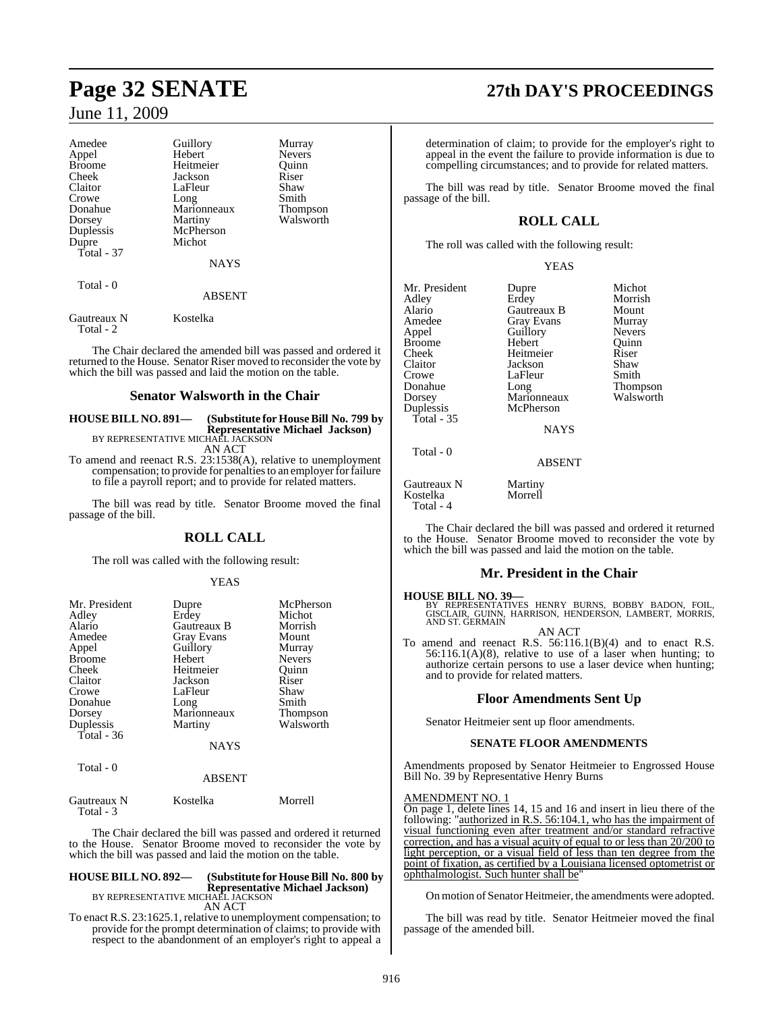| Amedee                   | Guillory    | Murray          |
|--------------------------|-------------|-----------------|
| Appel                    | Hebert      | Nevers          |
| <b>Broome</b>            | Heitmeier   | Ouinn           |
| Cheek                    | Jackson     | Riser           |
| Claitor                  | LaFleur     | Shaw            |
| Crowe                    | Long        | Smith           |
| Donahue                  | Marionneaux | <b>Thompson</b> |
| Dorsey                   | Martiny     | Walsworth       |
| Duplessis                | McPherson   |                 |
| Dupre                    | Michot      |                 |
| Total - $37$             |             |                 |
|                          | <b>NAYS</b> |                 |
| Total - 0                |             |                 |
|                          | ABSENT      |                 |
| Gautreaux N<br>Total - 2 | Kostelka    |                 |

The Chair declared the amended bill was passed and ordered it returned to the House. Senator Riser moved to reconsider the vote by which the bill was passed and laid the motion on the table.

#### **Senator Walsworth in the Chair**

**HOUSE BILL NO. 891— (Substitute for HouseBill No. 799 by Representative Michael Jackson)** BY REPRESENTATIVE MICHAEL JACKSON

AN ACT

To amend and reenact R.S. 23:1538(A), relative to unemployment compensation; to provide for penalties to an employer for failure to file a payroll report; and to provide for related matters.

The bill was read by title. Senator Broome moved the final passage of the bill.

#### **ROLL CALL**

The roll was called with the following result:

#### YEAS

| Mr. President | Dupre       | McPherson       |
|---------------|-------------|-----------------|
| Adley         | Erdey       | Michot          |
| Alario        | Gautreaux B | Morrish         |
| Amedee        | Gray Evans  | Mount           |
| Appel         | Guillory    | Murray          |
| <b>Broome</b> | Hebert      | Nevers          |
| Cheek         | Heitmeier   | Ouinn           |
| Claitor       | Jackson     | Riser           |
| Crowe         | LaFleur     | Shaw            |
| Donahue       | Long        | Smith           |
| Dorsey        | Marionneaux | <b>Thompson</b> |
| Duplessis     | Martiny     | Walsworth       |
| Total - 36    |             |                 |
|               | <b>NAYS</b> |                 |
| Total - 0     |             |                 |
|               | ABSENT      |                 |

The Chair declared the bill was passed and ordered it returned to the House. Senator Broome moved to reconsider the vote by which the bill was passed and laid the motion on the table.

Gautreaux N Kostelka Morrell

Total - 3

#### **HOUSE BILL NO. 892— (Substitute for HouseBill No. 800 by Representative Michael Jackson)** BY REPRESENTATIVE MICHAEL JACKSON AN ACT

To enact R.S. 23:1625.1, relative to unemployment compensation; to provide for the prompt determination of claims; to provide with respect to the abandonment of an employer's right to appeal a

# **Page 32 SENATE 27th DAY'S PROCEEDINGS**

determination of claim; to provide for the employer's right to appeal in the event the failure to provide information is due to compelling circumstances; and to provide for related matters.

The bill was read by title. Senator Broome moved the final passage of the bill.

## **ROLL CALL**

The roll was called with the following result:

#### YEAS

| Mr. President | Dupre         | Michot        |
|---------------|---------------|---------------|
| Adley         | Erdey         | Morrish       |
| Alario        | Gautreaux B   | Mount         |
| Amedee        | Gray Evans    | Murray        |
| Appel         | Guillory      | <b>Nevers</b> |
| <b>Broome</b> | Hebert        | Ouinn         |
| Cheek         | Heitmeier     | Riser         |
| Claitor       | Jackson       | Shaw          |
| Crowe         | LaFleur       | Smith         |
| Donahue       | Long          | Thompson      |
| Dorsey        | Marionneaux   | Walsworth     |
| Duplessis     | McPherson     |               |
| Total - $35$  |               |               |
|               | <b>NAYS</b>   |               |
| Total - 0     |               |               |
|               | <b>ABSENT</b> |               |
|               |               |               |

Gautreaux N Martiny<br>Kostelka Morrell Kostelka Total - 4

The Chair declared the bill was passed and ordered it returned to the House. Senator Broome moved to reconsider the vote by which the bill was passed and laid the motion on the table.

#### **Mr. President in the Chair**

**HOUSE BILL NO. 39—**<br>BY REPRESENTATIVES HENRY BURNS, BOBBY BADON, FOIL,<br>GISCLAIR, GUINN, HARRISON, HENDERSON, LAMBERT, MORRIS,<br>AND ST. GERMAIN

AN ACT To amend and reenact R.S. 56:116.1(B)(4) and to enact R.S.  $56:116.1(A)(8)$ , relative to use of a laser when hunting; to authorize certain persons to use a laser device when hunting; and to provide for related matters.

## **Floor Amendments Sent Up**

Senator Heitmeier sent up floor amendments.

#### **SENATE FLOOR AMENDMENTS**

Amendments proposed by Senator Heitmeier to Engrossed House Bill No. 39 by Representative Henry Burns

#### AMENDMENT NO. 1

On page 1, delete lines 14, 15 and 16 and insert in lieu there of the following: "authorized in R.S. 56:104.1, who has the impairment of visual functioning even after treatment and/or standard refractive correction, and has a visual acuity of equal to or less than 20/200 to light perception, or a visual field of less than ten degree from the point of fixation, as certified by a Louisiana licensed optometrist or ophthalmologist. Such hunter shall be"

On motion of Senator Heitmeier, the amendments were adopted.

The bill was read by title. Senator Heitmeier moved the final passage of the amended bill.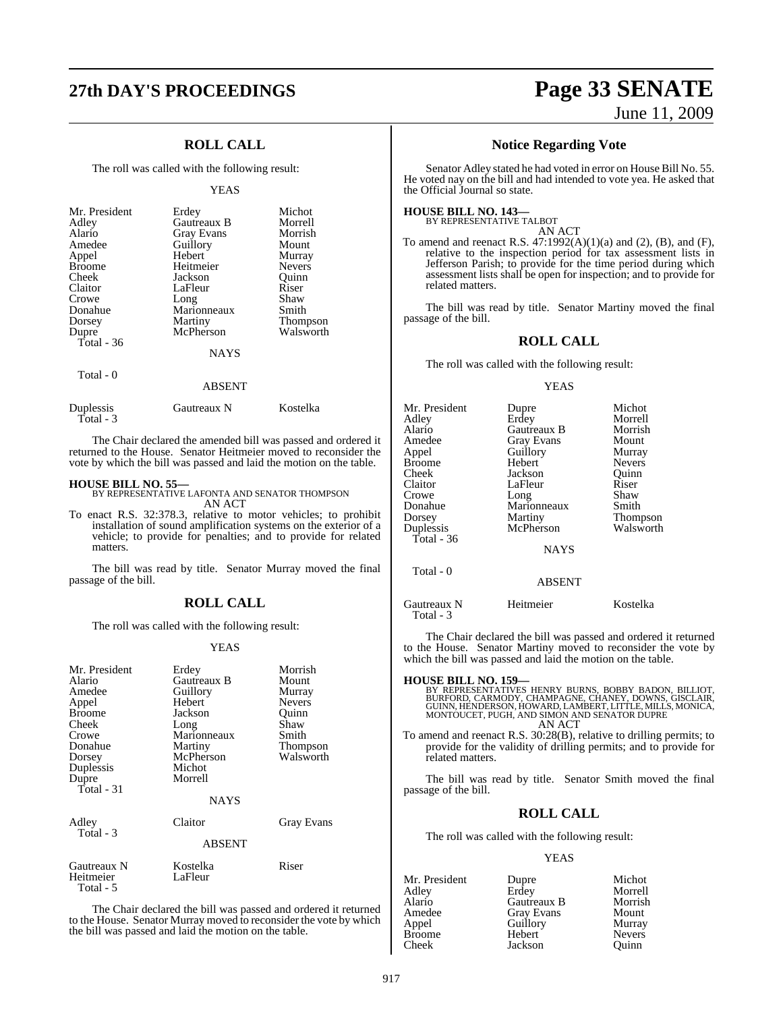## **ROLL CALL**

The roll was called with the following result:

#### YEAS

| Mr. President<br>Adley<br>Alario<br>Amedee<br>Appel<br><b>Broome</b><br>Cheek<br>Claitor<br>Crowe<br>Donahue<br>Dorsey<br>Dupre<br>Total - 36 | Erdey<br>Gautreaux B<br><b>Gray Evans</b><br>Guillory<br>Hebert<br>Heitmeier<br>Jackson<br>LaFleur<br>Long<br>Marionneaux<br>Martiny<br>McPherson<br><b>NAYS</b> | Michot<br>Morrell<br>Morrish<br>Mount<br>Murray<br><b>Nevers</b><br>Ouinn<br>Riser<br>Shaw<br>Smith<br>Thompson<br>Walsworth |
|-----------------------------------------------------------------------------------------------------------------------------------------------|------------------------------------------------------------------------------------------------------------------------------------------------------------------|------------------------------------------------------------------------------------------------------------------------------|
| Total - 0                                                                                                                                     |                                                                                                                                                                  |                                                                                                                              |

#### ABSENT

| Duplessis | Gautreaux N | Kostelka |
|-----------|-------------|----------|
| Total - 3 |             |          |

The Chair declared the amended bill was passed and ordered it returned to the House. Senator Heitmeier moved to reconsider the vote by which the bill was passed and laid the motion on the table.

**HOUSE BILL NO. 55—** BY REPRESENTATIVE LAFONTA AND SENATOR THOMPSON AN ACT

To enact R.S. 32:378.3, relative to motor vehicles; to prohibit installation of sound amplification systems on the exterior of a vehicle; to provide for penalties; and to provide for related matters.

The bill was read by title. Senator Murray moved the final passage of the bill.

#### **ROLL CALL**

The roll was called with the following result:

#### YEAS

| Mr. President<br>Alario<br>Amedee<br>Appel<br><b>Broome</b><br>Cheek<br>Crowe<br>Donahue<br>Dorsey<br>Duplessis<br>Dupre<br>Total $-31$ | Erdey<br>Gautreaux B<br>Guillory<br>Hebert<br>Jackson<br>Long<br>Marionneaux<br>Martiny<br>McPherson<br>Michot<br>Morrell<br><b>NAYS</b> | Morrish<br>Mount<br>Murray<br><b>Nevers</b><br>Quinn<br>Shaw<br>Smith<br>Thompson<br>Walsworth |
|-----------------------------------------------------------------------------------------------------------------------------------------|------------------------------------------------------------------------------------------------------------------------------------------|------------------------------------------------------------------------------------------------|
| Adley<br>Total - 3                                                                                                                      | Claitor<br><b>ABSENT</b>                                                                                                                 | Gray Evans                                                                                     |
| Gautreaux N<br>Heitmeier<br>Total - 5                                                                                                   | Kostelka<br>LaFleur                                                                                                                      | Riser                                                                                          |

The Chair declared the bill was passed and ordered it returned to the House. Senator Murray moved to reconsider the vote by which the bill was passed and laid the motion on the table.

# **27th DAY'S PROCEEDINGS Page 33 SENATE** June 11, 2009

#### **Notice Regarding Vote**

Senator Adley stated he had voted in error on House Bill No. 55. He voted nay on the bill and had intended to vote yea. He asked that the Official Journal so state.

#### **HOUSE BILL NO. 143—**

BY REPRESENTATIVE TALBOT AN ACT

To amend and reenact R.S. 47:1992(A)(1)(a) and (2), (B), and (F), relative to the inspection period for tax assessment lists in Jefferson Parish; to provide for the time period during which assessment lists shall be open for inspection; and to provide for related matters.

The bill was read by title. Senator Martiny moved the final passage of the bill.

#### **ROLL CALL**

The roll was called with the following result:

#### YEAS

| Mr. President<br>Adlev<br>Alario<br>Amedee<br>Appel<br>Broome<br>Cheek<br>Claitor<br>Crowe<br>Donahue<br>Dorsey<br>Duplessis<br>Total - $36$<br>Total - 0 | Dupre<br>Erdey<br>Gautreaux B<br><b>Gray Evans</b><br>Guillory<br>Hebert<br>Jackson<br>LaFleur<br>Long<br>Marionneaux<br>Martiny<br>McPherson<br><b>NAYS</b><br><b>ABSENT</b> | Michot<br>Morrell<br>Morrish<br>Mount<br>Murray<br><b>Nevers</b><br>Ouinn<br>Riser<br>Shaw<br>Smith<br>Thompson<br>Walsworth |
|-----------------------------------------------------------------------------------------------------------------------------------------------------------|-------------------------------------------------------------------------------------------------------------------------------------------------------------------------------|------------------------------------------------------------------------------------------------------------------------------|
| Gautreaux N                                                                                                                                               | Heitmeier                                                                                                                                                                     | Kostelka                                                                                                                     |
| Total - 3                                                                                                                                                 |                                                                                                                                                                               |                                                                                                                              |

The Chair declared the bill was passed and ordered it returned to the House. Senator Martiny moved to reconsider the vote by which the bill was passed and laid the motion on the table.

## **HOUSE BILL NO. 159—** BY REPRESENTATIVES HENRY BURNS, BOBBY BADON, BILLIOT,<br>BURFORD, CARMODY, CHAMPAGNE, CHANEY, DOWNS, GISCLAIR,<br>GUINN, HENDERSON, HOWARD, LAMBERT, LITTLE, MILLS, MONICA,<br>MONTOUCET, PUGH, AND SIMON AND SENATOR DUPRE AN ACT To amend and reenact R.S. 30:28(B), relative to drilling permits; to

provide for the validity of drilling permits; and to provide for related matters.

The bill was read by title. Senator Smith moved the final passage of the bill.

#### **ROLL CALL**

The roll was called with the following result:

#### YEAS

| Dupre             | Michot        |
|-------------------|---------------|
|                   | Morrell       |
| Gautreaux B       | Morrish       |
| <b>Gray Evans</b> | Mount         |
| Guillory          | Murray        |
| Hebert            | <b>Nevers</b> |
| Jackson           | Ouinn         |
|                   | Erdey         |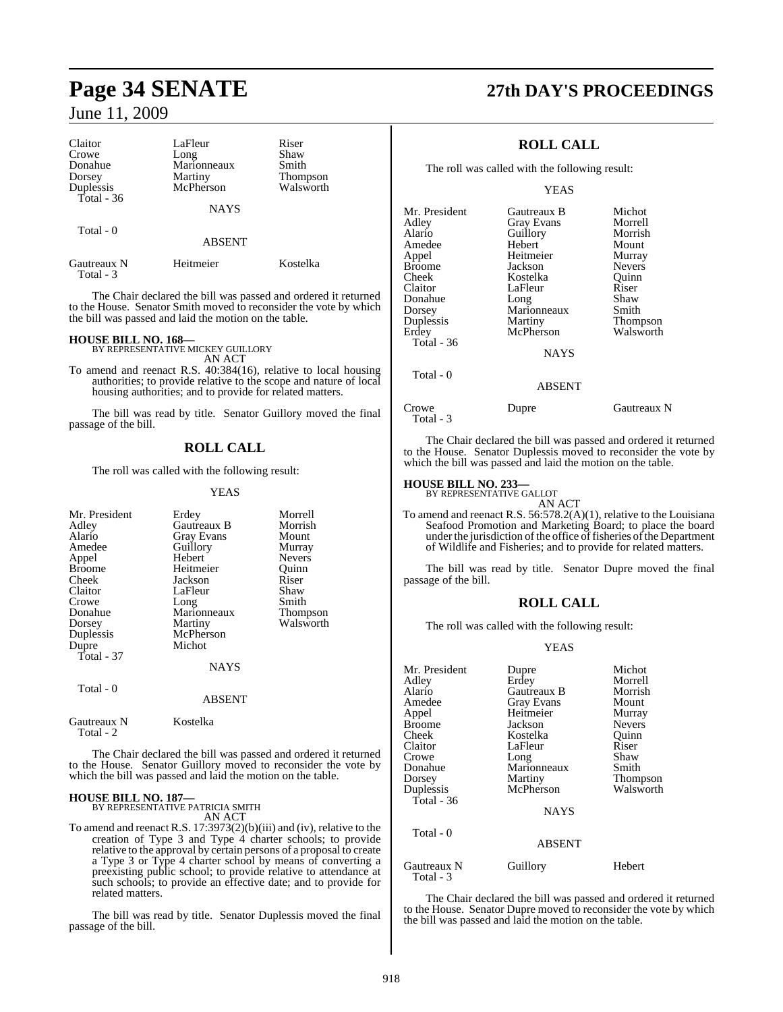| Claitor<br>Crowe<br>Donahue | LaFleur<br>Long<br>Marionneaux | Riser<br>Shaw<br>Smith |  |
|-----------------------------|--------------------------------|------------------------|--|
| Dorsey<br>Duplessis         | Martiny<br>McPherson           | Thompson<br>Walsworth  |  |
| Total - 36                  | <b>NAYS</b>                    |                        |  |
| Total - 0                   | <b>ABSENT</b>                  |                        |  |
| Gautreaux N<br>Total - 3    | Heitmeier                      | Kostelka               |  |

The Chair declared the bill was passed and ordered it returned to the House. Senator Smith moved to reconsider the vote by which the bill was passed and laid the motion on the table.

**HOUSE BILL NO. 168—** BY REPRESENTATIVE MICKEY GUILLORY AN ACT

To amend and reenact R.S. 40:384(16), relative to local housing authorities; to provide relative to the scope and nature of local housing authorities; and to provide for related matters.

The bill was read by title. Senator Guillory moved the final passage of the bill.

#### **ROLL CALL**

The roll was called with the following result:

#### YEAS

| Mr. President<br>Adley<br>Alario<br>Amedee<br>Appel<br><b>Broome</b><br>Cheek<br>Claitor<br>Crowe<br>Donahue<br>Dorsey<br>Duplessis<br>Dupre<br>Total - $37$ | Erdey<br>Gautreaux B<br><b>Gray Evans</b><br>Guillory<br>Hebert<br>Heitmeier<br>Jackson<br>LaFleur<br>Long<br>Marionneaux<br>Martiny<br>McPherson<br>Michot | Morrell<br>Morrish<br>Mount<br>Murray<br><b>Nevers</b><br>Ouinn<br>Riser<br>Shaw<br>Smith<br>Thompson<br>Walsworth |
|--------------------------------------------------------------------------------------------------------------------------------------------------------------|-------------------------------------------------------------------------------------------------------------------------------------------------------------|--------------------------------------------------------------------------------------------------------------------|
|                                                                                                                                                              | <b>NAYS</b>                                                                                                                                                 |                                                                                                                    |
| Total - 0                                                                                                                                                    | <b>ABSENT</b>                                                                                                                                               |                                                                                                                    |
| Gautreaux N<br>Total - 2                                                                                                                                     | Kostelka                                                                                                                                                    |                                                                                                                    |

The Chair declared the bill was passed and ordered it returned to the House. Senator Guillory moved to reconsider the vote by which the bill was passed and laid the motion on the table.

# **HOUSE BILL NO. 187—** BY REPRESENTATIVE PATRICIA SMITH

related matters.

AN ACT To amend and reenact R.S. 17:3973(2)(b)(iii) and (iv), relative to the creation of Type 3 and Type 4 charter schools; to provide relative to the approval by certain persons of a proposal to create a Type 3 or Type 4 charter school by means of converting a preexisting public school; to provide relative to attendance at such schools; to provide an effective date; and to provide for

The bill was read by title. Senator Duplessis moved the final passage of the bill.

# **Page 34 SENATE 27th DAY'S PROCEEDINGS**

## **ROLL CALL**

The roll was called with the following result:

YEAS

| Mr. President | Gautreaux B   | Michot          |
|---------------|---------------|-----------------|
| Adley         | Gray Evans    | Morrell         |
| Alario        | Guillory      | Morrish         |
| Amedee        | Hebert        | Mount           |
| Appel         | Heitmeier     | Murray          |
| Broome        | Jackson       | <b>Nevers</b>   |
| Cheek         | Kostelka      | Ouinn           |
| Claitor       | LaFleur       | Riser           |
| Donahue       | Long          | Shaw            |
| Dorsey        | Marionneaux   | Smith           |
| Duplessis     | Martiny       | <b>Thompson</b> |
| Erdey         | McPherson     | Walsworth       |
| Total - 36    |               |                 |
|               | <b>NAYS</b>   |                 |
| Total - 0     |               |                 |
|               | <b>ABSENT</b> |                 |

Crowe Dupre Gautreaux N Total - 3

The Chair declared the bill was passed and ordered it returned to the House. Senator Duplessis moved to reconsider the vote by which the bill was passed and laid the motion on the table.

# **HOUSE BILL NO. 233—** BY REPRESENTATIVE GALLOT

AN ACT

To amend and reenact R.S. 56:578.2(A)(1), relative to the Louisiana Seafood Promotion and Marketing Board; to place the board under the jurisdiction of the office of fisheries of the Department of Wildlife and Fisheries; and to provide for related matters.

The bill was read by title. Senator Dupre moved the final passage of the bill.

## **ROLL CALL**

The roll was called with the following result:

#### YEAS

| Mr. President            | Dupre             | Michot        |
|--------------------------|-------------------|---------------|
| Adlev                    | Erdey             | Morrell       |
| Alario                   | Gautreaux B       | Morrish       |
| Amedee                   | <b>Gray Evans</b> | Mount         |
| Appel                    | Heitmeier         | Murray        |
| Broome                   | Jackson           | <b>Nevers</b> |
| Cheek                    | Kostelka          | Quinn         |
| Claitor                  | LaFleur           | Riser         |
| Crowe                    | Long              | Shaw          |
| Donahue                  | Marionneaux       | Smith         |
| Dorsey                   | Martiny           | Thompson      |
| Duplessis                | McPherson         | Walsworth     |
| Total - 36               |                   |               |
|                          | <b>NAYS</b>       |               |
| Total - 0                |                   |               |
|                          | <b>ABSENT</b>     |               |
| Gautreaux N<br>Total - 3 | Guillory          | Hebert        |

The Chair declared the bill was passed and ordered it returned to the House. Senator Dupre moved to reconsider the vote by which the bill was passed and laid the motion on the table.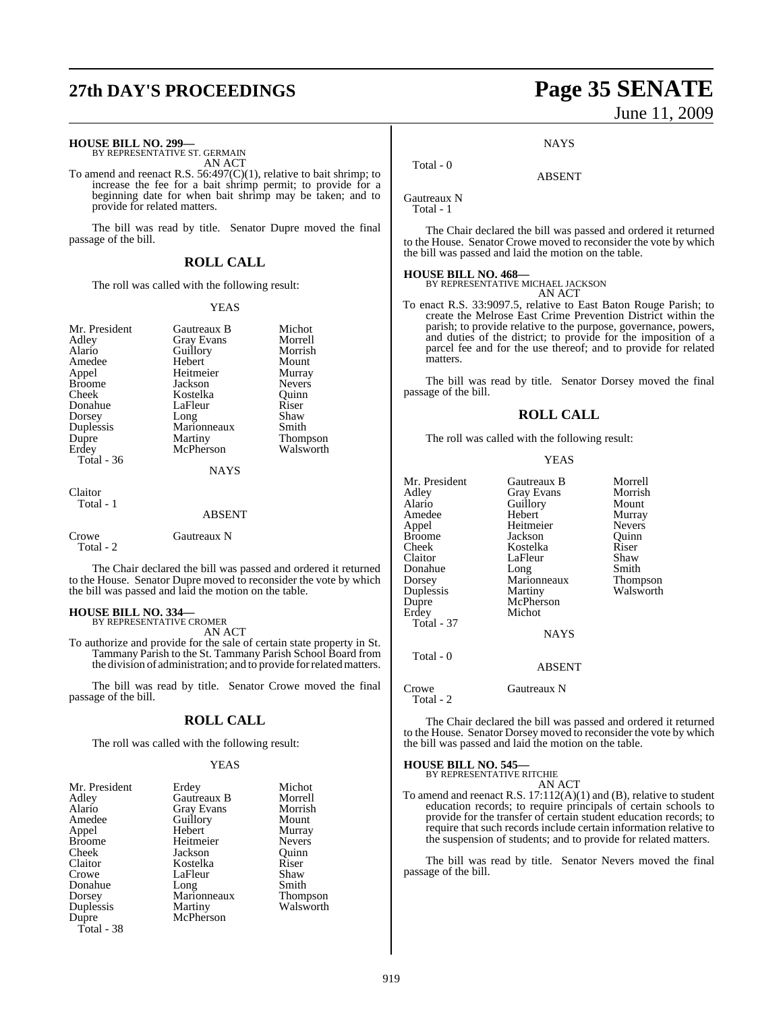# **27th DAY'S PROCEEDINGS Page 35 SENATE**

# **HOUSE BILL NO. 299—** BY REPRESENTATIVE ST. GERMAIN

AN ACT

To amend and reenact R.S. 56:497(C)(1), relative to bait shrimp; to increase the fee for a bait shrimp permit; to provide for a beginning date for when bait shrimp may be taken; and to provide for related matters.

The bill was read by title. Senator Dupre moved the final passage of the bill.

#### **ROLL CALL**

The roll was called with the following result:

#### YEAS

| Mr. President<br>Adley<br>Alario<br>Amedee<br>Appel<br><b>Broome</b><br>Cheek<br>Donahue<br>Dorsey | Gautreaux B<br><b>Gray Evans</b><br>Guillory<br>Hebert<br>Heitmeier<br>Jackson<br>Kostelka<br>LaFleur<br>Long<br>Marionneaux | Michot<br>Morrell<br>Morrish<br>Mount<br>Murray<br>Nevers<br>Ouinn<br>Riser<br>Shaw<br>Smith |
|----------------------------------------------------------------------------------------------------|------------------------------------------------------------------------------------------------------------------------------|----------------------------------------------------------------------------------------------|
| Duplessis<br>Dupre<br>Erdey<br>Total - 36                                                          | Martiny<br>McPherson<br><b>NAYS</b>                                                                                          | <b>Thompson</b><br>Walsworth                                                                 |
| Claitor<br>Total - 1                                                                               | ABSENT                                                                                                                       |                                                                                              |
| Crowe<br>Total - 2                                                                                 | Gautreaux N                                                                                                                  |                                                                                              |

The Chair declared the bill was passed and ordered it returned to the House. Senator Dupre moved to reconsider the vote by which the bill was passed and laid the motion on the table.

# **HOUSE BILL NO. 334—** BY REPRESENTATIVE CROMER

AN ACT

To authorize and provide for the sale of certain state property in St. Tammany Parish to the St. Tammany Parish School Board from the division of administration; and to provide forrelatedmatters.

The bill was read by title. Senator Crowe moved the final passage of the bill.

#### **ROLL CALL**

The roll was called with the following result:

#### YEAS

| Mr. President | Erdey       | Michot          |
|---------------|-------------|-----------------|
| Adlev         | Gautreaux B | Morrell         |
| Alario        | Gray Evans  | Morrish         |
| Amedee        | Guillory    | Mount           |
| Appel         | Hebert      | Murray          |
| <b>Broome</b> | Heitmeier   | <b>Nevers</b>   |
| Cheek         | Jackson     | Quinn           |
| Claitor       | Kostelka    | Riser           |
| Crowe         | LaFleur     | Shaw            |
| Donahue       | Long        | Smith           |
| Dorsey        | Marionneaux | <b>Thompson</b> |
| Duplessis     | Martiny     | Walsworth       |
| Dupre         | McPherson   |                 |
| Total - 38    |             |                 |

# June 11, 2009

**NAYS** 

ABSENT

Gautreaux N Total - 1

Total - 0

The Chair declared the bill was passed and ordered it returned to the House. Senator Crowe moved to reconsider the vote by which the bill was passed and laid the motion on the table.

#### **HOUSE BILL NO. 468—**

BY REPRESENTATIVE MICHAEL JACKSON AN ACT

To enact R.S. 33:9097.5, relative to East Baton Rouge Parish; to create the Melrose East Crime Prevention District within the parish; to provide relative to the purpose, governance, powers, and duties of the district; to provide for the imposition of a parcel fee and for the use thereof; and to provide for related matters.

The bill was read by title. Senator Dorsey moved the final passage of the bill.

#### **ROLL CALL**

The roll was called with the following result:

#### YEAS

| Mr. President     | Gautreaux B   | Morrell       |
|-------------------|---------------|---------------|
| Adley             | Gray Evans    | Morrish       |
| Alario            | Guillory      | Mount         |
| Amedee            | Hebert        | Murray        |
| Appel             | Heitmeier     | <b>Nevers</b> |
| Broome            | Jackson       | Ouinn         |
| Cheek             | Kostelka      | Riser         |
| Claitor           | LaFleur       | Shaw          |
| Donahue           | Long          | Smith         |
| Dorsey            | Marionneaux   | Thompson      |
| Duplessis         | Martiny       | Walsworth     |
| Dupre             | McPherson     |               |
| Erdey             | Michot        |               |
| <b>Total - 37</b> |               |               |
|                   | <b>NAYS</b>   |               |
| Total - 0         |               |               |
|                   | <b>ABSENT</b> |               |

Crowe Gautreaux N

Total - 2

The Chair declared the bill was passed and ordered it returned to the House. Senator Dorsey moved to reconsider the vote by which the bill was passed and laid the motion on the table.

**HOUSE BILL NO. 545—**

BY REPRESENTATIVE RITCHIE

AN ACT To amend and reenact R.S. 17:112(A)(1) and (B), relative to student education records; to require principals of certain schools to provide for the transfer of certain student education records; to require that such records include certain information relative to the suspension of students; and to provide for related matters.

The bill was read by title. Senator Nevers moved the final passage of the bill.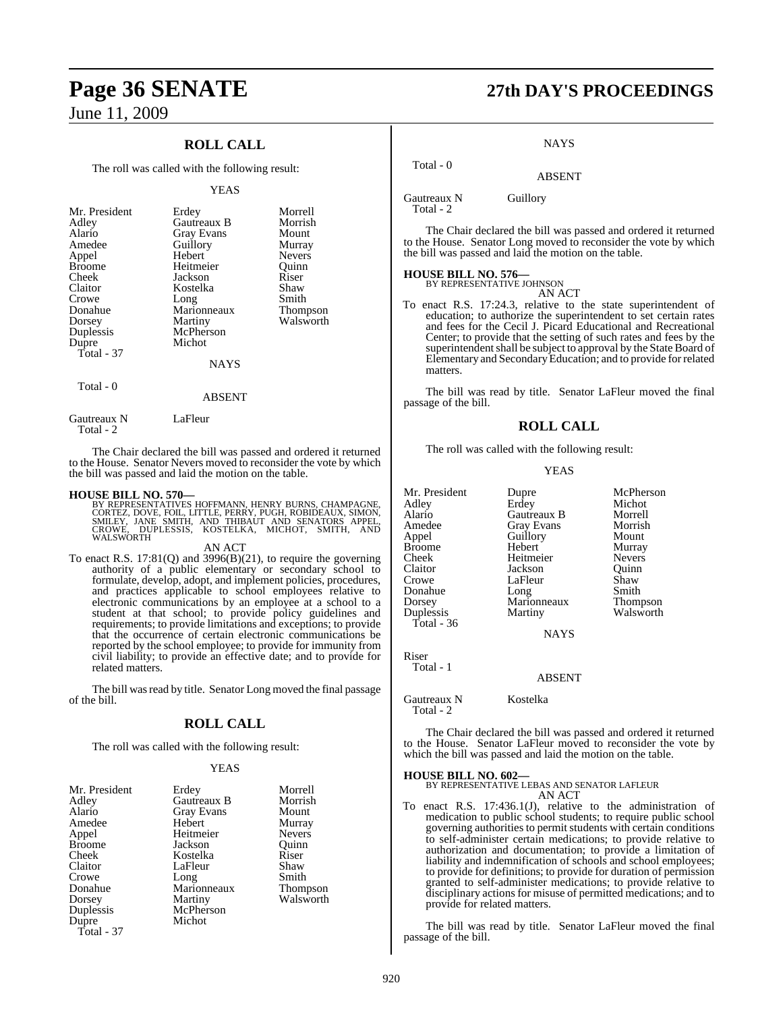## **ROLL CALL**

The roll was called with the following result:

#### YEAS

| Mr. President<br>Adley<br>Alario<br>Amedee<br>Appel<br><b>Broome</b><br>Cheek<br>Claitor<br>Crowe<br>Donahue<br>Dorsey<br>Duplessis<br>Dupre<br>Total - 37 | Erdey<br><b>Gautreaux B</b><br>Gray Evans<br>Guillory<br>Hebert<br>Heitmeier<br>Jackson<br>Kostelka<br>Long<br>Marionneaux<br>Martiny<br>McPherson<br>Michot<br>NAYS | Morrell<br>Morrish<br>Mount<br>Murray<br><b>Nevers</b><br>Ouinn<br>Riser<br>Shaw<br>Smith<br>Thompson<br>Walsworth |
|------------------------------------------------------------------------------------------------------------------------------------------------------------|----------------------------------------------------------------------------------------------------------------------------------------------------------------------|--------------------------------------------------------------------------------------------------------------------|
| Total - 0                                                                                                                                                  |                                                                                                                                                                      |                                                                                                                    |

Gautreaux N LaFleur Total - 2

The Chair declared the bill was passed and ordered it returned to the House. Senator Nevers moved to reconsider the vote by which the bill was passed and laid the motion on the table.

ABSENT

#### **HOUSE BILL NO. 570—**

BY REPRESENTATIVES HOFFMANN, HENRY BURNS, CHAMPAGNE,<br>CORTEZ, DOVE, FOIL, LITTLE, PERRY, PUGH, ROBIDEAUX, SIMON,<br>SMILEY, JANE SMITH, AND THIBAUT AND SENATORS APPEL,<br>CROWE, DUPLESSIS, KOSTELKA, MICHOT, SMITH, AND<br>WALSWORTH

#### AN ACT

To enact R.S. 17:81(Q) and 3996(B)(21), to require the governing authority of a public elementary or secondary school to formulate, develop, adopt, and implement policies, procedures, and practices applicable to school employees relative to electronic communications by an employee at a school to a student at that school; to provide policy guidelines and requirements; to provide limitations and exceptions; to provide that the occurrence of certain electronic communications be reported by the school employee; to provide for immunity from civil liability; to provide an effective date; and to provide for related matters.

The bill was read by title. Senator Long moved the final passage of the bill.

#### **ROLL CALL**

The roll was called with the following result:

#### YEAS

| Mr. President | Erdey       | Morrell       |
|---------------|-------------|---------------|
| Adley         | Gautreaux B | Morrish       |
| Alario        | Gray Evans  | Mount         |
| Amedee        | Hebert      | Murray        |
| Appel         | Heitmeier   | <b>Nevers</b> |
| <b>Broome</b> | Jackson     | Ouinn         |
| Cheek         | Kostelka    | Riser         |
| Claitor       | LaFleur     | Shaw          |
| Crowe         | Long        | Smith         |
| Donahue       | Marionneaux | Thompson      |
| Dorsey        | Martiny     | Walsworth     |
| Duplessis     | McPherson   |               |
| Dupre         | Michot      |               |
| Total - 37    |             |               |

# **Page 36 SENATE 27th DAY'S PROCEEDINGS**

#### **NAYS**

ABSENT

Gautreaux N Guillory

Total - 0

Total - 2

The Chair declared the bill was passed and ordered it returned to the House. Senator Long moved to reconsider the vote by which the bill was passed and laid the motion on the table.

# **HOUSE BILL NO. 576—** BY REPRESENTATIVE JOHNSON

AN ACT

To enact R.S. 17:24.3, relative to the state superintendent of education; to authorize the superintendent to set certain rates and fees for the Cecil J. Picard Educational and Recreational Center; to provide that the setting of such rates and fees by the superintendent shall be subject to approval by the State Board of Elementary and SecondaryEducation; and to provide forrelated matters.

The bill was read by title. Senator LaFleur moved the final passage of the bill.

#### **ROLL CALL**

The roll was called with the following result:

#### YEAS

Mr. President Dupre McPherson<br>
Adlev Erdev Michot Adley Erdey Michot Alario Gautreaux B Morrell Amedee Gray Evans Morrish<br>
Appel Guillory Mount Broome Hebert Murray<br>Cheek Heitmeier Nevers Eheek Heitmeier Nevers<br>Claitor Jackson Quinn Claitor Jackson Quinn Donahue Long Smith Dorsey Marionneaux<br>
Duplessis Martiny Total - 36

Application Guillory<br>
Hebert Murray LaFleur Shaw<br>Long Smith

Walsworth

**NAYS** 

#### ABSENT

Gautreaux N Kostelka Total - 2

Riser Total - 1

The Chair declared the bill was passed and ordered it returned to the House. Senator LaFleur moved to reconsider the vote by which the bill was passed and laid the motion on the table.

#### **HOUSE BILL NO. 602—**

BY REPRESENTATIVE LEBAS AND SENATOR LAFLEUR AN ACT

To enact R.S. 17:436.1(J), relative to the administration of medication to public school students; to require public school governing authorities to permit students with certain conditions to self-administer certain medications; to provide relative to authorization and documentation; to provide a limitation of liability and indemnification of schools and school employees; to provide for definitions; to provide for duration of permission granted to self-administer medications; to provide relative to disciplinary actions for misuse of permitted medications; and to provide for related matters.

The bill was read by title. Senator LaFleur moved the final passage of the bill.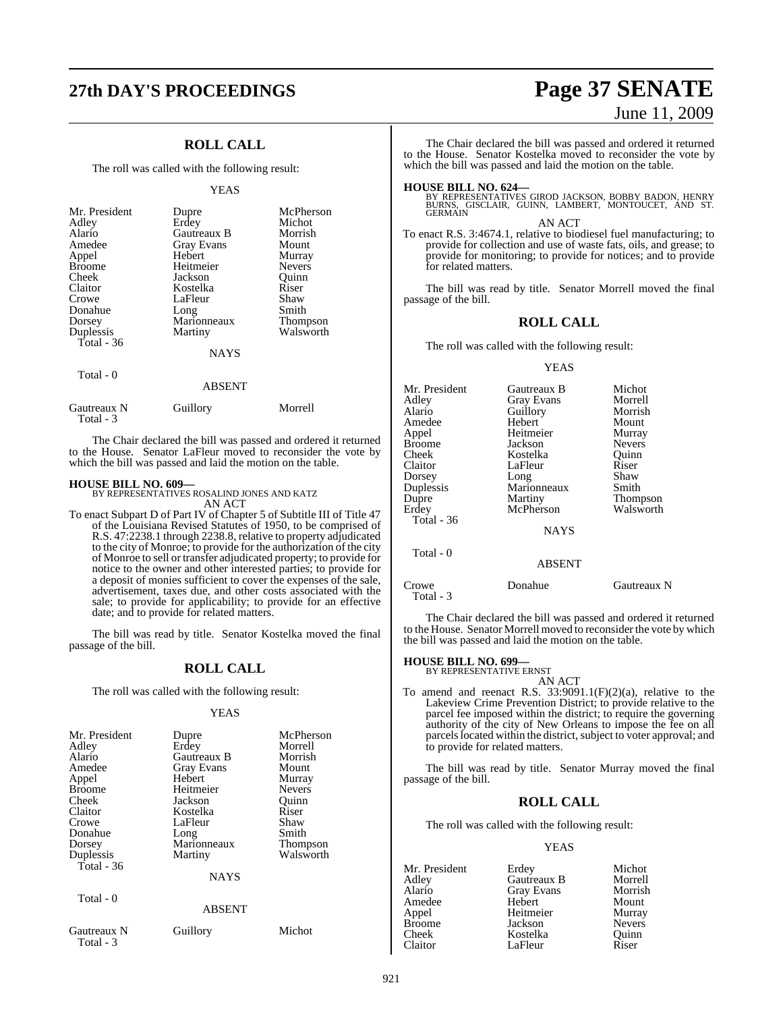# **27th DAY'S PROCEEDINGS Page 37 SENATE**

## **ROLL CALL**

The roll was called with the following result:

#### YEAS

| Mr. President<br>Adley<br>Alario<br>Amedee<br>Appel<br><b>Broome</b><br>Cheek<br>Claitor<br>Crowe<br>Donahue<br>Dorsey<br>Duplessis | Dupre<br>Erdey<br>Gautreaux B<br>Gray Evans<br>Hebert<br>Heitmeier<br>Jackson<br>Kostelka<br>LaFleur<br>Long<br>Marionneaux<br>Martiny | McPherson<br>Michot<br>Morrish<br>Mount<br>Murray<br><b>Nevers</b><br>Quinn<br>Riser<br>Shaw<br>Smith<br>Thompson<br>Walsworth |
|-------------------------------------------------------------------------------------------------------------------------------------|----------------------------------------------------------------------------------------------------------------------------------------|--------------------------------------------------------------------------------------------------------------------------------|
| Total - 36                                                                                                                          | <b>NAYS</b>                                                                                                                            |                                                                                                                                |
| Total - 0                                                                                                                           |                                                                                                                                        |                                                                                                                                |

|                          | <b>ABSENT</b> |         |
|--------------------------|---------------|---------|
| Gautreaux N<br>Total - 3 | Guillory      | Morrell |

The Chair declared the bill was passed and ordered it returned to the House. Senator LaFleur moved to reconsider the vote by which the bill was passed and laid the motion on the table.

#### **HOUSE BILL NO. 609—**

BY REPRESENTATIVES ROSALIND JONES AND KATZ AN ACT

To enact Subpart D of Part IV of Chapter 5 of Subtitle III of Title 47 of the Louisiana Revised Statutes of 1950, to be comprised of R.S. 47:2238.1 through 2238.8, relative to property adjudicated to the city of Monroe; to provide for the authorization of the city of Monroe to sell ortransfer adjudicated property; to provide for notice to the owner and other interested parties; to provide for a deposit of monies sufficient to cover the expenses of the sale, advertisement, taxes due, and other costs associated with the sale; to provide for applicability; to provide for an effective date; and to provide for related matters.

The bill was read by title. Senator Kostelka moved the final passage of the bill.

#### **ROLL CALL**

The roll was called with the following result:

#### YEAS

| Mr. President<br>Adley<br>Alario<br>Amedee<br>Appel<br><b>Broome</b><br>Cheek<br>Claitor<br>Crowe<br>Donahue<br>Dorsey<br>Duplessis<br>Total - 36 | Dupre<br>Erdey<br>Gautreaux B<br><b>Gray Evans</b><br>Hebert<br>Heitmeier<br>Jackson<br>Kostelka<br>LaFleur<br>Long<br>Marionneaux<br>Martiny<br><b>NAYS</b> | McPherson<br>Morrell<br>Morrish<br>Mount<br>Murray<br><b>Nevers</b><br>Ouinn<br>Riser<br>Shaw<br>Smith<br><b>Thompson</b><br>Walsworth |
|---------------------------------------------------------------------------------------------------------------------------------------------------|--------------------------------------------------------------------------------------------------------------------------------------------------------------|----------------------------------------------------------------------------------------------------------------------------------------|
| Total - 0                                                                                                                                         | <b>ABSENT</b>                                                                                                                                                |                                                                                                                                        |
| Gautreaux N                                                                                                                                       | Guillory                                                                                                                                                     | Michot                                                                                                                                 |

Total - 3

# June 11, 2009

The Chair declared the bill was passed and ordered it returned to the House. Senator Kostelka moved to reconsider the vote by which the bill was passed and laid the motion on the table.

**HOUSE BILL NO. 624—**<br>BY REPRESENTATIVES GIROD JACKSON, BOBBY BADON, HENRY<br>BURNS, GISCLAIR, GUINN, LAMBERT, MONTOUCET, AND ST.<br>GERMAIN

AN ACT To enact R.S. 3:4674.1, relative to biodiesel fuel manufacturing; to provide for collection and use of waste fats, oils, and grease; to provide for monitoring; to provide for notices; and to provide for related matters.

The bill was read by title. Senator Morrell moved the final passage of the bill.

#### **ROLL CALL**

The roll was called with the following result:

#### YEAS

| Mr. President      | Gautreaux B   | Michot          |
|--------------------|---------------|-----------------|
| Adlev              | Gray Evans    | Morrell         |
| Alario             | Guillory      | Morrish         |
| Amedee             | Hebert        | Mount           |
| Appel              | Heitmeier     | Murray          |
| Broome             | Jackson       | <b>Nevers</b>   |
| Cheek              | Kostelka      | Quinn           |
| Claitor            | LaFleur       | Riser           |
| Dorsey             | Long          | Shaw            |
| Duplessis          | Marionneaux   | Smith           |
| Dupre              | Martiny       | <b>Thompson</b> |
| Erdev              | McPherson     | Walsworth       |
| Total - 36         |               |                 |
|                    | <b>NAYS</b>   |                 |
| Total $-0$         |               |                 |
|                    | <b>ABSENT</b> |                 |
| Crowe<br>Total - 3 | Donahue       | Gautreaux N     |

The Chair declared the bill was passed and ordered it returned to the House. Senator Morrell moved to reconsider the vote by which the bill was passed and laid the motion on the table.

# **HOUSE BILL NO. 699—** BY REPRESENTATIVE ERNST

AN ACT To amend and reenact R.S.  $33:9091.1(F)(2)(a)$ , relative to the Lakeview Crime Prevention District; to provide relative to the parcel fee imposed within the district; to require the governing authority of the city of New Orleans to impose the fee on all parcels located within the district, subject to voter approval; and to provide for related matters.

The bill was read by title. Senator Murray moved the final passage of the bill.

#### **ROLL CALL**

The roll was called with the following result:

#### YEAS

Mr. President Erdey Michot<br>Adley Gautreaux B Morrell Adley Gautreaux B Morrell Gray Evans Morrish<br>
Hebert Mount Amedee Hebert Mount<br>
Appel Heitmeier Murray Heitmeier Murray<br>Jackson Nevers Broome Jackson Nevers<br>Cheek Kostelka Quinn Cheek Kostelka Quinn LaFleur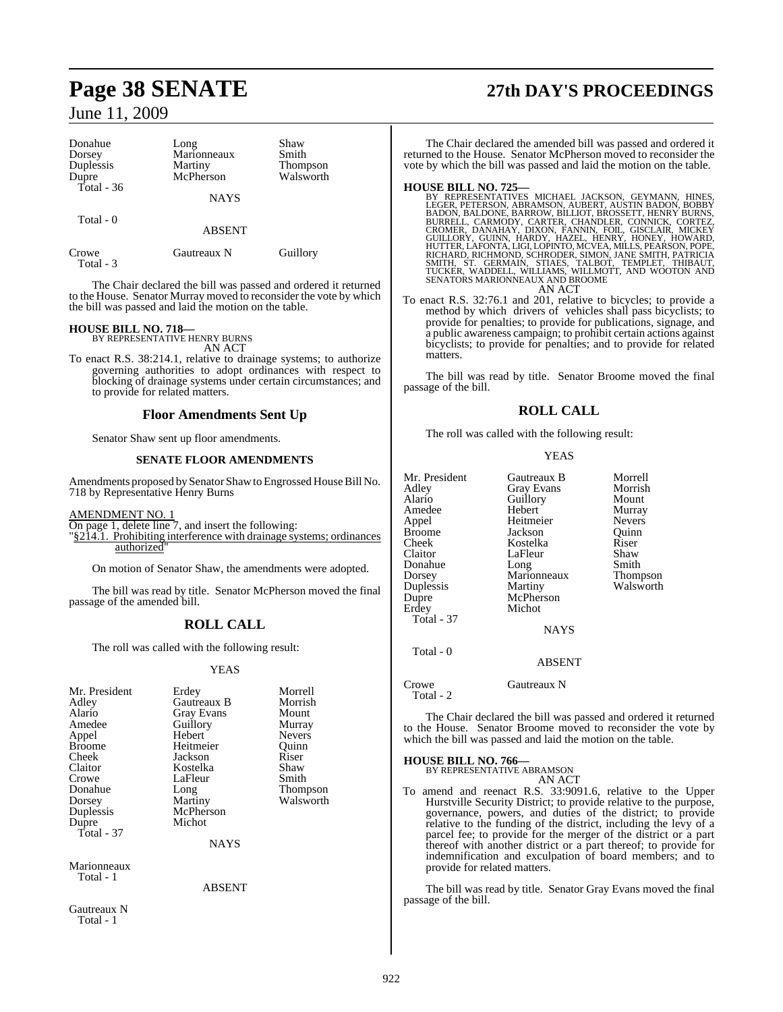| Donahue<br>Dorsey  | Long<br>Marionneaux  | Shaw<br>Smith                |
|--------------------|----------------------|------------------------------|
| Duplessis<br>Dupre | Martiny<br>McPherson | <b>Thompson</b><br>Walsworth |
| Total - 36         | <b>NAYS</b>          |                              |
| Total - 0          | <b>ABSENT</b>        |                              |
| Crowe<br>Total - 3 | Gautreaux N          | Guillory                     |

The Chair declared the bill was passed and ordered it returned to the House. Senator Murray moved to reconsider the vote by which the bill was passed and laid the motion on the table.

# **HOUSE BILL NO. 718—** BY REPRESENTATIVE HENRY BURNS

AN ACT

To enact R.S. 38:214.1, relative to drainage systems; to authorize governing authorities to adopt ordinances with respect to blocking of drainage systems under certain circumstances; and to provide for related matters.

#### **Floor Amendments Sent Up**

Senator Shaw sent up floor amendments.

## **SENATE FLOOR AMENDMENTS**

Amendments proposed by Senator Shaw to Engrossed House Bill No. 718 by Representative Henry Burns

AMENDMENT NO. 1

On page 1, delete line 7, and insert the following:

"§214.1. Prohibiting interference with drainage systems; ordinances authorized

On motion of Senator Shaw, the amendments were adopted.

The bill was read by title. Senator McPherson moved the final passage of the amended bill.

## **ROLL CALL**

The roll was called with the following result:

#### YEAS

| Mr. President<br>Adley<br>Alario<br>Amedee<br>Appel<br><b>Broome</b><br>Cheek<br>Claitor<br>Crowe<br>Donahue<br>Dorsey<br>Duplessis<br>Dupre<br>Total - 37 | Erdey<br>Gautreaux B<br><b>Gray Evans</b><br>Guillory<br>Hebert<br>Heitmeier<br>Jackson<br>Kostelka<br>LaFleur<br>Long<br>Martiny<br>McPherson<br>Michot<br><b>NAYS</b> | Morrell<br>Morrish<br>Mount<br>Murray<br><b>Nevers</b><br>Quinn<br>Riser<br>Shaw<br>Smith<br>Thompson<br>Walsworth |
|------------------------------------------------------------------------------------------------------------------------------------------------------------|-------------------------------------------------------------------------------------------------------------------------------------------------------------------------|--------------------------------------------------------------------------------------------------------------------|
|                                                                                                                                                            |                                                                                                                                                                         |                                                                                                                    |
| Marionneaux<br>Total - 1                                                                                                                                   | ABSENT                                                                                                                                                                  |                                                                                                                    |

Gautreaux N

Total - 1

# **Page 38 SENATE 27th DAY'S PROCEEDINGS**

The Chair declared the amended bill was passed and ordered it returned to the House. Senator McPherson moved to reconsider the vote by which the bill was passed and laid the motion on the table.

HOUSE BILL NO. 725—<br>BY REPRESENTATIVES MICHAEL JACKSON, GEYMANN, HINES, EXEPRESENTATIVES MICHAEL JACKSON, AUBERT, AUSTIN BADON, BOBBY BADON, BALDONE, BARROW, BILLIOT, BROSSETT, HENRY BURNS, BURRELL, CARMODY, CARTEZ, GONNIC AN ACT

To enact R.S. 32:76.1 and 201, relative to bicycles; to provide a method by which drivers of vehicles shall pass bicyclists; to provide for penalties; to provide for publications, signage, and a public awareness campaign; to prohibit certain actions against bicyclists; to provide for penalties; and to provide for related matters.

The bill was read by title. Senator Broome moved the final passage of the bill.

## **ROLL CALL**

The roll was called with the following result:

#### YEAS

| Mr. President | Gautreaux B   | Morrell         |
|---------------|---------------|-----------------|
| Adlev         | Gray Evans    | Morrish         |
| Alario        | Guillory      | Mount           |
| Amedee        | Hebert        | Murray          |
| Appel         | Heitmeier     | <b>Nevers</b>   |
| Broome        | Jackson       | Ouinn           |
| Cheek         | Kostelka      | Riser           |
| Claitor       | LaFleur       | Shaw            |
| Donahue       | Long          | Smith           |
| Dorsey        | Marionneaux   | <b>Thompson</b> |
| Duplessis     | Martiny       | Walsworth       |
| Dupre         | McPherson     |                 |
| Erdey         | Michot        |                 |
| Total - 37    |               |                 |
|               | <b>NAYS</b>   |                 |
| Total - 0     |               |                 |
|               | <b>ABSENT</b> |                 |

Crowe Gautreaux N

Total - 2

The Chair declared the bill was passed and ordered it returned to the House. Senator Broome moved to reconsider the vote by which the bill was passed and laid the motion on the table.

# **HOUSE BILL NO. 766—** BY REPRESENTATIVE ABRAMSON

AN ACT

To amend and reenact R.S. 33:9091.6, relative to the Upper Hurstville Security District; to provide relative to the purpose, governance, powers, and duties of the district; to provide relative to the funding of the district, including the levy of a parcel fee; to provide for the merger of the district or a part thereof with another district or a part thereof; to provide for indemnification and exculpation of board members; and to provide for related matters.

The bill was read by title. Senator Gray Evans moved the final passage of the bill.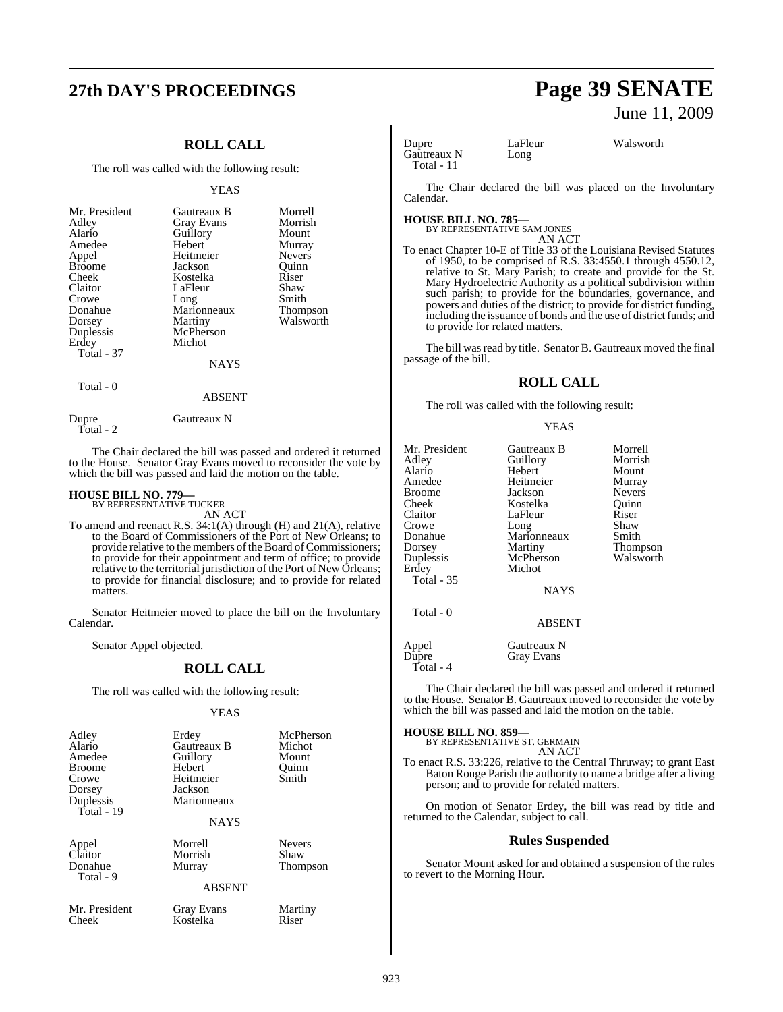# **27th DAY'S PROCEEDINGS Page 39 SENATE**

## **ROLL CALL**

The roll was called with the following result:

#### YEAS

## Total - 0

ABSENT

Total - 2

Dupre Gautreaux N

The Chair declared the bill was passed and ordered it returned to the House. Senator Gray Evans moved to reconsider the vote by which the bill was passed and laid the motion on the table.

# **HOUSE BILL NO. 779—** BY REPRESENTATIVE TUCKER

AN ACT

To amend and reenact R.S. 34:1(A) through (H) and 21(A), relative to the Board of Commissioners of the Port of New Orleans; to provide relative to the members of the Board of Commissioners; to provide for their appointment and term of office; to provide relative to the territorial jurisdiction of the Port of New Orleans; to provide for financial disclosure; and to provide for related matters.

Senator Heitmeier moved to place the bill on the Involuntary Calendar.

Senator Appel objected.

## **ROLL CALL**

The roll was called with the following result:

#### YEAS

| Adley<br>Alario<br>Amedee<br><b>Broome</b><br>Crowe<br>Dorsey<br>Duplessis<br>Total - 19 | Erdey<br>Gautreaux B<br>Guillory<br>Hebert<br>Heitmeier<br>Jackson<br>Marionneaux<br><b>NAYS</b> | McPherson<br>Michot<br>Mount<br>Ouinn<br>Smith |
|------------------------------------------------------------------------------------------|--------------------------------------------------------------------------------------------------|------------------------------------------------|
| Appel<br>Claitor<br>Donahue<br>Total - 9                                                 | Morrell<br>Morrish<br>Murray<br><b>ABSENT</b>                                                    | <b>Nevers</b><br>Shaw<br><b>Thompson</b>       |
| Mr. President<br>Cheek                                                                   | Gray Evans<br>Kostelka                                                                           | Martiny<br>Riser                               |

# June 11, 2009

Dupre LaFleur Walsworth<br>
Gautreaux N Long Gautreaux N Total - 11

The Chair declared the bill was placed on the Involuntary Calendar.

#### **HOUSE BILL NO. 785—** BY REPRESENTATIVE SAM JONES

AN ACT

To enact Chapter 10-E of Title 33 of the Louisiana Revised Statutes of 1950, to be comprised of R.S. 33:4550.1 through 4550.12, relative to St. Mary Parish; to create and provide for the St. Mary Hydroelectric Authority as a political subdivision within such parish; to provide for the boundaries, governance, and powers and duties of the district; to provide for district funding, including the issuance of bonds and the use of district funds; and to provide for related matters.

The bill was read by title. Senator B. Gautreaux moved the final passage of the bill.

#### **ROLL CALL**

The roll was called with the following result:

#### YEAS

| Mr. President<br>Adley | Gautreaux B<br>Guillory | Morrell<br>Morrish |
|------------------------|-------------------------|--------------------|
| Alario                 | Hebert                  | Mount              |
| Amedee                 | Heitmeier               | Murray             |
| <b>Broome</b>          | Jackson                 | <b>Nevers</b>      |
| Cheek                  | Kostelka                | Ouinn              |
| Claitor                | LaFleur                 | Riser              |
| Crowe                  | Long                    | Shaw               |
| Donahue                | Marionneaux             | Smith              |
| Dorsey                 | Martiny                 | Thompson           |
| Duplessis              | McPherson               | Walsworth          |
| Erdey                  | Michot                  |                    |
| <b>Total - 35</b>      |                         |                    |
|                        | <b>NAYS</b>             |                    |
| Total - 0              |                         |                    |
|                        | <b>ABSENT</b>           |                    |
| Appel                  | Gautreaux N             |                    |

Appel Gautreaux N Dupre Gray Evans Total - 4

The Chair declared the bill was passed and ordered it returned to the House. Senator B. Gautreaux moved to reconsider the vote by which the bill was passed and laid the motion on the table.

# **HOUSE BILL NO. 859—** BY REPRESENTATIVE ST. GERMAIN

AN ACT

To enact R.S. 33:226, relative to the Central Thruway; to grant East Baton Rouge Parish the authority to name a bridge after a living person; and to provide for related matters.

On motion of Senator Erdey, the bill was read by title and returned to the Calendar, subject to call.

#### **Rules Suspended**

Senator Mount asked for and obtained a suspension of the rules to revert to the Morning Hour.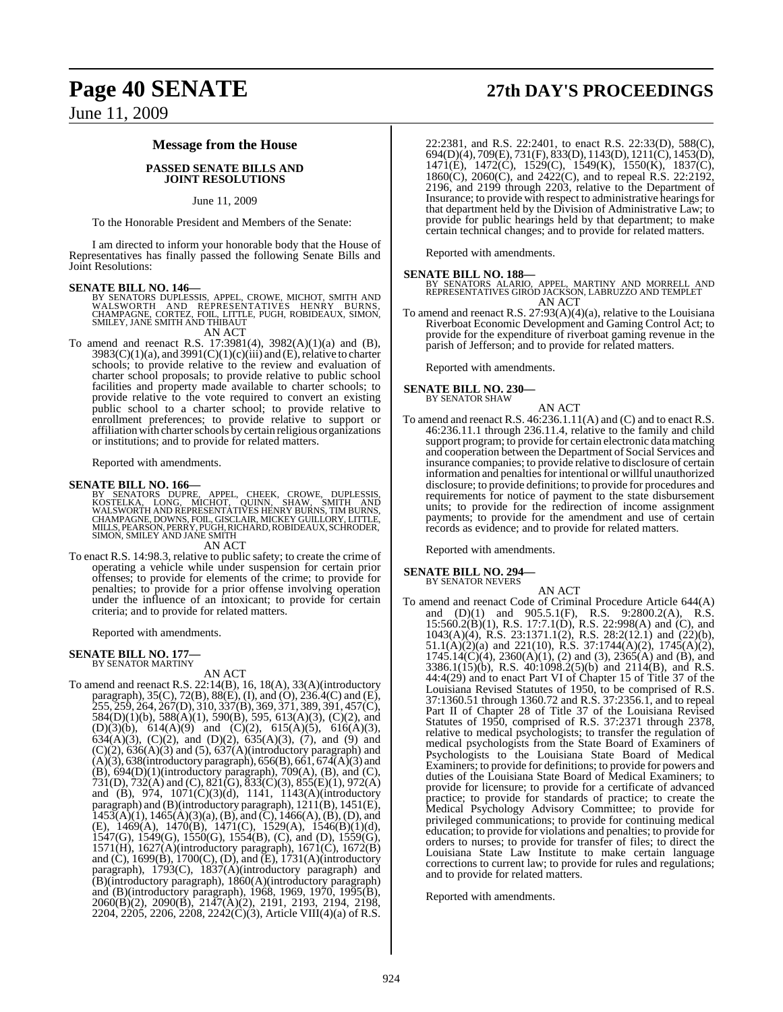#### **Message from the House**

#### **PASSED SENATE BILLS AND JOINT RESOLUTIONS**

#### June 11, 2009

To the Honorable President and Members of the Senate:

I am directed to inform your honorable body that the House of Representatives has finally passed the following Senate Bills and Joint Resolutions:

**SENATE BILL NO. 146—**<br>BY SENATORS DUPLESSIS, APPEL, CROWE, MICHOT, SMITH AND<br>WALSWORTH AND REPRESENTATIVES HENRY BURNS,<br>CHAMPAGNE, CORTEZ, FOIL, LITTLE, PUGH, ROBIDEAUX, SIMON,<br>SMILEY, JANE SMITH AND THIBAUT

#### AN ACT

To amend and reenact R.S. 17:3981(4), 3982(A)(1)(a) and (B),  $3983(C)(1)(a)$ , and  $3991(C)(1)(c)(iii)$  and  $(E)$ , relative to charter schools; to provide relative to the review and evaluation of charter school proposals; to provide relative to public school facilities and property made available to charter schools; to provide relative to the vote required to convert an existing public school to a charter school; to provide relative to enrollment preferences; to provide relative to support or affiliation with charter schools by certain religious organizations or institutions; and to provide for related matters.

Reported with amendments.

#### **SENATE BILL NO. 166—**

BY SENATORS DUPRE, APPEL, CHEEK, CROWE, DUPLESSIS,<br>KOSTELKA, LONG, MICHOT, QUINN, SHAW, SMITH AND<br>WALSWORTHAND.REPRESENTATIVES.HENRY.BURNS,TIMBURNS,<br>CHAMPAGNE,DOWNS,FOIL,GISCLAIR,MICKEY.GUILLORY,LITTLE,<br>MILLS,PEARSON,PERRY SIMON, SMILEY AND JANE SMITH

AN ACT

To enact R.S. 14:98.3, relative to public safety; to create the crime of operating a vehicle while under suspension for certain prior offenses; to provide for elements of the crime; to provide for penalties; to provide for a prior offense involving operation under the influence of an intoxicant; to provide for certain criteria; and to provide for related matters.

Reported with amendments.

#### **SENATE BILL NO. 177—** BY SENATOR MARTINY

AN ACT

To amend and reenact R.S. 22:14(B), 16, 18(A), 33(A)(introductory paragraph), 35(C), 72(B), 88(E), (I), and (O), 236.4(C) and (E), 255, 259, 264, 267(D), 310, 337(B), 369, 371, 389, 391, 457(C),  $584(D)(1)(b)$ ,  $588(A)(1)$ ,  $590(B)$ ,  $595$ ,  $613(A)(3)$ , (C)(2), and  $(D)(3)(b)$ ,  $614(A)(9)$  and  $(C)(2)$ ,  $615(A)(5)$ ,  $616(A)(3)$ , 634(A)(3), (C)(2), and (D)(2),  $635(A)(3)$ , (7), and (9) and  $(C)(2)$ ,  $636(A)(3)$  and  $(5)$ ,  $637(A)$ (introductory paragraph) and  $(A)(3)$ , 638(introductory paragraph), 656(B), 661, 674(A)(3) and (B), 694(D)(1)(introductory paragraph), 709(A), (B), and (C), 731(D), 732(A) and (C), 821(G), 833(C)(3), 855(E)(1), 972(A) and (B), 974, 1071(C)(3)(d), 1141, 1143(A)(introductory paragraph) and (B)(introductory paragraph), 1211(B), 1451(E),  $1453(A)(1)$ ,  $1465(A)(3)(a)$ ,  $(B)$ , and  $(C)$ ,  $1466(A)$ ,  $(B)$ ,  $(D)$ , and (E), 1469(A), 1470(B), 1471(C), 1529(A), 1546(B)(1)(d), 1547(G), 1549(G), 1550(G), 1554(B), (C), and (D), 1559(G), 1571(H), 1627(A)(introductory paragraph), 1671(C), 1672(B) and  $(C)$ , 1699 $(B)$ , 1700 $(C)$ ,  $(D)$ , and  $(E)$ , 1731 $(A)$ (introductory paragraph), 1793(C), 1837(A)(introductory paragraph) and (B)(introductory paragraph), 1860(A)(introductory paragraph) and (B)(introductory paragraph), 1968, 1969, 1970, 1995(B), 2060(B)(2), 2090(B), 2147(A)(2), 2191, 2193, 2194, 2198, 2204, 2205, 2206, 2208, 2242(C)(3), Article VIII(4)(a) of R.S.

# **Page 40 SENATE 27th DAY'S PROCEEDINGS**

22:2381, and R.S. 22:2401, to enact R.S. 22:33(D), 588(C), 694(D)(4), 709(E), 731(F), 833(D), 1143(D), 1211(C), 1453(D), 1471(E), 1472(C), 1529(C), 1549(K), 1550(K), 1837(C), 1860(C), 2060(C), and 2422(C), and to repeal R.S. 22:2192, 2196, and 2199 through 2203, relative to the Department of Insurance; to provide with respect to administrative hearings for that department held by the Division of Administrative Law; to provide for public hearings held by that department; to make certain technical changes; and to provide for related matters.

Reported with amendments.

**SENATE BILL NO. 188—** BY SENATORS ALARIO, APPEL, MARTINY AND MORRELL AND REPRESENTATIVES GIROD JACKSON, LABRUZZO AND TEMPLET AN ACT

To amend and reenact R.S. 27:93(A)(4)(a), relative to the Louisiana Riverboat Economic Development and Gaming Control Act; to provide for the expenditure of riverboat gaming revenue in the parish of Jefferson; and to provide for related matters.

Reported with amendments.

#### **SENATE BILL NO. 230—** BY SENATOR SHAW

AN ACT To amend and reenact R.S. 46:236.1.11(A) and (C) and to enact R.S. 46:236.11.1 through 236.11.4, relative to the family and child support program; to provide for certain electronic data matching and cooperation between the Department of Social Services and insurance companies; to provide relative to disclosure of certain information and penalties for intentional or willful unauthorized disclosure; to provide definitions; to provide for procedures and requirements for notice of payment to the state disbursement units; to provide for the redirection of income assignment payments; to provide for the amendment and use of certain records as evidence; and to provide for related matters.

Reported with amendments.

# **SENATE BILL NO. 294—** BY SENATOR NEVERS

AN ACT

To amend and reenact Code of Criminal Procedure Article 644(A) and  $(D)(1)$  and  $905.5.1(F)$ , R.S.  $9:2800.2(A)$ , R.S. 15:560.2(B)(1), R.S. 17:7.1(D), R.S. 22:998(A) and (C), and 1043(A)(4), R.S. 23:1371.1(2), R.S. 28:2(12.1) and (22)(b),  $51.1(A)(2)(a)$  and  $221(10)$ , R.S.  $37:1744(A)(2)$ ,  $1745(A)(2)$ ,  $1745.14(C)(4)$ ,  $2360(A)(1)$ ,  $(2)$  and  $(3)$ ,  $2365(A)$  and  $(B)$ , and 3386.1(15)(b), R.S. 40:1098.2(5)(b) and 2114(B), and R.S. 44:4(29) and to enact Part VI of Chapter 15 of Title 37 of the Louisiana Revised Statutes of 1950, to be comprised of R.S. 37:1360.51 through 1360.72 and R.S. 37:2356.1, and to repeal Part II of Chapter 28 of Title 37 of the Louisiana Revised Statutes of 1950, comprised of R.S. 37:2371 through 2378, relative to medical psychologists; to transfer the regulation of medical psychologists from the State Board of Examiners of Psychologists to the Louisiana State Board of Medical Examiners; to provide for definitions; to provide for powers and duties of the Louisiana State Board of Medical Examiners; to provide for licensure; to provide for a certificate of advanced practice; to provide for standards of practice; to create the Medical Psychology Advisory Committee; to provide for privileged communications; to provide for continuing medical education; to provide for violations and penalties; to provide for orders to nurses; to provide for transfer of files; to direct the Louisiana State Law Institute to make certain language corrections to current law; to provide for rules and regulations; and to provide for related matters.

Reported with amendments.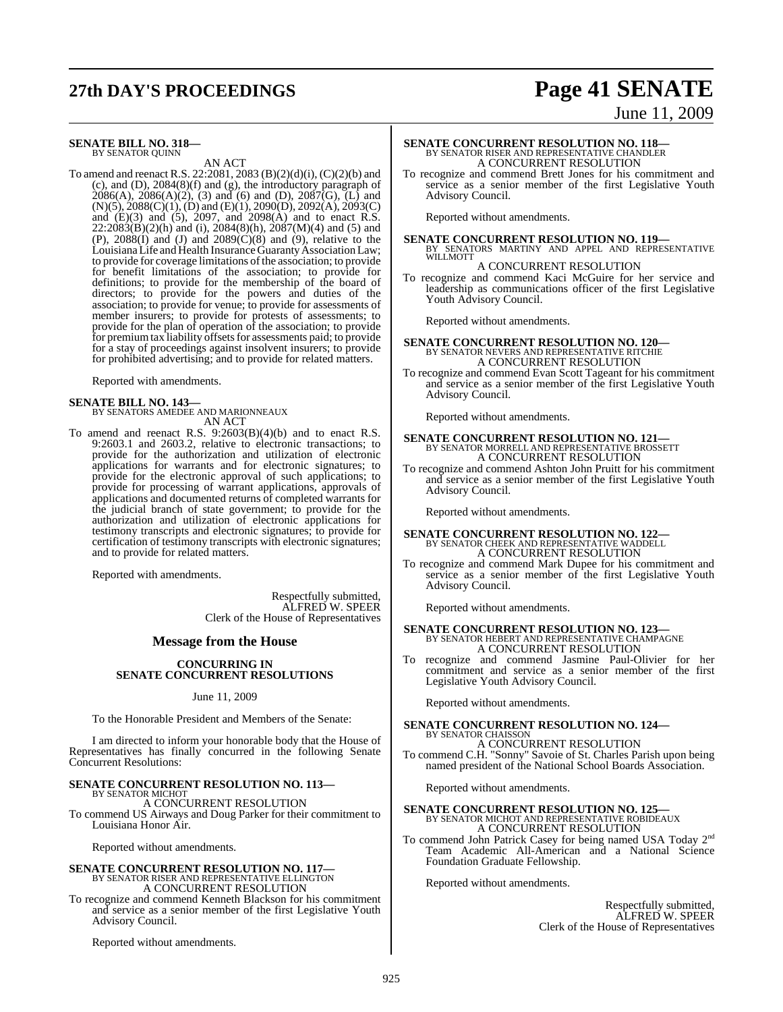# **27th DAY'S PROCEEDINGS Page 41 SENATE**

# June 11, 2009

**SENATE BILL NO. 318—** BY SENATOR QUINN

AN ACT

To amend and reenact R.S. 22:2081, 2083 (B)(2)(d)(i), (C)(2)(b) and (c), and (D), 2084(8)(f) and (g), the introductory paragraph of  $2086(A)$ ,  $2086(A)(2)$ ,  $(3)$  and  $(6)$  and  $(D)$ ,  $2087(G)$ ,  $(L)$  and (N)(5), 2088(C)(1), (D) and (E)(1), 2090(D), 2092(A), 2093(C) and (E)(3) and (5), 2097, and 2098(A) and to enact R.S.  $22:2083(B)(2)(h)$  and (i),  $2084(8)(h)$ ,  $2087(M)(4)$  and (5) and (P),  $2088(I)$  and (J) and  $2089(C)(8)$  and (9), relative to the Louisiana Life and Health Insurance Guaranty Association Law; to provide for coverage limitations of the association; to provide for benefit limitations of the association; to provide for definitions; to provide for the membership of the board of directors; to provide for the powers and duties of the association; to provide for venue; to provide for assessments of member insurers; to provide for protests of assessments; to provide for the plan of operation of the association; to provide for premium tax liability offsets for assessments paid; to provide for a stay of proceedings against insolvent insurers; to provide for prohibited advertising; and to provide for related matters.

Reported with amendments.

**SENATE BILL NO. 143—** BY SENATORS AMEDEE AND MARIONNEAUX AN ACT

To amend and reenact R.S. 9:2603(B)(4)(b) and to enact R.S. 9:2603.1 and 2603.2, relative to electronic transactions; to provide for the authorization and utilization of electronic applications for warrants and for electronic signatures; to provide for the electronic approval of such applications; to provide for processing of warrant applications, approvals of applications and documented returns of completed warrants for the judicial branch of state government; to provide for the authorization and utilization of electronic applications for testimony transcripts and electronic signatures; to provide for certification of testimony transcripts with electronic signatures; and to provide for related matters.

Reported with amendments.

Respectfully submitted, ALFRED W. SPEER Clerk of the House of Representatives

#### **Message from the House**

#### **CONCURRING IN SENATE CONCURRENT RESOLUTIONS**

June 11, 2009

To the Honorable President and Members of the Senate:

I am directed to inform your honorable body that the House of Representatives has finally concurred in the following Senate Concurrent Resolutions:

# **SENATE CONCURRENT RESOLUTION NO. 113—** BY SENATOR MICHOT

A CONCURRENT RESOLUTION

To commend US Airways and Doug Parker for their commitment to Louisiana Honor Air.

Reported without amendments.

# **SENATE CONCURRENT RESOLUTION NO. 117—**<br>BY SENATOR RISER AND REPRESENTATIVE ELLINGTON A CONCURRENT RESOLUTION

To recognize and commend Kenneth Blackson for his commitment and service as a senior member of the first Legislative Youth Advisory Council.

Reported without amendments.

# **SENATE CONCURRENT RESOLUTION NO. 118—**<br>BY SENATOR RISER AND REPRESENTATIVE CHANDLER<br>A CONCURRENT RESOLUTION

To recognize and commend Brett Jones for his commitment and service as a senior member of the first Legislative Youth Advisory Council.

Reported without amendments.

**SENATE CONCURRENT RESOLUTION NO. 119—BY SENATORS MARTINY AND APPEL AND REPRESENTATIVE WILLMOTT** 

### A CONCURRENT RESOLUTION

To recognize and commend Kaci McGuire for her service and leadership as communications officer of the first Legislative Youth Advisory Council.

Reported without amendments.

# **SENATE CONCURRENT RESOLUTION NO. 120—**<br>BY SENATOR NEVERS AND REPRESENTATIVE RITCHIE<br>A CONCURRENT RESOLUTION

To recognize and commend Evan Scott Tageant for his commitment and service as a senior member of the first Legislative Youth Advisory Council.

Reported without amendments.

# **SENATE CONCURRENT RESOLUTION NO. 121—**<br>BY SENATOR MORRELL AND REPRESENTATIVE BROSSETT A CONCURRENT RESOLUTION

To recognize and commend Ashton John Pruitt for his commitment and service as a senior member of the first Legislative Youth Advisory Council.

Reported without amendments.

## **SENATE CONCURRENT RESOLUTION NO. 122—** BY SENATOR CHEEK AND REPRESENTATIVE WADDELL A CONCURRENT RESOLUTION

To recognize and commend Mark Dupee for his commitment and service as a senior member of the first Legislative Youth Advisory Council.

Reported without amendments.

## **SENATE CONCURRENT RESOLUTION NO. 123—** BY SENATOR HEBERT AND REPRESENTATIVE CHAMPAGNE A CONCURRENT RESOLUTION

To recognize and commend Jasmine Paul-Olivier for her commitment and service as a senior member of the first Legislative Youth Advisory Council.

Reported without amendments.

## **SENATE CONCURRENT RESOLUTION NO. 124—** BY SENATOR CHAISSON A CONCURRENT RESOLUTION

To commend C.H. "Sonny" Savoie of St. Charles Parish upon being named president of the National School Boards Association.

Reported without amendments.

## **SENATE CONCURRENT RESOLUTION NO. 125—** BY SENATOR MICHOT AND REPRESENTATIVE ROBIDEAUX A CONCURRENT RESOLUTION

To commend John Patrick Casey for being named USA Today 2nd Team Academic All-American and a National Science Foundation Graduate Fellowship.

Reported without amendments.

Respectfully submitted, ALFRED W. SPEER Clerk of the House of Representatives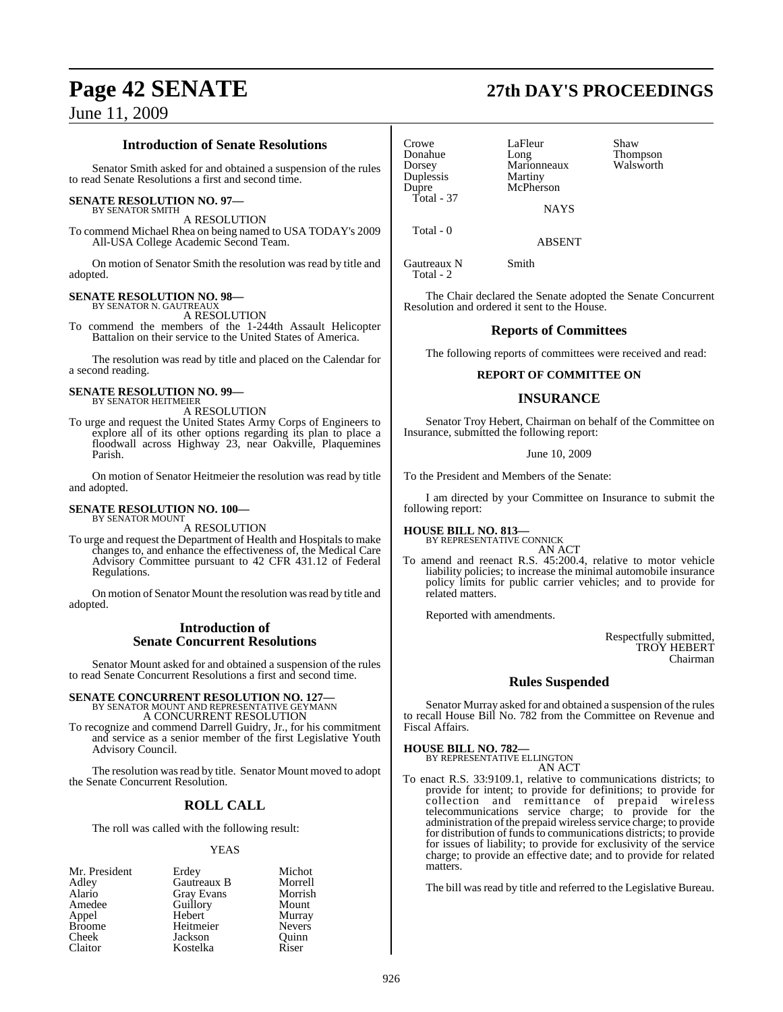## **Introduction of Senate Resolutions**

Senator Smith asked for and obtained a suspension of the rules to read Senate Resolutions a first and second time.

#### **SENATE RESOLUTION NO. 97—**

BY SENATOR SMITH A RESOLUTION

To commend Michael Rhea on being named to USA TODAY's 2009 All-USA College Academic Second Team.

On motion of Senator Smith the resolution was read by title and adopted.

## **SENATE RESOLUTION NO. 98—**

BY SENATOR N. GAUTREAUX A RESOLUTION

To commend the members of the 1-244th Assault Helicopter Battalion on their service to the United States of America.

The resolution was read by title and placed on the Calendar for a second reading.

# **SENATE RESOLUTION NO. 99—** BY SENATOR HEITMEIER

A RESOLUTION

To urge and request the United States Army Corps of Engineers to explore all of its other options regarding its plan to place a floodwall across Highway 23, near Oakville, Plaquemines Parish.

On motion of Senator Heitmeier the resolution was read by title and adopted.

#### **SENATE RESOLUTION NO. 100—** BY SENATOR MOUNT

A RESOLUTION

To urge and request the Department of Health and Hospitals to make changes to, and enhance the effectiveness of, the Medical Care Advisory Committee pursuant to 42 CFR 431.12 of Federal Regulations.

On motion of Senator Mount the resolution was read by title and adopted.

#### **Introduction of Senate Concurrent Resolutions**

Senator Mount asked for and obtained a suspension of the rules to read Senate Concurrent Resolutions a first and second time.

## **SENATE CONCURRENT RESOLUTION NO. 127—** BY SENATOR MOUNT AND REPRESENTATIVE GEYMANN A CONCURRENT RESOLUTION

To recognize and commend Darrell Guidry, Jr., for his commitment and service as a senior member of the first Legislative Youth Advisory Council.

The resolution was read by title. Senator Mount moved to adopt the Senate Concurrent Resolution.

## **ROLL CALL**

The roll was called with the following result:

#### YEAS

| Mr. President | Erdey             | Michot        |
|---------------|-------------------|---------------|
| Adley         | Gautreaux B       | Morrell       |
| Alario        | <b>Gray Evans</b> | Morrish       |
| Amedee        | Guillory          | Mount         |
| Appel         | Hebert            | Murray        |
| <b>Broome</b> | Heitmeier         | <b>Nevers</b> |
| Cheek         | Jackson           | Ouinn         |
| Claitor       | Kostelka          | Riser         |

Crowe LaFleur Shaw<br>
Donahue Long Thom Donahue Long Thompson Duplessis<br>Dupre Total - 37

Total - 0

Marionneaux<br>Martiny McPherson **NAYS** 

ABSENT

Gautreaux N Smith Total - 2

The Chair declared the Senate adopted the Senate Concurrent Resolution and ordered it sent to the House.

## **Reports of Committees**

The following reports of committees were received and read:

#### **REPORT OF COMMITTEE ON**

## **INSURANCE**

Senator Troy Hebert, Chairman on behalf of the Committee on Insurance, submitted the following report:

#### June 10, 2009

To the President and Members of the Senate:

I am directed by your Committee on Insurance to submit the following report:

**HOUSE BILL NO. 813—** BY REPRESENTATIVE CONNICK

AN ACT

To amend and reenact R.S. 45:200.4, relative to motor vehicle liability policies; to increase the minimal automobile insurance policy limits for public carrier vehicles; and to provide for related matters.

Reported with amendments.

Respectfully submitted, TROY HEBERT Chairman

## **Rules Suspended**

Senator Murray asked for and obtained a suspension of the rules to recall House Bill No. 782 from the Committee on Revenue and Fiscal Affairs.

**HOUSE BILL NO. 782—** BY REPRESENT

AN ACT

To enact R.S. 33:9109.1, relative to communications districts; to provide for intent; to provide for definitions; to provide for collection and remittance of prepaid wireless telecommunications service charge; to provide for the administration of the prepaid wireless service charge; to provide for distribution of funds to communications districts; to provide for issues of liability; to provide for exclusivity of the service charge; to provide an effective date; and to provide for related matters.

The bill was read by title and referred to the Legislative Bureau.

# **Page 42 SENATE 27th DAY'S PROCEEDINGS**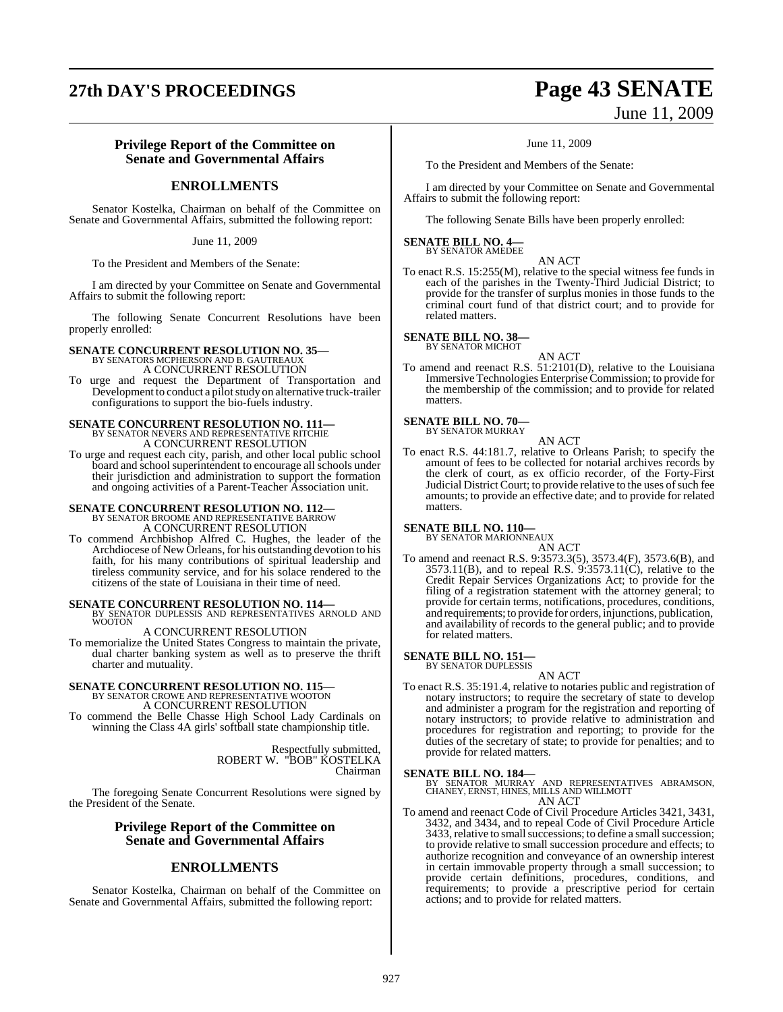# **27th DAY'S PROCEEDINGS Page 43 SENATE**

# June 11, 2009

#### **Privilege Report of the Committee on Senate and Governmental Affairs**

## **ENROLLMENTS**

Senator Kostelka, Chairman on behalf of the Committee on Senate and Governmental Affairs, submitted the following report:

June 11, 2009

To the President and Members of the Senate:

I am directed by your Committee on Senate and Governmental Affairs to submit the following report:

The following Senate Concurrent Resolutions have been properly enrolled:

#### **SENATE CONCURRENT RESOLUTION NO. 35—** BY SENATORS MCPHERSON AND B. GAUTREAUX

A CONCURRENT RESOLUTION

To urge and request the Department of Transportation and Development to conduct a pilotstudy on alternative truck-trailer configurations to support the bio-fuels industry.

# **SENATE CONCURRENT RESOLUTION NO. 111—**<br>BY SENATOR NEVERS AND REPRESENTATIVE RITCHIE<br>A CONCURRENT RESOLUTION

To urge and request each city, parish, and other local public school board and school superintendent to encourage all schools under their jurisdiction and administration to support the formation and ongoing activities of a Parent-Teacher Association unit.

## **SENATE CONCURRENT RESOLUTION NO. 112—** BY SENATOR BROOME AND REPRESENTATIVE BARROW A CONCURRENT RESOLUTION

To commend Archbishop Alfred C. Hughes, the leader of the Archdiocese of New Orleans, for his outstanding devotion to his faith, for his many contributions of spiritual leadership and tireless community service, and for his solace rendered to the citizens of the state of Louisiana in their time of need.

**SENATE CONCURRENT RESOLUTION NO. 114—BY SENATOR DUPLESSIS AND REPRESENTATIVES ARNOLD AND WOOTON** 

A CONCURRENT RESOLUTION

To memorialize the United States Congress to maintain the private, dual charter banking system as well as to preserve the thrift charter and mutuality.

# **SENATE CONCURRENT RESOLUTION NO. 115—**<br>BY SENATOR CROWE AND REPRESENTATIVE WOOTON A CONCURRENT RESOLUTION

To commend the Belle Chasse High School Lady Cardinals on winning the Class 4A girls' softball state championship title.

> Respectfully submitted, ROBERT W. "BOB" KOSTELKA Chairman

The foregoing Senate Concurrent Resolutions were signed by the President of the Senate.

#### **Privilege Report of the Committee on Senate and Governmental Affairs**

## **ENROLLMENTS**

Senator Kostelka, Chairman on behalf of the Committee on Senate and Governmental Affairs, submitted the following report:

#### June 11, 2009

To the President and Members of the Senate:

I am directed by your Committee on Senate and Governmental Affairs to submit the following report:

The following Senate Bills have been properly enrolled:

#### **SENATE BILL NO. 4—** BY SENATOR AMEDEE

AN ACT To enact R.S. 15:255(M), relative to the special witness fee funds in each of the parishes in the Twenty-Third Judicial District; to provide for the transfer of surplus monies in those funds to the criminal court fund of that district court; and to provide for related matters.

#### **SENATE BILL NO. 38—** BY SENATOR MICHOT

AN ACT

To amend and reenact R.S. 51:2101(D), relative to the Louisiana Immersive Technologies Enterprise Commission; to provide for the membership of the commission; and to provide for related matters.

#### **SENATE BILL NO. 70—** BY SENATOR MURRAY

AN ACT

To enact R.S. 44:181.7, relative to Orleans Parish; to specify the amount of fees to be collected for notarial archives records by the clerk of court, as ex officio recorder, of the Forty-First Judicial District Court; to provide relative to the uses of such fee amounts; to provide an effective date; and to provide for related matters.

# **SENATE BILL NO. 110—** BY SENATOR MARIONNEAUX

- AN ACT
- To amend and reenact R.S. 9:3573.3(5), 3573.4(F), 3573.6(B), and 3573.11(B), and to repeal R.S. 9:3573.11(C), relative to the Credit Repair Services Organizations Act; to provide for the filing of a registration statement with the attorney general; to provide for certain terms, notifications, procedures, conditions, and requirements; to provide for orders, injunctions, publication, and availability of records to the general public; and to provide for related matters.

# **SENATE BILL NO. 151—**<br>BY SENATOR DUPLESSIS

AN ACT

To enact R.S. 35:191.4, relative to notaries public and registration of notary instructors; to require the secretary of state to develop and administer a program for the registration and reporting of notary instructors; to provide relative to administration and procedures for registration and reporting; to provide for the duties of the secretary of state; to provide for penalties; and to provide for related matters.

**SENATE BILL NO. 184—** BY SENATOR MURRAY AND REPRESENTATIVES ABRAMSON, CHANEY, ERNST, HINES, MILLS AND WILLMOTT AN ACT

To amend and reenact Code of Civil Procedure Articles 3421, 3431, 3432, and 3434, and to repeal Code of Civil Procedure Article 3433, relative to small successions; to define a small succession; to provide relative to small succession procedure and effects; to authorize recognition and conveyance of an ownership interest in certain immovable property through a small succession; to provide certain definitions, procedures, conditions, and requirements; to provide a prescriptive period for certain actions; and to provide for related matters.